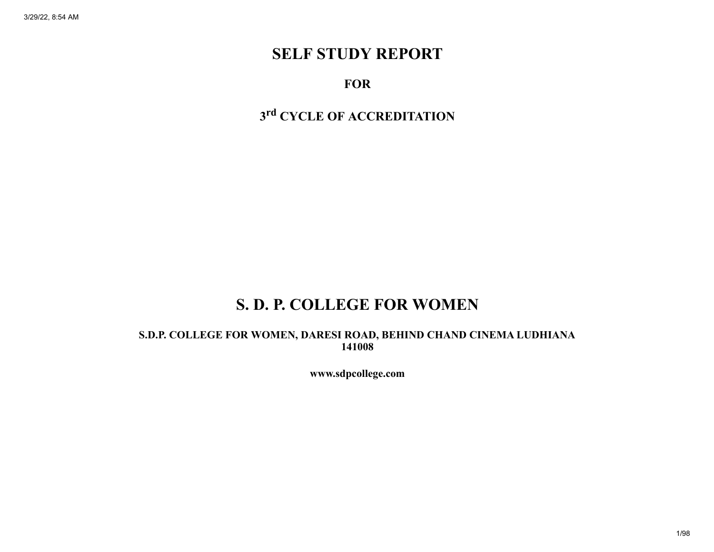# SELF STUDY REPORT

## **FOR**

# 3<sup>rd</sup> CYCLE OF ACCREDITATION

# S. D. P. COLLEGE FOR WOMEN

S.D.P. COLLEGE FOR WOMEN, DARESI ROAD, BEHIND CHAND CINEMA LUDHIANA 141008

www.sdpcollege.com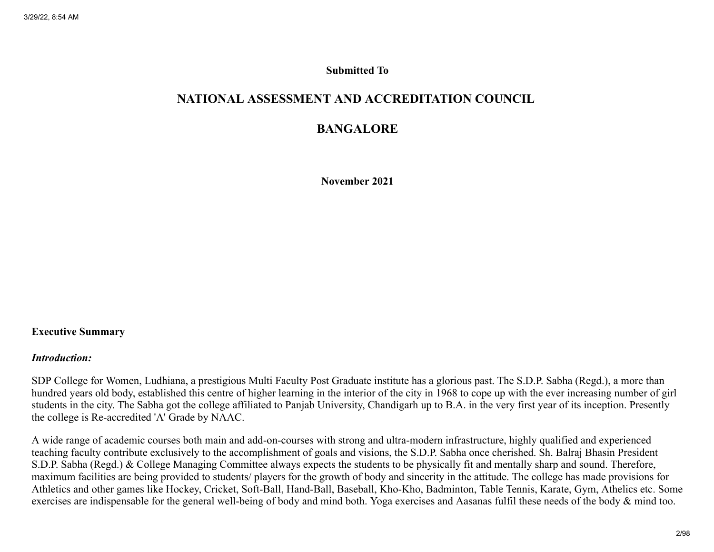#### Submitted To

## NATIONAL ASSESSMENT AND ACCREDITATION COUNCIL

## BANGALORE

November 2021

#### Executive Summary

#### *Introduction:*

SDP College for Women, Ludhiana, a prestigious Multi Faculty Post Graduate institute has a glorious past. The S.D.P. Sabha (Regd.), a more than hundred years old body, established this centre of higher learning in the interior of the city in 1968 to cope up with the ever increasing number of girl students in the city. The Sabha got the college affiliated to Panjab University, Chandigarh up to B.A. in the very first year of its inception. Presently the college is Re-accredited 'A' Grade by NAAC.

A wide range of academic courses both main and add-on-courses with strong and ultra-modern infrastructure, highly qualified and experienced teaching faculty contribute exclusively to the accomplishment of goals and visions, the S.D.P. Sabha once cherished. Sh. Balraj Bhasin President S.D.P. Sabha (Regd.) & College Managing Committee always expects the students to be physically fit and mentally sharp and sound. Therefore, maximum facilities are being provided to students/ players for the growth of body and sincerity in the attitude. The college has made provisions for Athletics and other games like Hockey, Cricket, Soft-Ball, Hand-Ball, Baseball, Kho-Kho, Badminton, Table Tennis, Karate, Gym, Athelics etc. Some exercises are indispensable for the general well-being of body and mind both. Yoga exercises and Aasanas fulfil these needs of the body & mind too.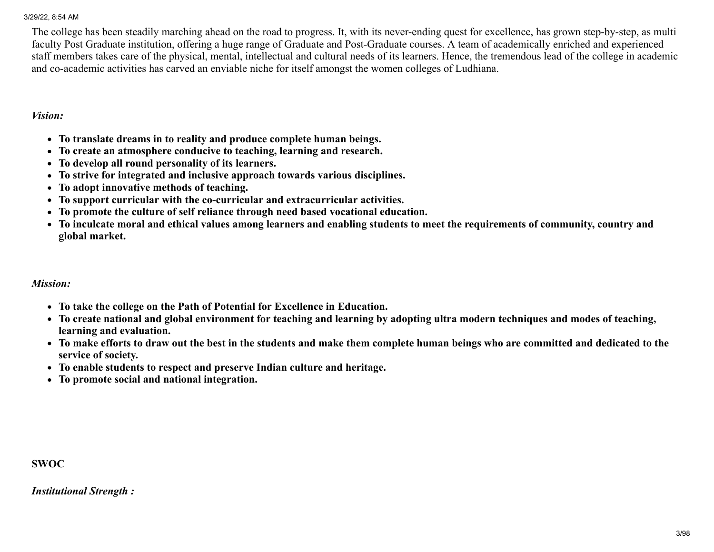The college has been steadily marching ahead on the road to progress. It, with its never-ending quest for excellence, has grown step-by-step, as multi faculty Post Graduate institution, offering a huge range of Graduate and Post-Graduate courses. A team of academically enriched and experienced staff members takes care of the physical, mental, intellectual and cultural needs of its learners. Hence, the tremendous lead of the college in academic and co-academic activities has carved an enviable niche for itself amongst the women colleges of Ludhiana.

#### *Vision:*

- To translate dreams in to reality and produce complete human beings.
- To create an atmosphere conducive to teaching, learning and research.
- To develop all round personality of its learners.
- To strive for integrated and inclusive approach towards various disciplines.
- To adopt innovative methods of teaching.
- To support curricular with the co-curricular and extracurricular activities.
- To promote the culture of self reliance through need based vocational education.
- To inculcate moral and ethical values among learners and enabling students to meet the requirements of community, country and global market.

#### *Mission:*

- To take the college on the Path of Potential for Excellence in Education.
- To create national and global environment for teaching and learning by adopting ultra modern techniques and modes of teaching, learning and evaluation.
- To make efforts to draw out the best in the students and make them complete human beings who are committed and dedicated to the service of society.
- To enable students to respect and preserve Indian culture and heritage.
- To promote social and national integration.

#### SWOC

*Institutional Strength :*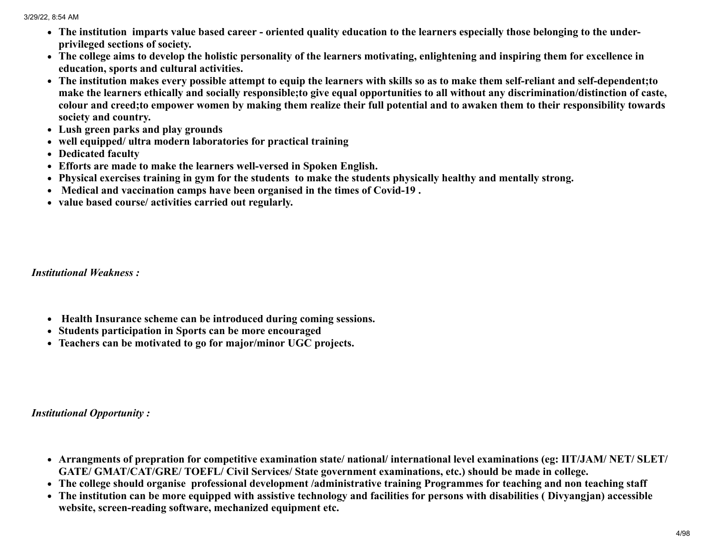- The institution imparts value based career oriented quality education to the learners especially those belonging to the underprivileged sections of society.
- The college aims to develop the holistic personality of the learners motivating, enlightening and inspiring them for excellence in education, sports and cultural activities.
- The institution makes every possible attempt to equip the learners with skills so as to make them self-reliant and self-dependent;to make the learners ethically and socially responsible;to give equal opportunities to all without any discrimination/distinction of caste, colour and creed;to empower women by making them realize their full potential and to awaken them to their responsibility towards society and country.
- Lush green parks and play grounds
- well equipped/ ultra modern laboratories for practical training
- Dedicated faculty
- Efforts are made to make the learners well-versed in Spoken English.
- Physical exercises training in gym for the students to make the students physically healthy and mentally strong.
- Medical and vaccination camps have been organised in the times of Covid-19 .
- value based course/ activities carried out regularly.

*Institutional Weakness :*

- Health Insurance scheme can be introduced during coming sessions.
- Students participation in Sports can be more encouraged
- Teachers can be motivated to go for major/minor UGC projects.

*Institutional Opportunity :*

- Arrangments of prepration for competitive examination state/ national/ international level examinations (eg: IIT/JAM/ NET/ SLET/ GATE/ GMAT/CAT/GRE/ TOEFL/ Civil Services/ State government examinations, etc.) should be made in college.
- The college should organise professional development /administrative training Programmes for teaching and non teaching staff
- The institution can be more equipped with assistive technology and facilities for persons with disabilities ( Divyangjan) accessible website, screen-reading software, mechanized equipment etc.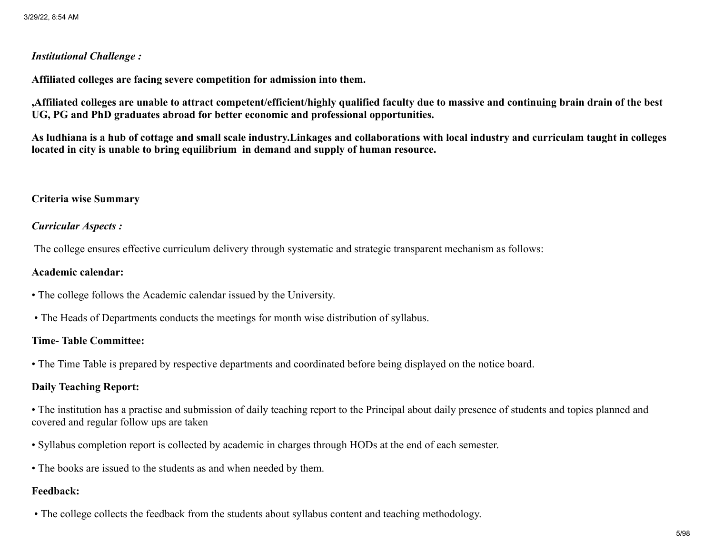## *Institutional Challenge :*

Affiliated colleges are facing severe competition for admission into them.

,Affiliated colleges are unable to attract competent/efficient/highly qualified faculty due to massive and continuing brain drain of the best UG, PG and PhD graduates abroad for better economic and professional opportunities.

As ludhiana is a hub of cottage and small scale industry.Linkages and collaborations with local industry and curriculam taught in colleges located in city is unable to bring equilibrium in demand and supply of human resource.

#### Criteria wise Summary

#### *Curricular Aspects :*

The college ensures effective curriculum delivery through systematic and strategic transparent mechanism as follows:

#### Academic calendar:

- The college follows the Academic calendar issued by the University.
- The Heads of Departments conducts the meetings for month wise distribution of syllabus.

#### Time- Table Committee:

• The Time Table is prepared by respective departments and coordinated before being displayed on the notice board.

## Daily Teaching Report:

• The institution has a practise and submission of daily teaching report to the Principal about daily presence of students and topics planned and covered and regular follow ups are taken

- Syllabus completion report is collected by academic in charges through HODs at the end of each semester.
- The books are issued to the students as and when needed by them.

## Feedback:

• The college collects the feedback from the students about syllabus content and teaching methodology.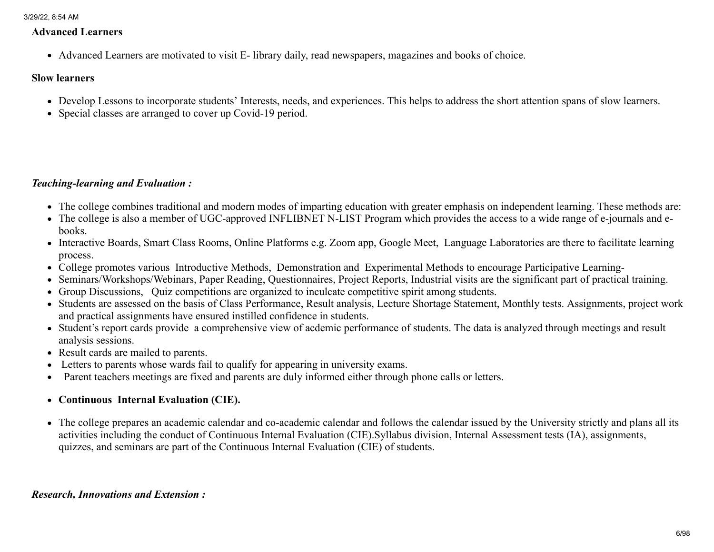#### Advanced Learners

Advanced Learners are motivated to visit E- library daily, read newspapers, magazines and books of choice.

#### Slow learners

- Develop Lessons to incorporate students' Interests, needs, and experiences. This helps to address the short attention spans of slow learners.
- Special classes are arranged to cover up Covid-19 period.

## *Teaching-learning and Evaluation :*

- The college combines traditional and modern modes of imparting education with greater emphasis on independent learning. These methods are:
- The college is also a member of UGC-approved INFLIBNET N-LIST Program which provides the access to a wide range of e-journals and ebooks.
- Interactive Boards, Smart Class Rooms, Online Platforms e.g. Zoom app, Google Meet, Language Laboratories are there to facilitate learning process.
- College promotes various Introductive Methods, Demonstration and Experimental Methods to encourage Participative Learning-
- Seminars/Workshops/Webinars, Paper Reading, Questionnaires, Project Reports, Industrial visits are the significant part of practical training.
- Group Discussions, Quiz competitions are organized to inculcate competitive spirit among students.
- Students are assessed on the basis of Class Performance, Result analysis, Lecture Shortage Statement, Monthly tests. Assignments, project work and practical assignments have ensured instilled confidence in students.
- Student's report cards provide a comprehensive view of acdemic performance of students. The data is analyzed through meetings and result analysis sessions.
- Result cards are mailed to parents.
- Letters to parents whose wards fail to qualify for appearing in university exams.
- Parent teachers meetings are fixed and parents are duly informed either through phone calls or letters.
- Continuous Internal Evaluation (CIE).
- The college prepares an academic calendar and co-academic calendar and follows the calendar issued by the University strictly and plans all its activities including the conduct of Continuous Internal Evaluation (CIE).Syllabus division, Internal Assessment tests (IA), assignments, quizzes, and seminars are part of the Continuous Internal Evaluation (CIE) of students.

## *Research, Innovations and Extension :*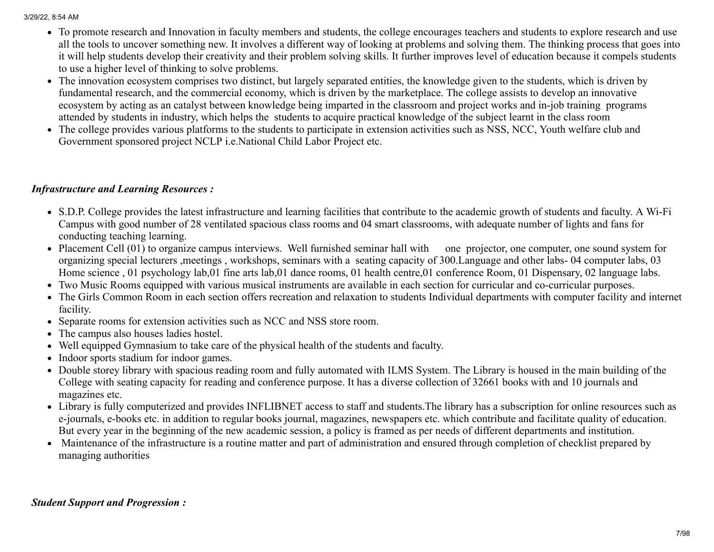- To promote research and Innovation in faculty members and students, the college encourages teachers and students to explore research and use all the tools to uncover something new. It involves a different way of looking at problems and solving them. The thinking process that goes into it will help students develop their creativity and their problem solving skills. It further improves level of education because it compels students to use a higher level of thinking to solve problems.
- The innovation ecosystem comprises two distinct, but largely separated entities, the knowledge given to the students, which is driven by fundamental research, and the commercial economy, which is driven by the marketplace. The college assists to develop an innovative ecosystem by acting as an catalyst between knowledge being imparted in the classroom and project works and in-job training programs attended by students in industry, which helps the students to acquire practical knowledge of the subject learnt in the class room
- The college provides various platforms to the students to participate in extension activities such as NSS, NCC, Youth welfare club and Government sponsored project NCLP i.e.National Child Labor Project etc.

## *Infrastructure and Learning Resources :*

- S.D.P. College provides the latest infrastructure and learning facilities that contribute to the academic growth of students and faculty. A Wi-Fi Campus with good number of 28 ventilated spacious class rooms and 04 smart classrooms, with adequate number of lights and fans for conducting teaching learning.
- Placement Cell (01) to organize campus interviews. Well furnished seminar hall with one projector, one computer, one sound system for organizing special lecturers ,meetings , workshops, seminars with a seating capacity of 300.Language and other labs- 04 computer labs, 03 Home science , 01 psychology lab,01 fine arts lab,01 dance rooms, 01 health centre,01 conference Room, 01 Dispensary, 02 language labs.
- Two Music Rooms equipped with various musical instruments are available in each section for curricular and co-curricular purposes.
- The Girls Common Room in each section offers recreation and relaxation to students Individual departments with computer facility and internet facility.
- Separate rooms for extension activities such as NCC and NSS store room.
- The campus also houses ladies hostel.
- Well equipped Gymnasium to take care of the physical health of the students and faculty.
- Indoor sports stadium for indoor games.
- Double storey library with spacious reading room and fully automated with ILMS System. The Library is housed in the main building of the College with seating capacity for reading and conference purpose. It has a diverse collection of 32661 books with and 10 journals and magazines etc.
- Library is fully computerized and provides INFLIBNET access to staff and students.The library has a subscription for online resources such as e-journals, e-books etc. in addition to regular books journal, magazines, newspapers etc. which contribute and facilitate quality of education. But every year in the beginning of the new academic session, a policy is framed as per needs of different departments and institution.
- Maintenance of the infrastructure is a routine matter and part of administration and ensured through completion of checklist prepared by managing authorities

## *Student Support and Progression :*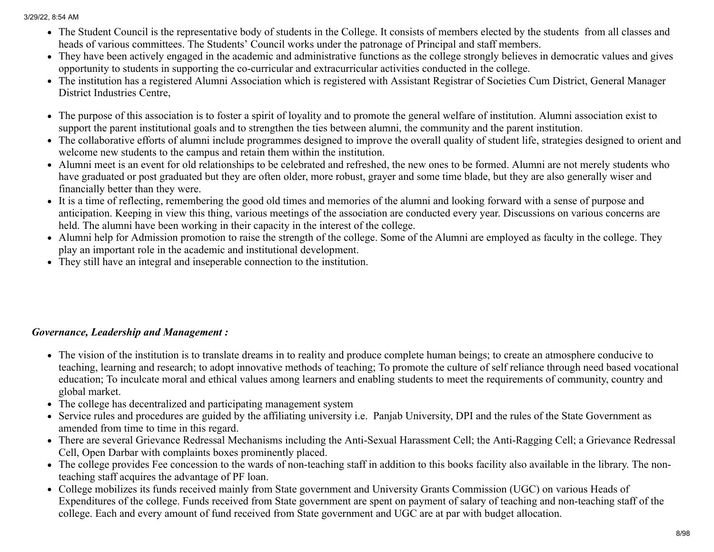- The Student Council is the representative body of students in the College. It consists of members elected by the students from all classes and heads of various committees. The Students' Council works under the patronage of Principal and staff members.
- They have been actively engaged in the academic and administrative functions as the college strongly believes in democratic values and gives opportunity to students in supporting the co-curricular and extracurricular activities conducted in the college.
- The institution has a registered Alumni Association which is registered with Assistant Registrar of Societies Cum District, General Manager District Industries Centre,
- The purpose of this association is to foster a spirit of loyality and to promote the general welfare of institution. Alumni association exist to support the parent institutional goals and to strengthen the ties between alumni, the community and the parent institution.
- The collaborative efforts of alumni include programmes designed to improve the overall quality of student life, strategies designed to orient and welcome new students to the campus and retain them within the institution.
- Alumni meet is an event for old relationships to be celebrated and refreshed, the new ones to be formed. Alumni are not merely students who have graduated or post graduated but they are often older, more robust, grayer and some time blade, but they are also generally wiser and financially better than they were.
- It is a time of reflecting, remembering the good old times and memories of the alumni and looking forward with a sense of purpose and anticipation. Keeping in view this thing, various meetings of the association are conducted every year. Discussions on various concerns are held. The alumni have been working in their capacity in the interest of the college.
- Alumni help for Admission promotion to raise the strength of the college. Some of the Alumni are employed as faculty in the college. They play an important role in the academic and institutional development.
- They still have an integral and inseperable connection to the institution.

## *Governance, Leadership and Management :*

- The vision of the institution is to translate dreams in to reality and produce complete human beings; to create an atmosphere conducive to teaching, learning and research; to adopt innovative methods of teaching; To promote the culture of self reliance through need based vocational education; To inculcate moral and ethical values among learners and enabling students to meet the requirements of community, country and global market.
- The college has decentralized and participating management system
- Service rules and procedures are guided by the affiliating university i.e. Panjab University, DPI and the rules of the State Government as amended from time to time in this regard.
- There are several Grievance Redressal Mechanisms including the Anti-Sexual Harassment Cell; the Anti-Ragging Cell; a Grievance Redressal Cell, Open Darbar with complaints boxes prominently placed.
- The college provides Fee concession to the wards of non-teaching staff in addition to this books facility also available in the library. The nonteaching staff acquires the advantage of PF loan.
- College mobilizes its funds received mainly from State government and University Grants Commission (UGC) on various Heads of Expenditures of the college. Funds received from State government are spent on payment of salary of teaching and non-teaching staff of the college. Each and every amount of fund received from State government and UGC are at par with budget allocation.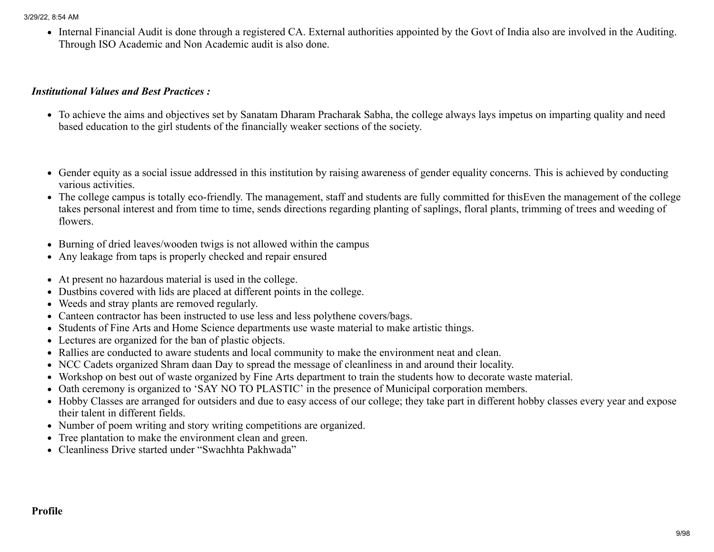Internal Financial Audit is done through a registered CA. External authorities appointed by the Govt of India also are involved in the Auditing. Through ISO Academic and Non Academic audit is also done.

#### *Institutional Values and Best Practices :*

- To achieve the aims and objectives set by Sanatam Dharam Pracharak Sabha, the college always lays impetus on imparting quality and need based education to the girl students of the financially weaker sections of the society.
- Gender equity as a social issue addressed in this institution by raising awareness of gender equality concerns. This is achieved by conducting various activities.
- The college campus is totally eco-friendly. The management, staff and students are fully committed for thisEven the management of the college takes personal interest and from time to time, sends directions regarding planting of saplings, floral plants, trimming of trees and weeding of flowers.
- Burning of dried leaves/wooden twigs is not allowed within the campus
- Any leakage from taps is properly checked and repair ensured
- At present no hazardous material is used in the college.
- Dustbins covered with lids are placed at different points in the college.
- Weeds and stray plants are removed regularly.
- Canteen contractor has been instructed to use less and less polythene covers/bags.
- Students of Fine Arts and Home Science departments use waste material to make artistic things.
- Lectures are organized for the ban of plastic objects.
- Rallies are conducted to aware students and local community to make the environment neat and clean.
- NCC Cadets organized Shram daan Day to spread the message of cleanliness in and around their locality.
- Workshop on best out of waste organized by Fine Arts department to train the students how to decorate waste material.
- Oath ceremony is organized to 'SAY NO TO PLASTIC' in the presence of Municipal corporation members.
- Hobby Classes are arranged for outsiders and due to easy access of our college; they take part in different hobby classes every year and expose their talent in different fields.
- Number of poem writing and story writing competitions are organized.
- Tree plantation to make the environment clean and green.
- Cleanliness Drive started under "Swachhta Pakhwada"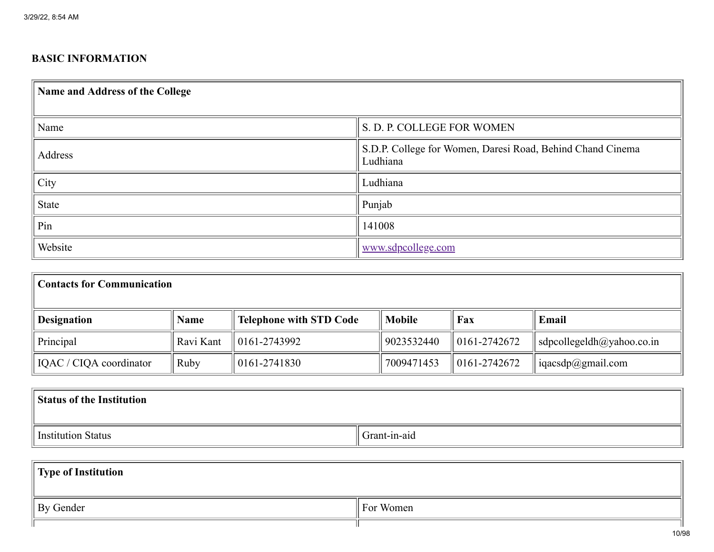## BASIC INFORMATION

| Name and Address of the College |                                                                        |  |  |  |  |  |  |  |
|---------------------------------|------------------------------------------------------------------------|--|--|--|--|--|--|--|
| Name                            | S. D. P. COLLEGE FOR WOMEN                                             |  |  |  |  |  |  |  |
| Address                         | S.D.P. College for Women, Daresi Road, Behind Chand Cinema<br>Ludhiana |  |  |  |  |  |  |  |
| City                            | Ludhiana                                                               |  |  |  |  |  |  |  |
| State                           | Punjab                                                                 |  |  |  |  |  |  |  |
| Pin                             | 141008                                                                 |  |  |  |  |  |  |  |
| Website                         | www.sdpcollege.com                                                     |  |  |  |  |  |  |  |

| <b>Contacts for Communication</b> |           |                                |               |                          |                                             |  |  |  |  |  |
|-----------------------------------|-----------|--------------------------------|---------------|--------------------------|---------------------------------------------|--|--|--|--|--|
| <b>Designation</b>                | Name      | <b>Telephone with STD Code</b> | <b>Mobile</b> | Fax                      | Email                                       |  |  |  |  |  |
| Principal                         | Ravi Kant | $\parallel$ 0161-2743992       | 9023532440    | $\parallel$ 0161-2742672 | $\vert$ sdpcollegeldh $\bar{a}$ yahoo.co.in |  |  |  |  |  |
| IQAC / CIQA coordinator           | Ruby      | $\parallel$ 0161-2741830       | 7009471453    | $\parallel$ 0161-2742672 | iqacsdp@gmail.com                           |  |  |  |  |  |

| <b>Status of the Institution</b> |              |  |  |  |  |  |  |  |  |
|----------------------------------|--------------|--|--|--|--|--|--|--|--|
| Institution Status               | Grant-in-aid |  |  |  |  |  |  |  |  |
| $\parallel$ Type of Institution  |              |  |  |  |  |  |  |  |  |
| By Gender                        | For Women    |  |  |  |  |  |  |  |  |

ТГ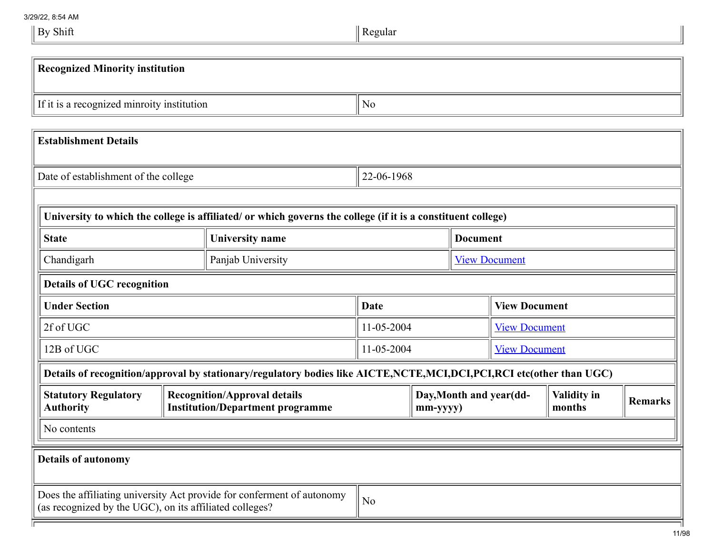3/29/22, 8:54 AM  $\parallel$  By Shift

| <b>Recognized Minority institution</b>                  |  |                                                                                                                     |                                    |                      |                 |                         |                              |                |  |
|---------------------------------------------------------|--|---------------------------------------------------------------------------------------------------------------------|------------------------------------|----------------------|-----------------|-------------------------|------------------------------|----------------|--|
|                                                         |  |                                                                                                                     |                                    |                      |                 |                         |                              |                |  |
| If it is a recognized minroity institution              |  |                                                                                                                     | N <sub>o</sub>                     |                      |                 |                         |                              |                |  |
|                                                         |  |                                                                                                                     |                                    |                      |                 |                         |                              |                |  |
| <b>Establishment Details</b>                            |  |                                                                                                                     |                                    |                      |                 |                         |                              |                |  |
|                                                         |  |                                                                                                                     |                                    |                      |                 |                         |                              |                |  |
| Date of establishment of the college                    |  |                                                                                                                     | 22-06-1968                         |                      |                 |                         |                              |                |  |
|                                                         |  |                                                                                                                     |                                    |                      |                 |                         |                              |                |  |
|                                                         |  | University to which the college is affiliated/ or which governs the college (if it is a constituent college)        |                                    |                      |                 |                         |                              |                |  |
| <b>State</b>                                            |  | <b>University name</b>                                                                                              |                                    |                      | <b>Document</b> |                         |                              |                |  |
| Chandigarh                                              |  | Panjab University                                                                                                   |                                    | <b>View Document</b> |                 |                         |                              |                |  |
| <b>Details of UGC recognition</b>                       |  |                                                                                                                     |                                    |                      |                 |                         |                              |                |  |
| <b>Under Section</b>                                    |  |                                                                                                                     | Date                               | <b>View Document</b> |                 |                         |                              |                |  |
| 2f of UGC                                               |  |                                                                                                                     | 11-05-2004                         |                      |                 | <b>View Document</b>    |                              |                |  |
| 12B of UGC                                              |  |                                                                                                                     | 11-05-2004<br><b>View Document</b> |                      |                 |                         |                              |                |  |
|                                                         |  | Details of recognition/approval by stationary/regulatory bodies like AICTE,NCTE,MCI,DCI,PCI,RCI etc(other than UGC) |                                    |                      |                 |                         |                              |                |  |
| <b>Statutory Regulatory</b><br><b>Authority</b>         |  | <b>Recognition/Approval details</b><br><b>Institution/Department programme</b>                                      |                                    | $mm$ -yyyy $)$       |                 | Day, Month and year(dd- | <b>Validity in</b><br>months | <b>Remarks</b> |  |
| No contents                                             |  |                                                                                                                     |                                    |                      |                 |                         |                              |                |  |
| <b>Details of autonomy</b>                              |  |                                                                                                                     |                                    |                      |                 |                         |                              |                |  |
| (as recognized by the UGC), on its affiliated colleges? |  | Does the affiliating university Act provide for conferment of autonomy                                              | No                                 |                      |                 |                         |                              |                |  |
|                                                         |  |                                                                                                                     |                                    |                      |                 |                         |                              |                |  |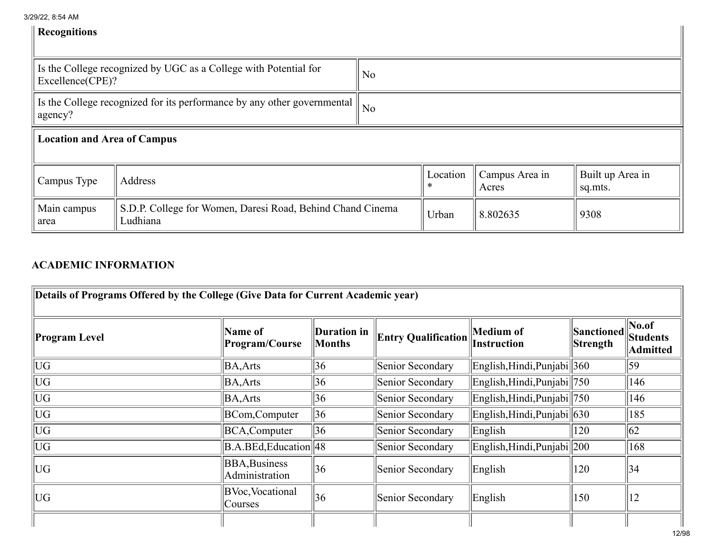| 3/29/22, 8:54 AM |  |  |
|------------------|--|--|
|------------------|--|--|

| <b>Recognitions</b>                |                                                                         |                |          |                         |                             |  |  |  |  |
|------------------------------------|-------------------------------------------------------------------------|----------------|----------|-------------------------|-----------------------------|--|--|--|--|
| Excellence(CPE)?                   | Is the College recognized by UGC as a College with Potential for        | N <sub>0</sub> |          |                         |                             |  |  |  |  |
| agency?                            | Is the College recognized for its performance by any other governmental | No             |          |                         |                             |  |  |  |  |
| <b>Location and Area of Campus</b> |                                                                         |                |          |                         |                             |  |  |  |  |
| Campus Type                        | Address                                                                 |                |          | Campus Area in<br>Acres | Built up Area in<br>sq.mts. |  |  |  |  |
| Main campus<br>area                | S.D.P. College for Women, Daresi Road, Behind Chand Cinema<br>Ludhiana  | Urban          | 8.802635 | 9308                    |                             |  |  |  |  |

## ACADEMIC INFORMATION

| Details of Programs Offered by the College (Give Data for Current Academic year) |                                        |                              |                            |                                             |                        |                                       |  |  |  |  |
|----------------------------------------------------------------------------------|----------------------------------------|------------------------------|----------------------------|---------------------------------------------|------------------------|---------------------------------------|--|--|--|--|
| Program Level                                                                    | Name of<br>Program/Course              | Duration in<br><b>Months</b> | <b>Entry Qualification</b> | Medium of<br>Instruction                    | Sanctioned<br>Strength | $\vert$ No.of<br>Students<br>Admitted |  |  |  |  |
| UG                                                                               | BA, Arts                               | 36                           | Senior Secondary           | English, Hindi, Punjabi 360                 |                        | 59                                    |  |  |  |  |
| <b>UG</b>                                                                        | <b>BA, Arts</b>                        | 36                           | Senior Secondary           | English, Hindi, Punjabi 750                 |                        | 146                                   |  |  |  |  |
| UG                                                                               | <b>BA, Arts</b>                        | 36                           | Senior Secondary           | English, Hindi, Punjabi 750                 |                        | 146                                   |  |  |  |  |
| UG                                                                               | BCom, Computer                         | 36                           | Senior Secondary           | $\vert$ English, Hindi, Punjabi $\vert$ 630 |                        | 185                                   |  |  |  |  |
| UG                                                                               | BCA, Computer                          | 36                           | Senior Secondary           | English                                     | 120                    | 62                                    |  |  |  |  |
| UG                                                                               | $ B.A.BEd, Education $ 48              |                              | Senior Secondary           | English, Hindi, Punjabi    200              |                        | 168                                   |  |  |  |  |
| UG                                                                               | <b>BBA, Business</b><br>Administration | 36                           | Senior Secondary           | English                                     | 120                    | 34                                    |  |  |  |  |
| UG                                                                               | <b>BVoc</b> , Vocational<br>Courses    | 36                           | Senior Secondary           | English                                     | 150                    | 12                                    |  |  |  |  |
|                                                                                  |                                        |                              |                            |                                             |                        |                                       |  |  |  |  |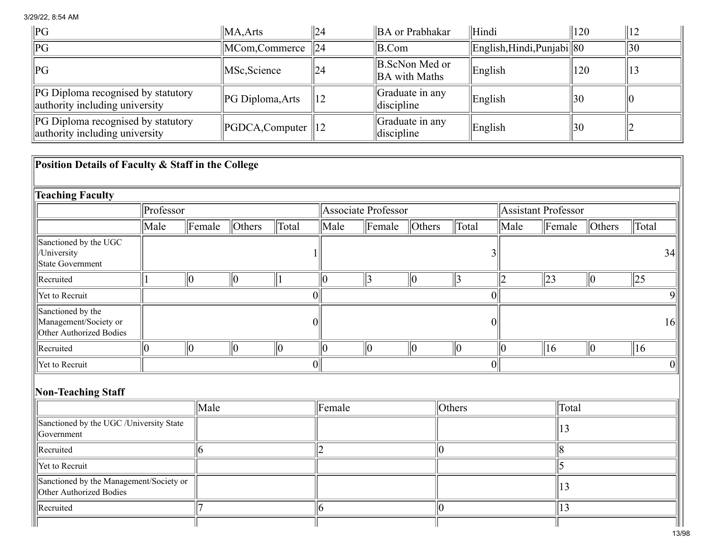| $\ {\bf PG}$                                                                | $\ MA, Arts$                     | $\frac{1}{2}$ | BA or Prabhakar                                   | Hindi                         | $ 120\rangle$ |            |
|-----------------------------------------------------------------------------|----------------------------------|---------------|---------------------------------------------------|-------------------------------|---------------|------------|
| $\ {\rm PG}$                                                                | $\vert$ MCom,Commerce $\vert$ 24 |               | $ B_{\cdot}$ Com                                  | English, Hindi, Punjabi    80 |               | $\vert$ 30 |
| $\ {\rm PG}$                                                                | MSc, Science                     | 24            | B.ScNon Med or<br><b>BA</b> with Maths            | English                       | 120           | ن ۱        |
| <b>PG</b> Diploma recognised by statutory<br>authority including university | $\ PG$ Diploma, Arts             | 12            | $\ $ Graduate in any<br>$\parallel$ discipline    | English                       | 30            |            |
| <b>PG</b> Diploma recognised by statutory<br>authority including university | $\ PGDCA, Computer\ $            | $ 12\rangle$  | $\vert$ Graduate in any<br>$\parallel$ discipline | English                       | 30            |            |

| Position Details of Faculty & Staff in the College                    |           |                    |                |                  |                |                     |             |               |      |                     |                |              |    |
|-----------------------------------------------------------------------|-----------|--------------------|----------------|------------------|----------------|---------------------|-------------|---------------|------|---------------------|----------------|--------------|----|
| <b>Teaching Faculty</b>                                               |           |                    |                |                  |                |                     |             |               |      |                     |                |              |    |
|                                                                       | Professor |                    |                |                  |                | Associate Professor |             |               |      | Assistant Professor |                |              |    |
|                                                                       | Male      | $\parallel$ Female | $\vert$ Others | Total            | Male           | $\Vert$ Female      | $ $ Others  | Total         | Male | Female              | $\vert$ Others | Total        |    |
| Sanctioned by the UGC<br>/University<br>State Government              |           |                    |                |                  |                |                     |             |               |      |                     |                |              | 34 |
| Recruited                                                             |           | $\ 0\ $            | $ 0\rangle$    |                  | 10             | 3                   | 10          | $\parallel$ 3 | 2    | 23                  | 10             | $ 25\rangle$ |    |
| Yet to Recruit                                                        |           |                    |                | $\overline{0}$   |                |                     |             | 0             |      |                     |                |              |    |
| Sanctioned by the<br>Management/Society or<br>Other Authorized Bodies |           |                    |                |                  | $\overline{0}$ |                     |             |               |      |                     |                |              | 16 |
| Recruited                                                             | $\theta$  | 10                 | 10             | $ 0\rangle$      | 10             | $ 0\rangle$         | $ 0\rangle$ | $\ 0\ $       | 10   | 16                  | $\parallel 0$  | $ 16\rangle$ |    |
| Yet to Recruit                                                        |           |                    |                | $\boldsymbol{0}$ |                |                     |             | 0             |      |                     |                |              |    |
| Non-Teaching Staff                                                    |           |                    |                |                  |                |                     |             |               |      |                     |                |              |    |
|                                                                       |           | Male               |                |                  | Female         |                     |             | $ $ Others    |      | Total               |                |              |    |
| Sanctioned by the UGC /University State<br>Government                 |           |                    |                |                  |                |                     |             |               |      | 13                  |                |              |    |
| Recruited                                                             |           | 6                  |                |                  |                |                     | Ю           |               |      | 8                   |                |              |    |
| Yet to Recruit                                                        |           |                    |                |                  |                |                     |             |               |      | 5                   |                |              |    |
| Sanctioned by the Management/Society or<br>Other Authorized Bodies    |           |                    |                |                  |                |                     |             |               |      | 13                  |                |              |    |
| Recruited                                                             |           |                    |                |                  | 6              |                     | K           |               |      | 13                  |                |              |    |
|                                                                       |           |                    |                |                  |                |                     |             |               |      |                     |                |              |    |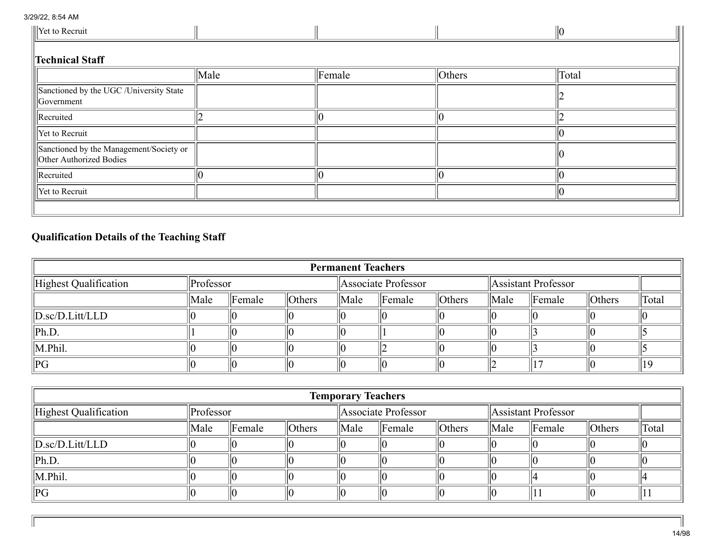Ш

| Yet to Recruit                                                            |      |                |        |       |  |  |  |  |  |  |
|---------------------------------------------------------------------------|------|----------------|--------|-------|--|--|--|--|--|--|
| <b>Technical Staff</b>                                                    |      |                |        |       |  |  |  |  |  |  |
|                                                                           | Male | $\Vert$ Female | Others | Total |  |  |  |  |  |  |
| Sanctioned by the UGC /University State<br>Government                     |      |                |        |       |  |  |  |  |  |  |
| Recruited                                                                 |      |                |        |       |  |  |  |  |  |  |
| Yet to Recruit                                                            |      |                |        |       |  |  |  |  |  |  |
| Sanctioned by the Management/Society or<br><b>Other Authorized Bodies</b> |      |                |        |       |  |  |  |  |  |  |
| Recruited                                                                 |      |                |        |       |  |  |  |  |  |  |
| Yet to Recruit                                                            |      |                |        |       |  |  |  |  |  |  |
|                                                                           |      |                |        |       |  |  |  |  |  |  |

## Qualification Details of the Teaching Staff

| <b>Permanent Teachers</b>             |           |                    |            |                     |                    |            |                     |                    |            |       |
|---------------------------------------|-----------|--------------------|------------|---------------------|--------------------|------------|---------------------|--------------------|------------|-------|
| Highest Qualification                 | Professor |                    |            | Associate Professor |                    |            | Assistant Professor |                    |            |       |
|                                       | Male      | $\parallel$ Female | $ $ Others | ∥Male               | $\parallel$ Female | $ $ Others | Male                | $\parallel$ Female | $ $ Others | Total |
| $\ D \text{.sc}/D \text{.Litt/LLD}\ $ |           |                    |            |                     |                    |            |                     |                    |            |       |
| $\ Ph.D.$                             |           |                    |            |                     |                    |            |                     |                    |            |       |
| $\ $ M.Phil.                          |           |                    |            |                     |                    |            |                     |                    |            |       |
| PG                                    |           |                    |            |                     |                    |            |                     |                    |            |       |

|                                       |      |                     |            | <b>Temporary Teachers</b> |                    |                     |      |                    |        |       |
|---------------------------------------|------|---------------------|------------|---------------------------|--------------------|---------------------|------|--------------------|--------|-------|
| Highest Qualification                 |      | $\ $ Professor      |            | Associate Professor       |                    | Assistant Professor |      |                    |        |       |
|                                       | Male | $\mathbb{F}$ Female | $ $ Others | $\ $ Male                 | $\parallel$ Female | $ $ Others          | Male | $\parallel$ Female | Others | Total |
| $\ D \text{.sc}/D \text{.Litt/LLD}\ $ |      |                     |            |                           |                    |                     |      |                    |        |       |
| $\ Ph.D.$                             |      |                     |            |                           |                    |                     |      |                    |        |       |
| $\ $ M.Phil.                          |      |                     |            |                           |                    |                     |      |                    |        |       |
| $\ PG$                                |      |                     |            |                           |                    |                     |      |                    |        |       |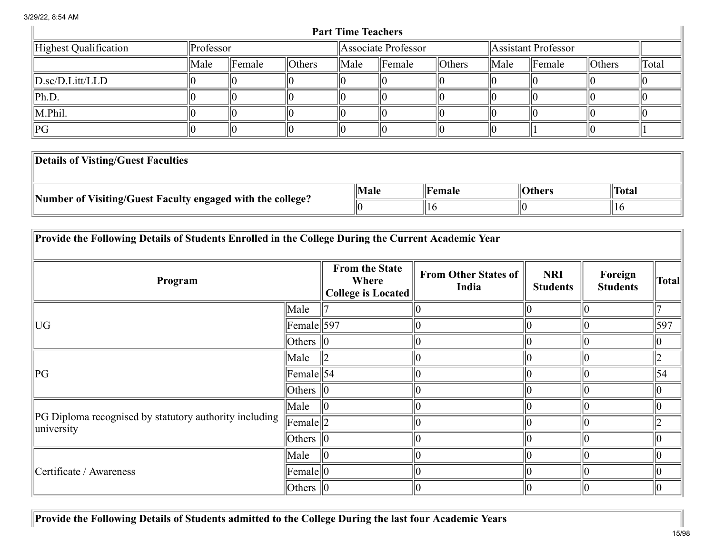|                                       |                |                    |            | <b>Part Time Teachers</b> |                   |                     |      |                    |        |       |
|---------------------------------------|----------------|--------------------|------------|---------------------------|-------------------|---------------------|------|--------------------|--------|-------|
| Highest Qualification                 | $\ $ Professor |                    |            | Associate Professor       |                   | Assistant Professor |      |                    |        |       |
|                                       | Male           | $\parallel$ Female | $ $ Others | $\ $ Male                 | $\mathbf{Female}$ | $ $ Others          | Male | $\parallel$ Female | Others | Total |
| $\ D \text{.sc}/D \text{.Litt/LLD}\ $ |                |                    |            |                           |                   |                     |      |                    |        |       |
| $\ Ph.D.$                             |                |                    |            |                           |                   |                     |      |                    |        |       |
| $\ M.Phi\ $ .                         |                |                    |            |                           |                   |                     |      |                    |        |       |
| $\ {\rm PG}$                          |                |                    |            |                           |                   |                     |      |                    |        |       |

| Details of Visting/Guest Faculties                         |      |        |               |       |
|------------------------------------------------------------|------|--------|---------------|-------|
|                                                            | Male | Female | <b>Others</b> | Total |
| Number of Visiting/Guest Faculty engaged with the college? |      |        | IIC           | 11 O  |

| Provide the Following Details of Students Enrolled in the College During the Current Academic Year |                     |                                                      |                                      |                               |                            |               |
|----------------------------------------------------------------------------------------------------|---------------------|------------------------------------------------------|--------------------------------------|-------------------------------|----------------------------|---------------|
| Program                                                                                            |                     | <b>From the State</b><br>Where<br>College is Located | <b>From Other States of</b><br>India | <b>NRI</b><br><b>Students</b> | Foreign<br><b>Students</b> | <b>Total</b>  |
|                                                                                                    | Male                |                                                      |                                      |                               |                            |               |
| UG                                                                                                 | $\text{Female}$ 597 |                                                      | 10                                   |                               |                            | 597           |
|                                                                                                    | Others $\ 0\ $      |                                                      | 10                                   |                               |                            |               |
|                                                                                                    | Male                |                                                      | $ 0\rangle$                          |                               |                            |               |
| $\ PG$                                                                                             | $\text{Female}$ 54  |                                                      | $ 0\rangle$                          |                               | 10                         | 54            |
|                                                                                                    | Others $\ 0\ $      |                                                      | $ 0\rangle$                          |                               | 10                         |               |
|                                                                                                    | Male                |                                                      | 10                                   |                               |                            |               |
| PG Diploma recognised by statutory authority including<br>university                               | Female  2           |                                                      | $ 0\rangle$                          |                               |                            |               |
|                                                                                                    | Others $\ 0\ $      |                                                      | $ 0\rangle$                          |                               | 10                         |               |
|                                                                                                    | Male                |                                                      | $ 0\rangle$                          |                               |                            |               |
| Certificate / Awareness                                                                            | Female  0           |                                                      | $ 0\rangle$                          |                               |                            |               |
|                                                                                                    | Others $\ 0\ $      |                                                      | $ 0\rangle$                          |                               | $ 0\rangle$                | $\parallel 0$ |

Provide the Following Details of Students admitted to the College During the last four Academic Years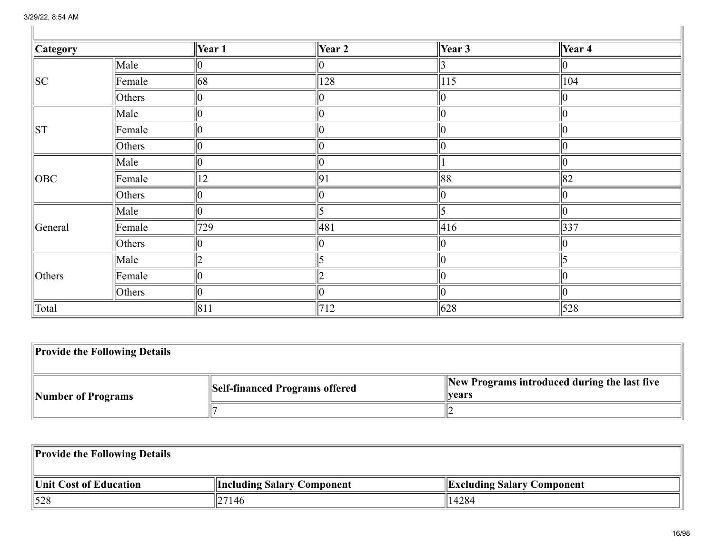| <b>Category</b> |                | $\vert$ Year 1    | Year 2 | $\sqrt{\text{Year 3}}$ | $\sqrt{\text{Year 4}}$ |
|-----------------|----------------|-------------------|--------|------------------------|------------------------|
|                 | Male           |                   |        |                        | $ 0\rangle$            |
| SC              | Female         | $\vert$ 68        | 128    | $ 115\rangle$          | 104                    |
|                 | Others         | Ю                 |        |                        | $ 0\rangle$            |
|                 | Male           |                   |        |                        | $ 0\rangle$            |
| ST              | Female         |                   |        |                        | $ 0\rangle$            |
|                 | Others         |                   |        |                        | 10                     |
|                 | $\ $ Male      |                   |        |                        | 10                     |
| OBC             | $\Vert$ Female | 12                | 91     | $\ 88$                 | $\ 82$                 |
|                 | Others         |                   |        |                        | $ 0\rangle$            |
|                 | $\ $ Male      |                   |        |                        | $ 0\rangle$            |
| General         | Female         | 729               | 481    | 416                    | $\sqrt{337}$           |
|                 | Others         |                   |        |                        | $ 0\rangle$            |
|                 | $\ $ Male      |                   |        |                        |                        |
| Others          | Female         | Ю                 |        |                        | $ 0\rangle$            |
|                 | $ $ Others     |                   |        |                        | $ 0\rangle$            |
| Total           |                | $\vert 811 \vert$ | 712    | $\parallel 628$        | $\parallel$ 528        |

| <b>Provide the Following Details</b> |                                |                                                         |
|--------------------------------------|--------------------------------|---------------------------------------------------------|
| Number of Programs                   | Self-financed Programs offered | New Programs introduced during the last five<br>  vears |
|                                      |                                |                                                         |

| <b>Provide the Following Details</b> |                                   |                                   |
|--------------------------------------|-----------------------------------|-----------------------------------|
| Unit Cost of Education               | <b>Including Salary Component</b> | <b>Excluding Salary Component</b> |
| $\parallel$ 528                      | 27146                             | 14284                             |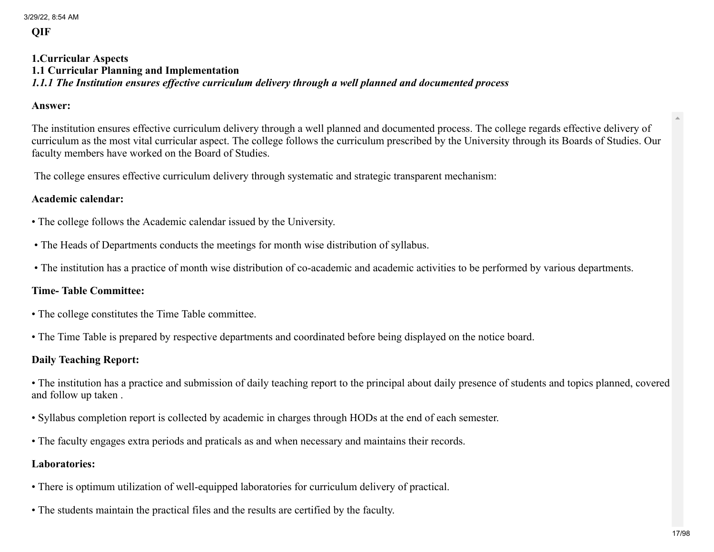```
3/29/22, 8:54 AM
```
**QIF** 

#### 1.Curricular Aspects 1.1 Curricular Planning and Implementation *1.1.1 The Institution ensures effective curriculum delivery through a well planned and documented process*

#### Answer:

The institution ensures effective curriculum delivery through a well planned and documented process. The college regards effective delivery of curriculum as the most vital curricular aspect. The college follows the curriculum prescribed by the University through its Boards of Studies. Our faculty members have worked on the Board of Studies.

The college ensures effective curriculum delivery through systematic and strategic transparent mechanism:

## Academic calendar:

- The college follows the Academic calendar issued by the University.
- The Heads of Departments conducts the meetings for month wise distribution of syllabus.
- The institution has a practice of month wise distribution of co-academic and academic activities to be performed by various departments.

## Time- Table Committee:

- The college constitutes the Time Table committee.
- The Time Table is prepared by respective departments and coordinated before being displayed on the notice board.

## Daily Teaching Report:

• The institution has a practice and submission of daily teaching report to the principal about daily presence of students and topics planned, covered and follow up taken .

- Syllabus completion report is collected by academic in charges through HODs at the end of each semester.
- The faculty engages extra periods and praticals as and when necessary and maintains their records.

## Laboratories:

- There is optimum utilization of well-equipped laboratories for curriculum delivery of practical.
- The students maintain the practical files and the results are certified by the faculty.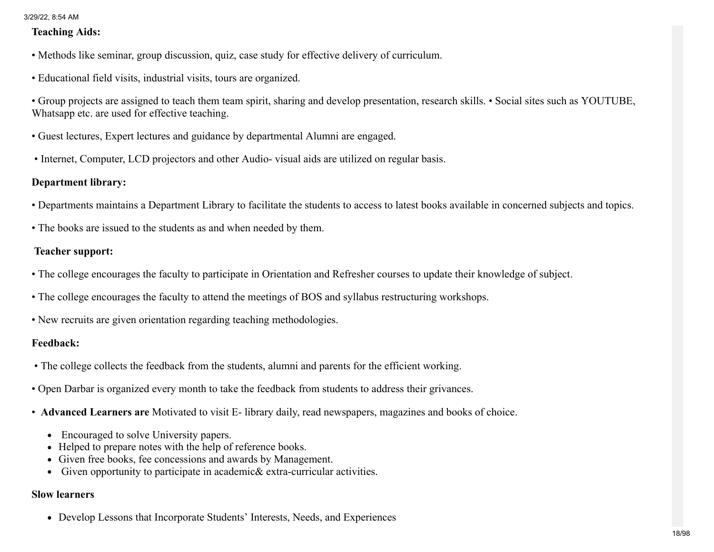#### Teaching Aids:

- Methods like seminar, group discussion, quiz, case study for effective delivery of curriculum.
- Educational field visits, industrial visits, tours are organized.

• Group projects are assigned to teach them team spirit, sharing and develop presentation, research skills. • Social sites such as YOUTUBE, Whatsapp etc. are used for effective teaching.

- Guest lectures, Expert lectures and guidance by departmental Alumni are engaged.
- Internet, Computer, LCD projectors and other Audio- visual aids are utilized on regular basis.

## Department library:

- Departments maintains a Department Library to facilitate the students to access to latest books available in concerned subjects and topics.
- The books are issued to the students as and when needed by them.

## Teacher support:

- The college encourages the faculty to participate in Orientation and Refresher courses to update their knowledge of subject.
- The college encourages the faculty to attend the meetings of BOS and syllabus restructuring workshops.
- New recruits are given orientation regarding teaching methodologies.

## Feedback:

- The college collects the feedback from the students, alumni and parents for the efficient working.
- Open Darbar is organized every month to take the feedback from students to address their grivances.
- Advanced Learners are Motivated to visit E- library daily, read newspapers, magazines and books of choice.
	- Encouraged to solve University papers.
	- Helped to prepare notes with the help of reference books.
	- Given free books, fee concessions and awards by Management.
	- Given opportunity to participate in academic& extra-curricular activities.

#### Slow learners

Develop Lessons that Incorporate Students' Interests, Needs, and Experiences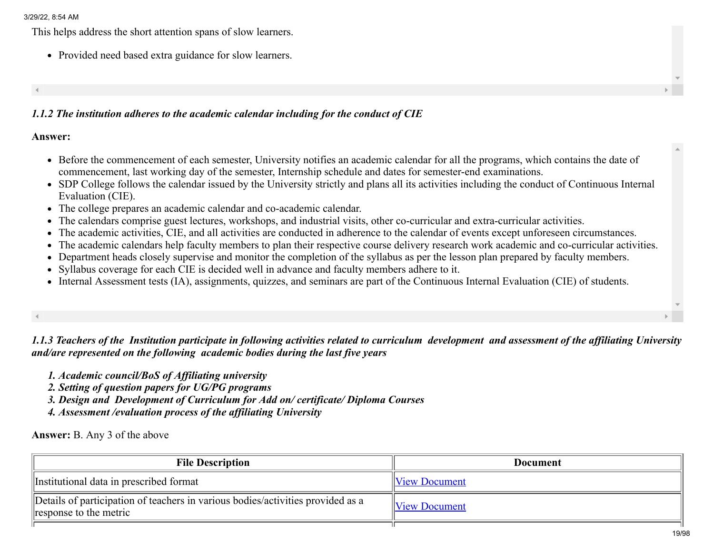This helps address the short attention spans of slow learners.

• Provided need based extra guidance for slow learners.

## *1.1.2 The institution adheres to the academic calendar including for the conduct of CIE*

#### Answer:

- Before the commencement of each semester, University notifies an academic calendar for all the programs, which contains the date of commencement, last working day of the semester, Internship schedule and dates for semester-end examinations.
- SDP College follows the calendar issued by the University strictly and plans all its activities including the conduct of Continuous Internal Evaluation (CIE).
- The college prepares an academic calendar and co-academic calendar.
- The calendars comprise guest lectures, workshops, and industrial visits, other co-curricular and extra-curricular activities.
- The academic activities, CIE, and all activities are conducted in adherence to the calendar of events except unforeseen circumstances.
- The academic calendars help faculty members to plan their respective course delivery research work academic and co-curricular activities.
- Department heads closely supervise and monitor the completion of the syllabus as per the lesson plan prepared by faculty members.
- Syllabus coverage for each CIE is decided well in advance and faculty members adhere to it.
- Internal Assessment tests (IA), assignments, quizzes, and seminars are part of the Continuous Internal Evaluation (CIE) of students.

*1.1.3 Teachers of the Institution participate in following activities related to curriculum development and assessment of the affiliating University and/are represented on the following academic bodies during the last five years*

- *1. Academic council/BoS of Affiliating university*
- *2. Setting of question papers for UG/PG programs*
- *3. Design and Development of Curriculum for Add on/ certificate/ Diploma Courses*
- *4. Assessment /evaluation process of the affiliating University*

#### Answer: B. Any 3 of the above

| <b>File Description</b>                                                                                   | Document             |
|-----------------------------------------------------------------------------------------------------------|----------------------|
| Institutional data in prescribed format                                                                   | <b>View Document</b> |
| Details of participation of teachers in various bodies/activities provided as a<br>response to the metric | <b>View Document</b> |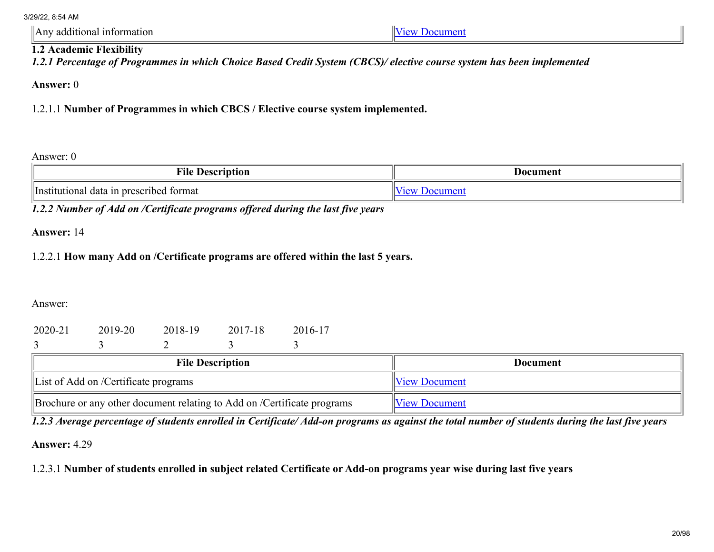Any additional information  $\sqrt{\frac{1}{2}}$ 

## 1.2 Academic Flexibility

*1.2.1 Percentage of Programmes in which Choice Based Credit System (CBCS)/ elective course system has been implemented*

Answer: 0

1.2.1.1 Number of Programmes in which CBCS / Elective course system implemented.

Answer: 0

| <b>Vile</b><br>Description                             | Document |
|--------------------------------------------------------|----------|
| <i>Institutional</i><br>a in prescribed format<br>data |          |

*1.2.2 Number of Add on /Certificate programs offered during the last five years*

Answer: 14

## 1.2.2.1 How many Add on /Certificate programs are offered within the last 5 years.

Answer:

| 2020-21 | 2019-20 | 2018-19 | 2017-18 | 2016-17 |
|---------|---------|---------|---------|---------|
|         |         |         |         |         |

| <b>File Description</b>                                                 | Document             |
|-------------------------------------------------------------------------|----------------------|
| List of Add on /Certificate programs                                    | <b>View Document</b> |
| Brochure or any other document relating to Add on /Certificate programs | <b>View Document</b> |

*1.2.3 Average percentage of students enrolled in Certificate/ Add-on programs as against the total number of students during the last five years*

Answer: 4.29

1.2.3.1 Number of students enrolled in subject related Certificate or Add-on programs year wise during last five years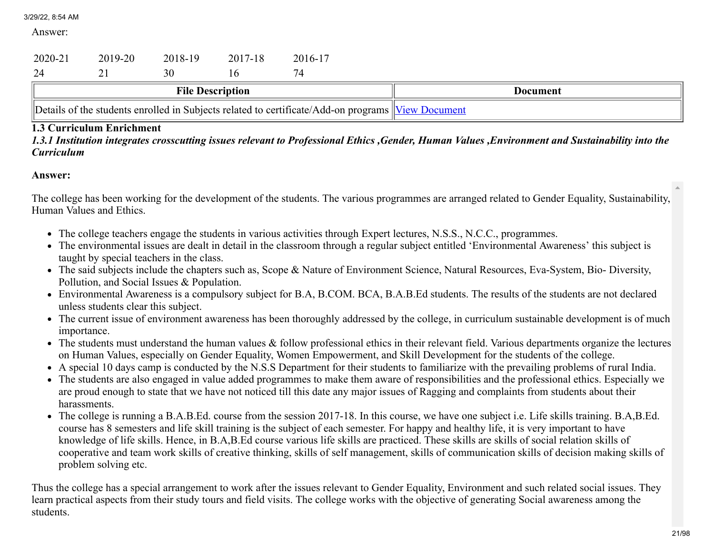Answer:

| 2020-21                 | 2019-20 | 2018-19 | 2017-18 | 2016-17 |          |
|-------------------------|---------|---------|---------|---------|----------|
|                         |         | 30      |         |         |          |
| <b>File Description</b> |         |         |         |         | Document |
|                         |         |         |         |         |          |

## 1.3 Curriculum Enrichment

*1.3.1 Institution integrates crosscutting issues relevant to Professional Ethics ,Gender, Human Values ,Environment and Sustainability into the Curriculum*

## Answer:

The college has been working for the development of the students. The various programmes are arranged related to Gender Equality, Sustainability, Human Values and Ethics.

- The college teachers engage the students in various activities through Expert lectures, N.S.S., N.C.C., programmes.
- The environmental issues are dealt in detail in the classroom through a regular subject entitled 'Environmental Awareness' this subject is taught by special teachers in the class.
- The said subjects include the chapters such as, Scope & Nature of Environment Science, Natural Resources, Eva-System, Bio- Diversity, Pollution, and Social Issues & Population.
- Environmental Awareness is a compulsory subject for B.A, B.COM. BCA, B.A.B.Ed students. The results of the students are not declared unless students clear this subject.
- The current issue of environment awareness has been thoroughly addressed by the college, in curriculum sustainable development is of much importance.
- The students must understand the human values & follow professional ethics in their relevant field. Various departments organize the lectures on Human Values, especially on Gender Equality, Women Empowerment, and Skill Development for the students of the college.
- A special 10 days camp is conducted by the N.S.S Department for their students to familiarize with the prevailing problems of rural India.
- The students are also engaged in value added programmes to make them aware of responsibilities and the professional ethics. Especially we are proud enough to state that we have not noticed till this date any major issues of Ragging and complaints from students about their harassments.
- The college is running a B.A.B.Ed. course from the session 2017-18. In this course, we have one subject i.e. Life skills training. B.A,B.Ed. course has 8 semesters and life skill training is the subject of each semester. For happy and healthy life, it is very important to have knowledge of life skills. Hence, in B.A,B.Ed course various life skills are practiced. These skills are skills of social relation skills of cooperative and team work skills of creative thinking, skills of self management, skills of communication skills of decision making skills of problem solving etc.

Thus the college has a special arrangement to work after the issues relevant to Gender Equality, Environment and such related social issues. They learn practical aspects from their study tours and field visits. The college works with the objective of generating Social awareness among the students.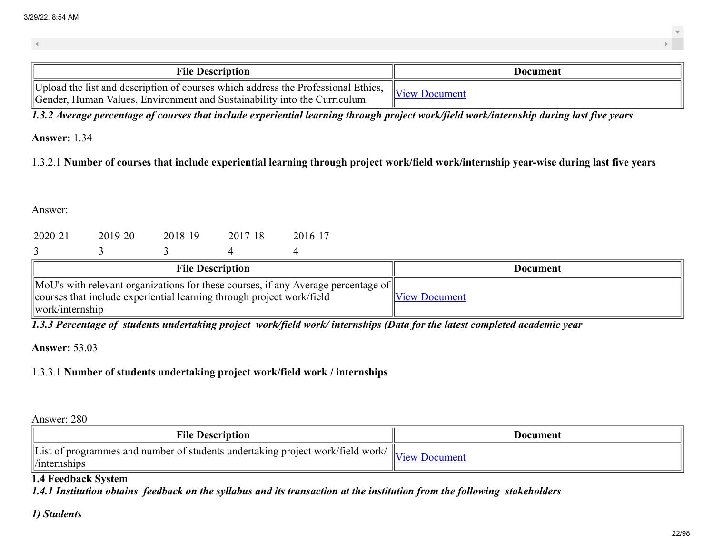| <b>File Description</b>                                                           | Document      |
|-----------------------------------------------------------------------------------|---------------|
| Upload the list and description of courses which address the Professional Ethics, | $\mathbf{u}$  |
| Gender, Human Values, Environment and Sustainability into the Curriculum.         | View Document |

*1.3.2 Average percentage of courses that include experiential learning through project work/field work/internship during last five years*

## Answer: 1.34

1.3.2.1 Number of courses that include experiential learning through project work/field work/internship year-wise during last five years

Answer:

| 2020-21 | 2019-20 | 2018-19 | 2017-18 | 2016-17 |  |
|---------|---------|---------|---------|---------|--|

| <b>File Description</b>                                                                                | <b>Document</b>      |
|--------------------------------------------------------------------------------------------------------|----------------------|
| $\vert$ MoU's with relevant organizations for these courses, if any Average percentage of $\vert\vert$ |                      |
| courses that include experiential learning through project work/field                                  | <b>View Document</b> |
| $\frac{1}{2}$ work/internship                                                                          |                      |

*1.3.3 Percentage of students undertaking project work/field work/ internships (Data for the latest completed academic year*

## Answer: 53.03

1.3.3.1 Number of students undertaking project work/field work / internships

Answer: 280

| <b>File Description</b>                                                                                                                                | Document |
|--------------------------------------------------------------------------------------------------------------------------------------------------------|----------|
| $\sqrt{1.1}$ ist of programmes and number of students undertaking project work/field work/ $\sqrt{\frac{1}{\text{View Department}}}$<br>  /internships |          |

## 1.4 Feedback System

*1.4.1 Institution obtains feedback on the syllabus and its transaction at the institution from the following stakeholders*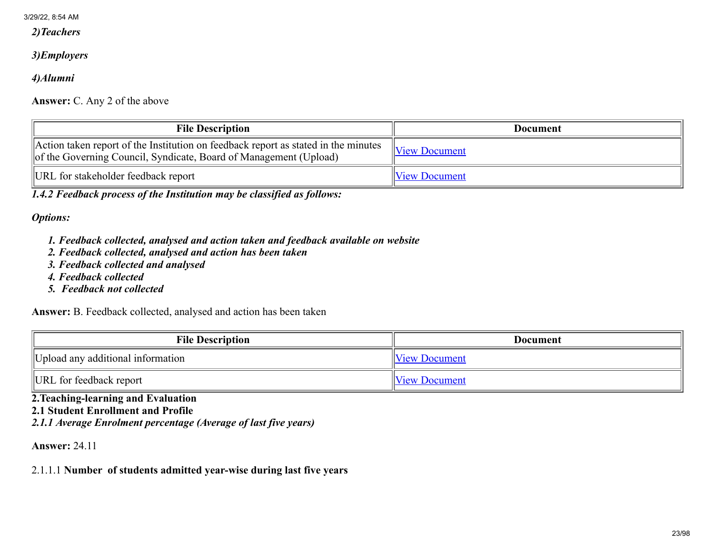*2)Teachers*

## *3)Employers*

*4)Alumni*

Answer: C. Any 2 of the above

| <b>File Description</b>                                                                                                                                 | <b>Document</b>      |
|---------------------------------------------------------------------------------------------------------------------------------------------------------|----------------------|
| Action taken report of the Institution on feedback report as stated in the minutes<br>of the Governing Council, Syndicate, Board of Management (Upload) | View Document        |
| URL for stakeholder feedback report                                                                                                                     | <b>View Document</b> |

*1.4.2 Feedback process of the Institution may be classified as follows:*

*Options:*

- *1. Feedback collected, analysed and action taken and feedback available on website*
- *2. Feedback collected, analysed and action has been taken*
- *3. Feedback collected and analysed*
- *4. Feedback collected*
- *5. Feedback not collected*

Answer: B. Feedback collected, analysed and action has been taken

| <b>File Description</b>           | Document             |
|-----------------------------------|----------------------|
| Upload any additional information | <b>View Document</b> |
| URL for feedback report           | <b>View Document</b> |

2.Teaching-learning and Evaluation 2.1 Student Enrollment and Profile *2.1.1 Average Enrolment percentage (Average of last five years)*

Answer: 24.11

2.1.1.1 Number of students admitted year-wise during last five years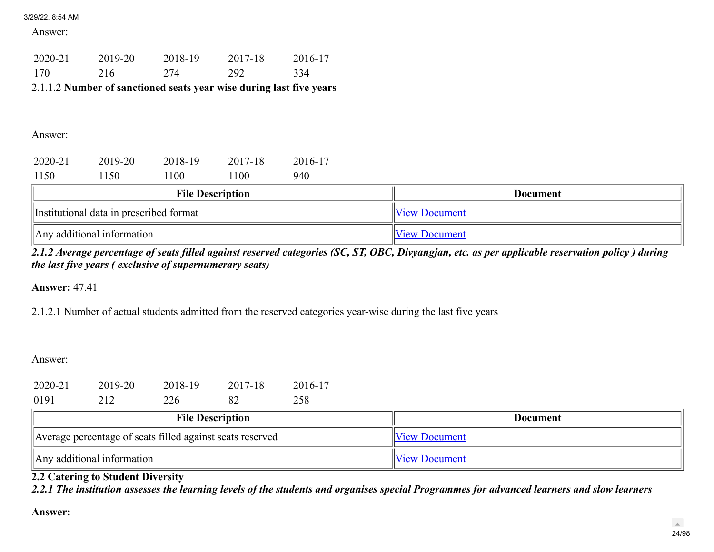Answer:

| 2019-20 | 2018-19 | 2017-18 | 2016-17                                                             |
|---------|---------|---------|---------------------------------------------------------------------|
| 216     | 274     | 292     | 334                                                                 |
|         |         |         |                                                                     |
|         |         |         |                                                                     |
|         |         |         |                                                                     |
|         |         |         | 2.1.1.2 Number of sanctioned seats year wise during last five years |

Answer:

| 2020-21                                 | 2019-20 | 2018-19 | 2017-18 | 2016-17 |                      |
|-----------------------------------------|---------|---------|---------|---------|----------------------|
| 1150                                    | 1150    | 1100    | 1100    | 940     |                      |
| <b>File Description</b>                 |         |         |         |         | Document             |
| Institutional data in prescribed format |         |         |         |         | <b>View Document</b> |
| $\parallel$ Any additional information  |         |         |         |         | <b>View Document</b> |

*2.1.2 Average percentage of seats filled against reserved categories (SC, ST, OBC, Divyangjan, etc. as per applicable reservation policy ) during the last five years ( exclusive of supernumerary seats)*

Answer: 47.41

2.1.2.1 Number of actual students admitted from the reserved categories year-wise during the last five years

Answer:

| 2020-21                    | 2019-20                                                   | 2018-19                 | 2017-18 | 2016-17         |                      |                      |
|----------------------------|-----------------------------------------------------------|-------------------------|---------|-----------------|----------------------|----------------------|
| 0191                       | 212                                                       | 226                     | 82      | 258             |                      |                      |
|                            |                                                           | <b>File Description</b> |         | <b>Document</b> |                      |                      |
|                            | Average percentage of seats filled against seats reserved |                         |         |                 |                      | <b>View Document</b> |
| Any additional information |                                                           |                         |         |                 | <b>View Document</b> |                      |

2.2 Catering to Student Diversity

*2.2.1 The institution assesses the learning levels of the students and organises special Programmes for advanced learners and slow learners*

Answer: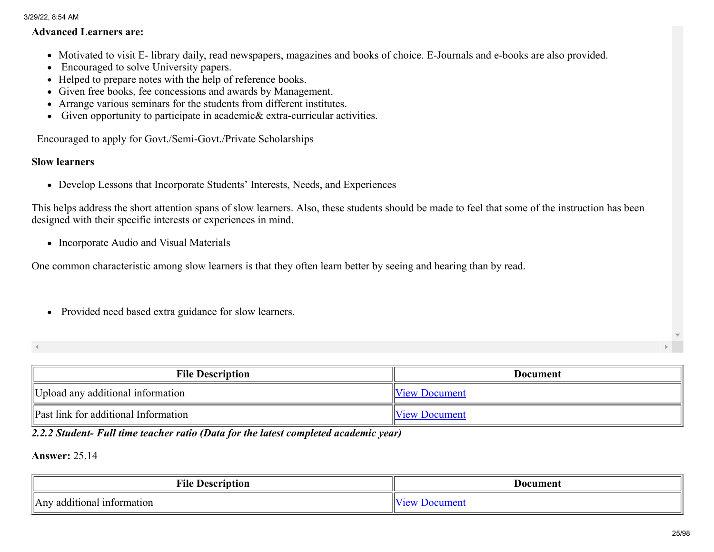#### Advanced Learners are:

- Motivated to visit E- library daily, read newspapers, magazines and books of choice. E-Journals and e-books are also provided.
- Encouraged to solve University papers.
- Helped to prepare notes with the help of reference books.
- Given free books, fee concessions and awards by Management.
- Arrange various seminars for the students from different institutes.
- Given opportunity to participate in academic& extra-curricular activities.

Encouraged to apply for Govt./Semi-Govt./Private Scholarships

## Slow learners

Develop Lessons that Incorporate Students' Interests, Needs, and Experiences

This helps address the short attention spans of slow learners. Also, these students should be made to feel that some of the instruction has been designed with their specific interests or experiences in mind.

• Incorporate Audio and Visual Materials

One common characteristic among slow learners is that they often learn better by seeing and hearing than by read.

• Provided need based extra guidance for slow learners.

| ∢ |  |
|---|--|
|   |  |
|   |  |

| <b>File Description</b>                     | <b>Document</b>      |
|---------------------------------------------|----------------------|
| Upload any additional information           | <b>View Document</b> |
| <b>Past link for additional Information</b> | <b>View Document</b> |

## *2.2.2 Student- Full time teacher ratio (Data for the latest completed academic year)*

Answer: 25.14

| <b>TIME</b><br>MHC.<br>$\mathbf{h}\mathbf{a}\mathbf{a}\mathbf{a}\mathbf{b}$<br>10I | Document |
|------------------------------------------------------------------------------------|----------|
| information<br>additional<br>$An^r$                                                |          |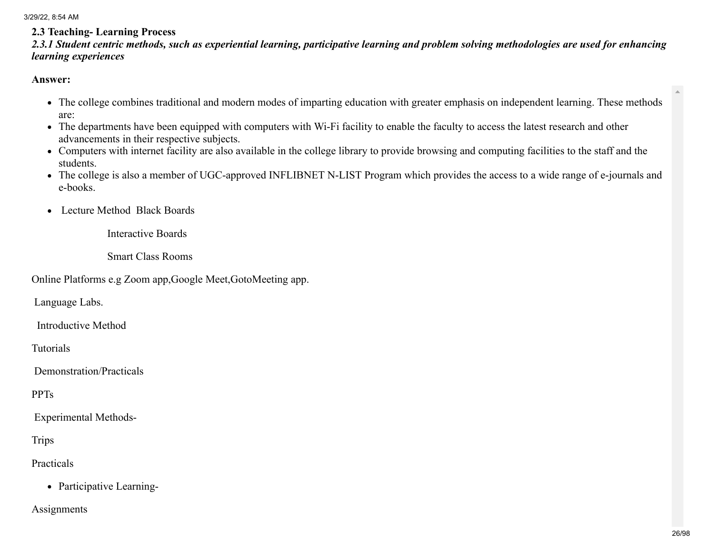## 2.3 Teaching- Learning Process

*2.3.1 Student centric methods, such as experiential learning, participative learning and problem solving methodologies are used for enhancing learning experiences*

#### Answer:

- The college combines traditional and modern modes of imparting education with greater emphasis on independent learning. These methods are:
- The departments have been equipped with computers with Wi-Fi facility to enable the faculty to access the latest research and other advancements in their respective subjects.
- Computers with internet facility are also available in the college library to provide browsing and computing facilities to the staff and the students.
- The college is also a member of UGC-approved INFLIBNET N-LIST Program which provides the access to a wide range of e-journals and e-books.
- Lecture Method Black Boards

Interactive Boards

Smart Class Rooms

Online Platforms e.g Zoom app,Google Meet,GotoMeeting app.

Language Labs.

Introductive Method

Tutorials

Demonstration/Practicals

PPTs

Experimental Methods-

**Trips** 

Practicals

• Participative Learning-

Assignments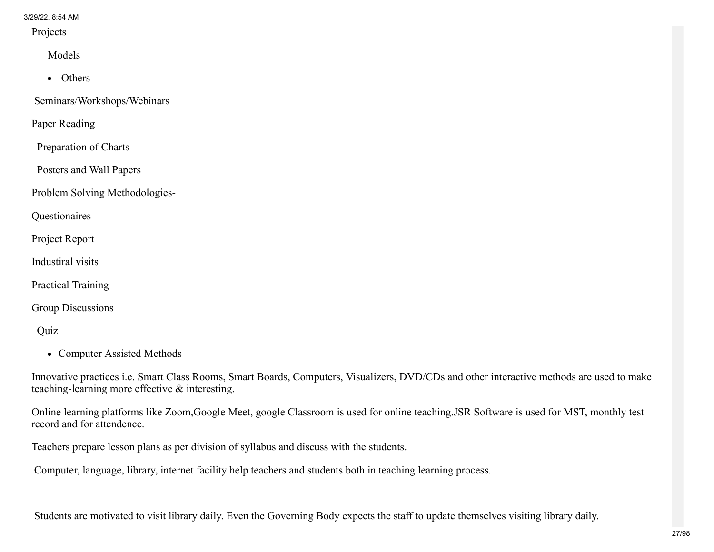Projects

Models

• Others

Seminars/Workshops/Webinars

Paper Reading

Preparation of Charts

Posters and Wall Papers

Problem Solving Methodologies-

Questionaires

Project Report

Industiral visits

Practical Training

Group Discussions

Quiz

• Computer Assisted Methods

Innovative practices i.e. Smart Class Rooms, Smart Boards, Computers, Visualizers, DVD/CDs and other interactive methods are used to make teaching-learning more effective & interesting.

Online learning platforms like Zoom,Google Meet, google Classroom is used for online teaching.JSR Software is used for MST, monthly test record and for attendence.

Teachers prepare lesson plans as per division of syllabus and discuss with the students.

Computer, language, library, internet facility help teachers and students both in teaching learning process.

Students are motivated to visit library daily. Even the Governing Body expects the staff to update themselves visiting library daily.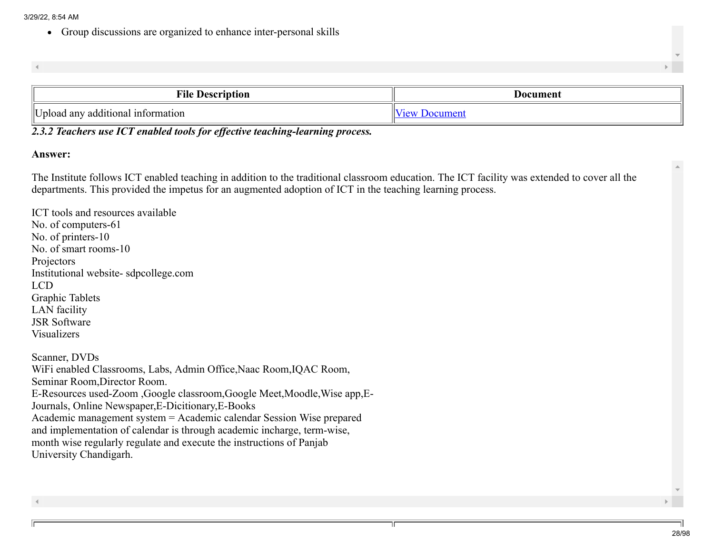Group discussions are organized to enhance inter-personal skills

| <b>THE</b><br><b>Description</b><br>мнс            | Document                      |
|----------------------------------------------------|-------------------------------|
| lτ<br>additional<br>1 information<br>any<br>Jpload | $\alpha$ n<br>01112<br>$\sim$ |

## *2.3.2 Teachers use ICT enabled tools for effective teaching-learning process.*

#### Answer:

The Institute follows ICT enabled teaching in addition to the traditional classroom education. The ICT facility was extended to cover all the departments. This provided the impetus for an augmented adoption of ICT in the teaching learning process.

ICT tools and resources available No. of computers-61 No. of printers-10 No. of smart rooms-10 Projectors Institutional website- sdpcollege.com LCD Graphic Tablets LAN facility JSR Software Visualizers Scanner, DVDs WiFi enabled Classrooms, Labs, Admin Office,Naac Room,IQAC Room, Seminar Room,Director Room. E-Resources used-Zoom ,Google classroom,Google Meet,Moodle,Wise app,E-Journals, Online Newspaper,E-Dicitionary,E-Books Academic management system = Academic calendar Session Wise prepared and implementation of calendar is through academic incharge, term-wise, month wise regularly regulate and execute the instructions of Panjab University Chandigarh.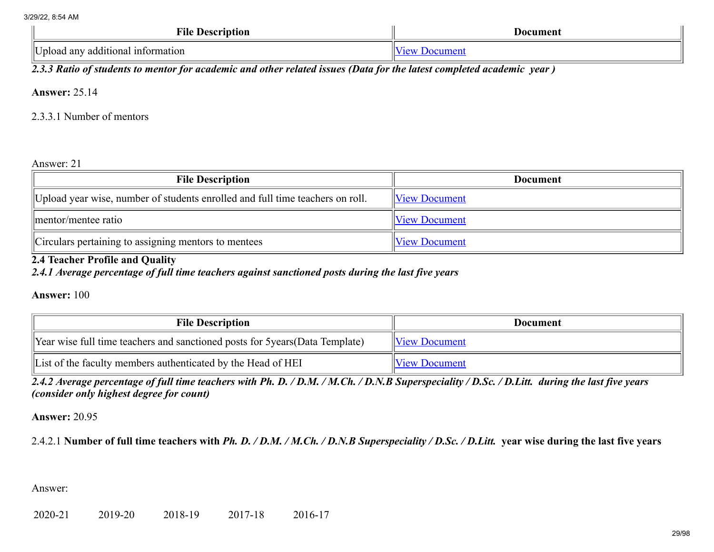| <b>File</b><br><b>Description</b>          | Document |
|--------------------------------------------|----------|
| llT 1<br>Upload any additional information |          |

*2.3.3 Ratio of students to mentor for academic and other related issues (Data for the latest completed academic year )*

Answer: 25.14

2.3.3.1 Number of mentors

Answer: 21

| <b>File Description</b>                                                       | <b>Document</b>      |
|-------------------------------------------------------------------------------|----------------------|
| Upload year wise, number of students enrolled and full time teachers on roll. | <b>View Document</b> |
| mentor/mentee ratio                                                           | <b>View Document</b> |
| Circulars pertaining to assigning mentors to mentees                          | <b>View Document</b> |

## 2.4 Teacher Profile and Quality

*2.4.1 Average percentage of full time teachers against sanctioned posts during the last five years*

Answer: 100

| <b>File Description</b>                                                      | <b>Document</b>      |
|------------------------------------------------------------------------------|----------------------|
| Year wise full time teachers and sanctioned posts for 5years (Data Template) | <b>View Document</b> |
| List of the faculty members authenticated by the Head of HEI                 | <b>View Document</b> |

*2.4.2 Average percentage of full time teachers with Ph. D. / D.M. / M.Ch. / D.N.B Superspeciality / D.Sc. / D.Litt. during the last five years (consider only highest degree for count)*

Answer: 20.95

2.4.2.1 Number of full time teachers with *Ph. D. / D.M. / M.Ch. / D.N.B Superspeciality / D.Sc. / D.Litt.* year wise during the last five years

Answer: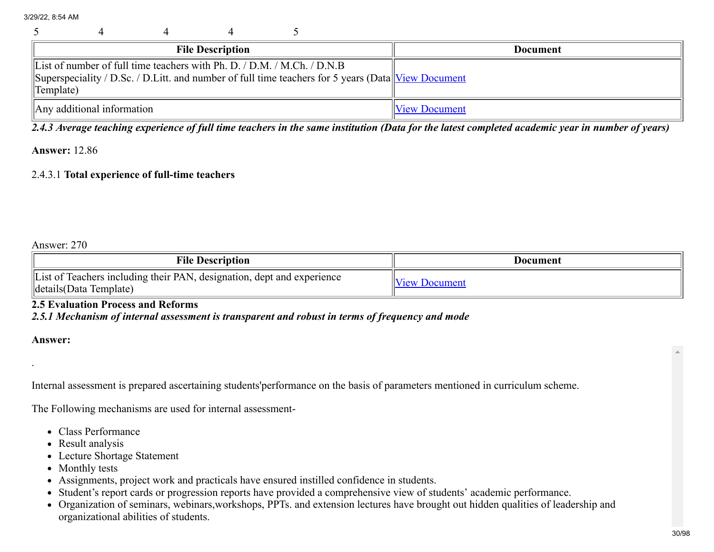|                                                                                                                                                                                                               |                                        |  | <b>File Description</b> |  |  | <b>Document</b>      |
|---------------------------------------------------------------------------------------------------------------------------------------------------------------------------------------------------------------|----------------------------------------|--|-------------------------|--|--|----------------------|
| List of number of full time teachers with Ph. D. $/$ D.M. $/$ M.Ch. $/$ D.N.B<br>Superspeciality / D.Sc. / D.Litt. and number of full time teachers for 5 years (Data View Document<br>$\mathbb{I}$ Template) |                                        |  |                         |  |  |                      |
|                                                                                                                                                                                                               | $\parallel$ Any additional information |  |                         |  |  | <b>View Document</b> |

*2.4.3 Average teaching experience of full time teachers in the same institution (Data for the latest completed academic year in number of years)*

#### Answer: 12.86

#### 2.4.3.1 Total experience of full-time teachers

## Answer: 270

| <b>File Description</b>                                                                               | Document             |
|-------------------------------------------------------------------------------------------------------|----------------------|
| List of Teachers including their PAN, designation, dept and experience<br>$\ $ details(Data Template) | <b>View Document</b> |

#### 2.5 Evaluation Process and Reforms

## *2.5.1 Mechanism of internal assessment is transparent and robust in terms of frequency and mode*

#### Answer:

.

Internal assessment is prepared ascertaining students'performance on the basis of parameters mentioned in curriculum scheme.

The Following mechanisms are used for internal assessment-

- Class Performance
- Result analysis
- Lecture Shortage Statement
- Monthly tests
- Assignments, project work and practicals have ensured instilled confidence in students.
- Student's report cards or progression reports have provided a comprehensive view of students' academic performance.
- Organization of seminars, webinars,workshops, PPTs. and extension lectures have brought out hidden qualities of leadership and organizational abilities of students.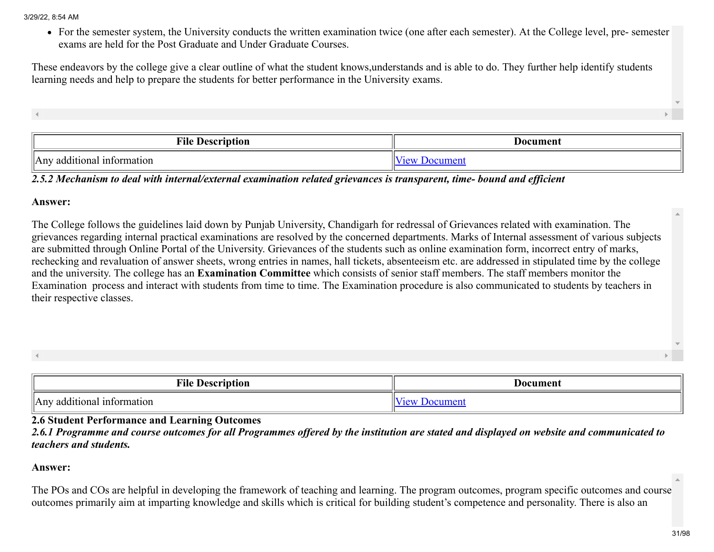For the semester system, the University conducts the written examination twice (one after each semester). At the College level, pre- semester exams are held for the Post Graduate and Under Graduate Courses.

These endeavors by the college give a clear outline of what the student knows,understands and is able to do. They further help identify students learning needs and help to prepare the students for better performance in the University exams.

File Description and the Document of the Document of the Document of Document and Document of Document of the Document of the Document of the Document of the Document of the Document of the Document of the Document of the Any additional information  $\sqrt{\frac{1}{2}}$ 

*2.5.2 Mechanism to deal with internal/external examination related grievances is transparent, time- bound and efficient*

#### Answer:

The College follows the guidelines laid down by Punjab University, Chandigarh for redressal of Grievances related with examination. The grievances regarding internal practical examinations are resolved by the concerned departments. Marks of Internal assessment of various subjects are submitted through Online Portal of the University. Grievances of the students such as online examination form, incorrect entry of marks, rechecking and revaluation of answer sheets, wrong entries in names, hall tickets, absenteeism etc. are addressed in stipulated time by the college and the university. The college has an Examination Committee which consists of senior staff members. The staff members monitor the Examination process and interact with students from time to time. The Examination procedure is also communicated to students by teachers in their respective classes.

| ≖∙<br>±ne<br>Description                        | Document |  |
|-------------------------------------------------|----------|--|
| . information<br>additional<br>$A^{\text{inv}}$ |          |  |

2.6 Student Performance and Learning Outcomes

*2.6.1 Programme and course outcomes for all Programmes offered by the institution are stated and displayed on website and communicated to teachers and students.*

## Answer:

The POs and COs are helpful in developing the framework of teaching and learning. The program outcomes, program specific outcomes and course outcomes primarily aim at imparting knowledge and skills which is critical for building student's competence and personality. There is also an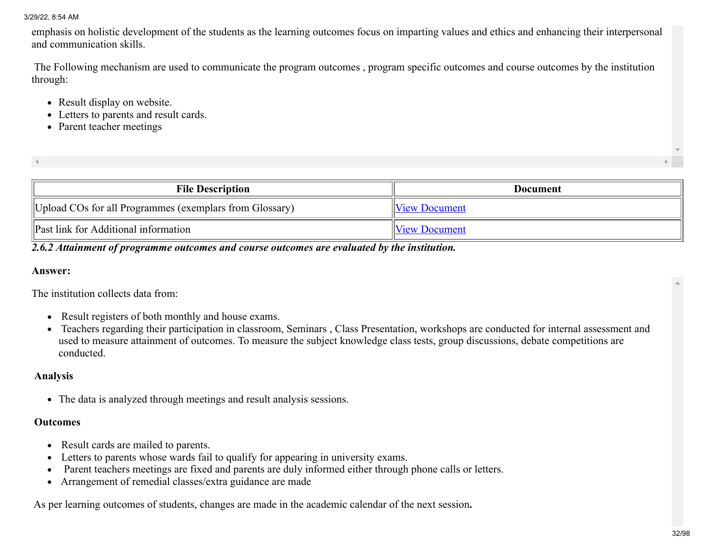emphasis on holistic development of the students as the learning outcomes focus on imparting values and ethics and enhancing their interpersonal and communication skills.

The Following mechanism are used to communicate the program outcomes , program specific outcomes and course outcomes by the institution through:

- Result display on website.
- Letters to parents and result cards.
- Parent teacher meetings

| <b>File Description</b>                                 | Document             |
|---------------------------------------------------------|----------------------|
| Upload COs for all Programmes (exemplars from Glossary) | <b>View Document</b> |
| <b>Past link for Additional information</b>             | <b>View Document</b> |

## *2.6.2 Attainment of programme outcomes and course outcomes are evaluated by the institution.*

#### Answer:

The institution collects data from:

- Result registers of both monthly and house exams.
- Teachers regarding their participation in classroom, Seminars , Class Presentation, workshops are conducted for internal assessment and used to measure attainment of outcomes. To measure the subject knowledge class tests, group discussions, debate competitions are conducted.

#### Analysis

The data is analyzed through meetings and result analysis sessions.

#### **Outcomes**

- Result cards are mailed to parents.
- Letters to parents whose wards fail to qualify for appearing in university exams.
- Parent teachers meetings are fixed and parents are duly informed either through phone calls or letters.
- Arrangement of remedial classes/extra guidance are made

As per learning outcomes of students, changes are made in the academic calendar of the next session.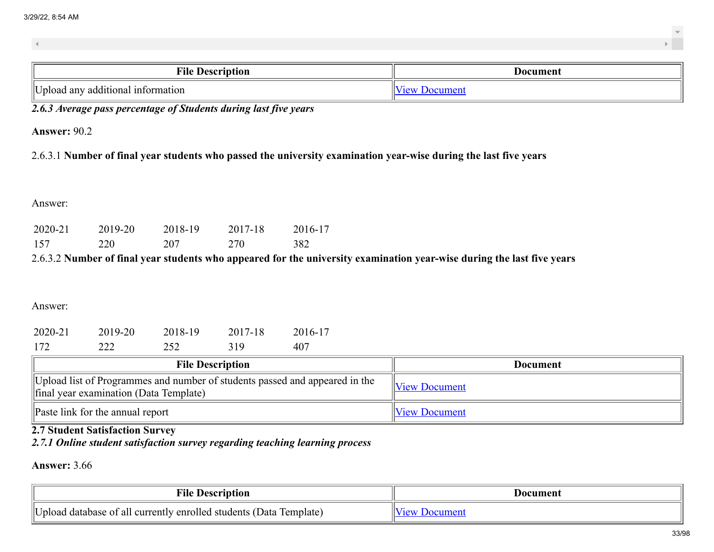| ╍<br><b>Description</b><br>чие    | Document |
|-----------------------------------|----------|
| Upload any additional information |          |

*2.6.3 Average pass percentage of Students during last five years*

Answer: 90.2

2.6.3.1 Number of final year students who passed the university examination year-wise during the last five years

Answer:

| 2020-21 | 2019-20 | 2018-19 | 2017-18 | 2016-17 |
|---------|---------|---------|---------|---------|
| 157     | 220     | 207     | 270     | 382     |

2.6.3.2 Number of final year students who appeared for the university examination year-wise during the last five years

Answer:

| 2020-21 | 2019-20 | 2018-19 | 2017-18 | 2016-17 |
|---------|---------|---------|---------|---------|
| 172     | 222     | 252     | 319     | 407     |

| <b>File Description</b>                                                                                               | Document      |
|-----------------------------------------------------------------------------------------------------------------------|---------------|
| Upload list of Programmes and number of students passed and appeared in the<br>final year examination (Data Template) | View Document |
| Paste link for the annual report                                                                                      | View Document |

## 2.7 Student Satisfaction Survey

*2.7.1 Online student satisfaction survey regarding teaching learning process*

Answer: 3.66

| ╍<br>tıon<br>Descrin<br>ЧН⊾                                                       | Document |
|-----------------------------------------------------------------------------------|----------|
| Unload<br>lemplate<br>enrolled<br>database of all currently<br>Data<br>! students |          |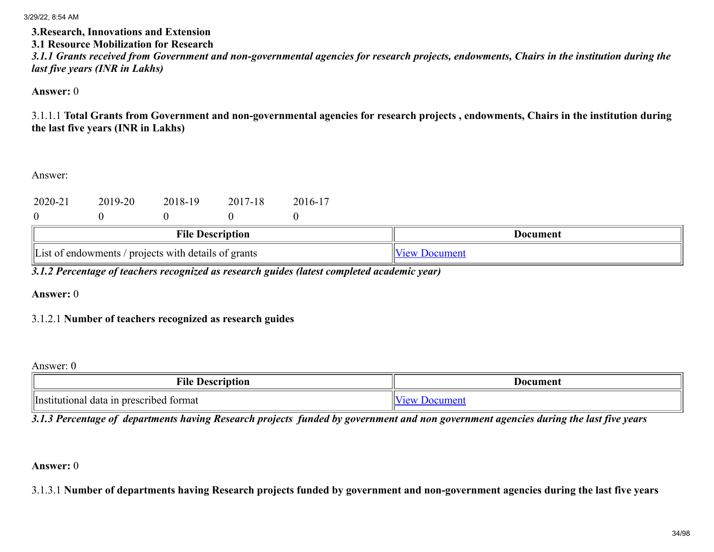#### 3.Research, Innovations and Extension 3.1 Resource Mobilization for Research

*3.1.1 Grants received from Government and non-governmental agencies for research projects, endowments, Chairs in the institution during the last five years (INR in Lakhs)*

Answer: 0

3.1.1.1 Total Grants from Government and non-governmental agencies for research projects , endowments, Chairs in the institution during the last five years (INR in Lakhs)

Answer:

| 2020-21                                                          | 2019-20 | 2018-19                 | 2017-18 | 2016-17              |  |                 |
|------------------------------------------------------------------|---------|-------------------------|---------|----------------------|--|-----------------|
|                                                                  |         | <b>File Description</b> |         |                      |  | <b>Document</b> |
| $\parallel$ List of endowments / projects with details of grants |         |                         |         | <b>View Document</b> |  |                 |

*3.1.2 Percentage of teachers recognized as research guides (latest completed academic year)*

Answer: 0

## 3.1.2.1 Number of teachers recognized as research guides

## Answer: 0

| $\blacksquare$<br>†1le<br>Description                | Document              |
|------------------------------------------------------|-----------------------|
| lv<br>  Institutional<br>I data in prescribed format | $\tilde{\phantom{a}}$ |

*3.1.3 Percentage of departments having Research projects funded by government and non government agencies during the last five years*

## Answer: 0

3.1.3.1 Number of departments having Research projects funded by government and non-government agencies during the last five years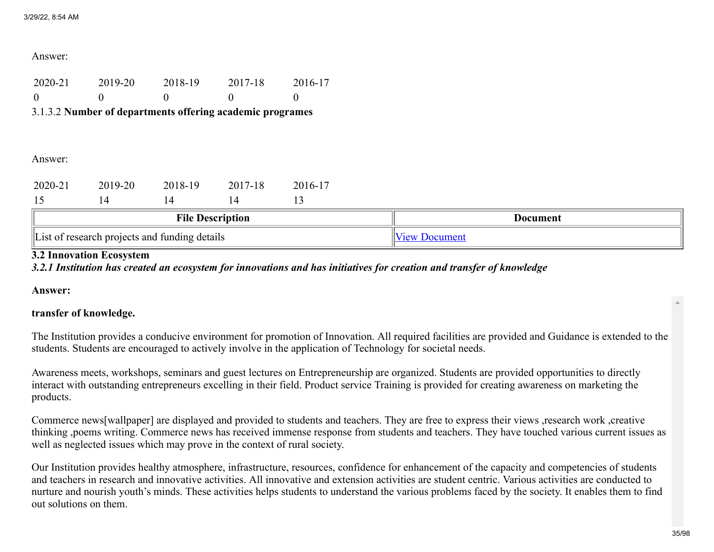#### Answer:

| 2020-21 | 2019-20 | 2018-19 | 2017-18 | 2016-17 |
|---------|---------|---------|---------|---------|
|         |         |         |         |         |

## 3.1.3.2 Number of departments offering academic programes

#### Answer:

| 2020-21                 | 2019-20 | 2018-19 | 2017-18 | 2016-17         |  |  |
|-------------------------|---------|---------|---------|-----------------|--|--|
|                         | 4       |         |         |                 |  |  |
| <b>File Description</b> |         |         |         | <b>Document</b> |  |  |
|                         |         |         |         |                 |  |  |

#### 3.2 Innovation Ecosystem

*3.2.1 Institution has created an ecosystem for innovations and has initiatives for creation and transfer of knowledge*

Answer:

## transfer of knowledge.

The Institution provides a conducive environment for promotion of Innovation. All required facilities are provided and Guidance is extended to the students. Students are encouraged to actively involve in the application of Technology for societal needs.

Awareness meets, workshops, seminars and guest lectures on Entrepreneurship are organized. Students are provided opportunities to directly interact with outstanding entrepreneurs excelling in their field. Product service Training is provided for creating awareness on marketing the products.

Commerce news[wallpaper] are displayed and provided to students and teachers. They are free to express their views ,research work ,creative thinking ,poems writing. Commerce news has received immense response from students and teachers. They have touched various current issues as well as neglected issues which may prove in the context of rural society.

Our Institution provides healthy atmosphere, infrastructure, resources, confidence for enhancement of the capacity and competencies of students and teachers in research and innovative activities. All innovative and extension activities are student centric. Various activities are conducted to nurture and nourish youth's minds. These activities helps students to understand the various problems faced by the society. It enables them to find out solutions on them.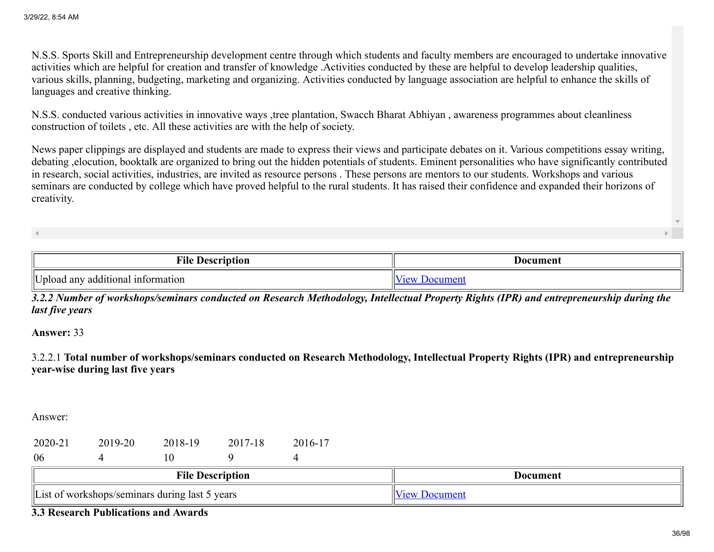N.S.S. Sports Skill and Entrepreneurship development centre through which students and faculty members are encouraged to undertake innovative activities which are helpful for creation and transfer of knowledge .Activities conducted by these are helpful to develop leadership qualities, various skills, planning, budgeting, marketing and organizing. Activities conducted by language association are helpful to enhance the skills of languages and creative thinking.

N.S.S. conducted various activities in innovative ways ,tree plantation, Swacch Bharat Abhiyan , awareness programmes about cleanliness construction of toilets , etc. All these activities are with the help of society.

News paper clippings are displayed and students are made to express their views and participate debates on it. Various competitions essay writing, debating ,elocution, booktalk are organized to bring out the hidden potentials of students. Eminent personalities who have significantly contributed in research, social activities, industries, are invited as resource persons . These persons are mentors to our students. Workshops and various seminars are conducted by college which have proved helpful to the rural students. It has raised their confidence and expanded their horizons of creativity.

| m•n<br>File<br><b>Description</b>               | Document |
|-------------------------------------------------|----------|
| llt t<br>Upload any additional<br>. information | $\sim$   |

*3.2.2 Number of workshops/seminars conducted on Research Methodology, Intellectual Property Rights (IPR) and entrepreneurship during the last five years*

Answer: 33

3.2.2.1 Total number of workshops/seminars conducted on Research Methodology, Intellectual Property Rights (IPR) and entrepreneurship year-wise during last five years

Answer:

| 2020-21 | 2019-20 | 2018-19 | 2017-18 | 2016-17 |
|---------|---------|---------|---------|---------|
| 06      |         |         |         |         |

| тч<br>⊕He<br>Jeserint<br>tıon<br>$\cdots$                               | Document |
|-------------------------------------------------------------------------|----------|
| ll⊤ ∙<br>during<br>eminars u<br>years<br>:shops/<br>last<br>work<br>1 C |          |

3.3 Research Publications and Awards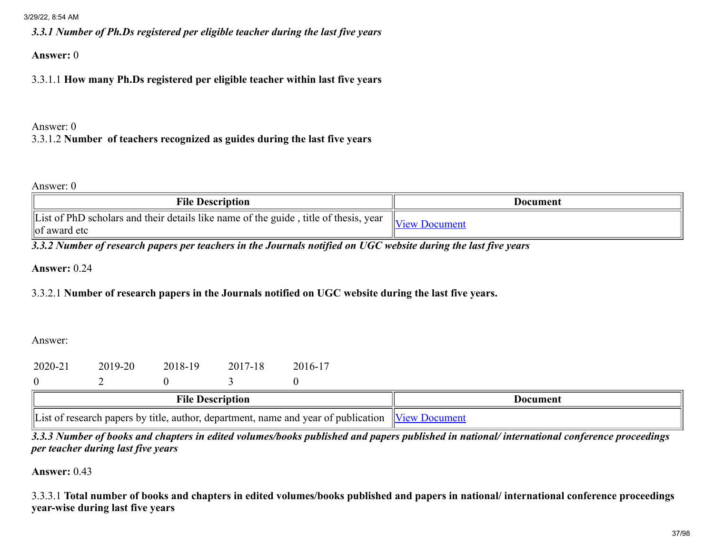*3.3.1 Number of Ph.Ds registered per eligible teacher during the last five years*

Answer: 0

3.3.1.1 How many Ph.Ds registered per eligible teacher within last five years

# Answer: 0 3.3.1.2 Number of teachers recognized as guides during the last five years

#### Answer: 0

| <b>File Description</b>                                                                                  | Document                            |
|----------------------------------------------------------------------------------------------------------|-------------------------------------|
| List of PhD scholars and their details like name of the guide, title of thesis, year<br>$\log$ award etc | $\mathbb{I}_{\text{View}}$ Document |

*3.3.2 Number of research papers per teachers in the Journals notified on UGC website during the last five years*

Answer: 0.24

# 3.3.2.1 Number of research papers in the Journals notified on UGC website during the last five years.

Answer:

| 2020-21 | 2019-20 | 2018-19 | 2017-18 | 2016-17 |
|---------|---------|---------|---------|---------|
|         |         |         |         |         |

| ┅.<br>: Description<br>∗ne                                                                         | Document             |
|----------------------------------------------------------------------------------------------------|----------------------|
| $\mathbf{I}$ ict<br>esearch papers by title, author, department,<br>, name and year of publication | $\sqrt{1 \text{PV}}$ |

*3.3.3 Number of books and chapters in edited volumes/books published and papers published in national/ international conference proceedings per teacher during last five years*

Answer: 0.43

3.3.3.1 Total number of books and chapters in edited volumes/books published and papers in national/ international conference proceedings year-wise during last five years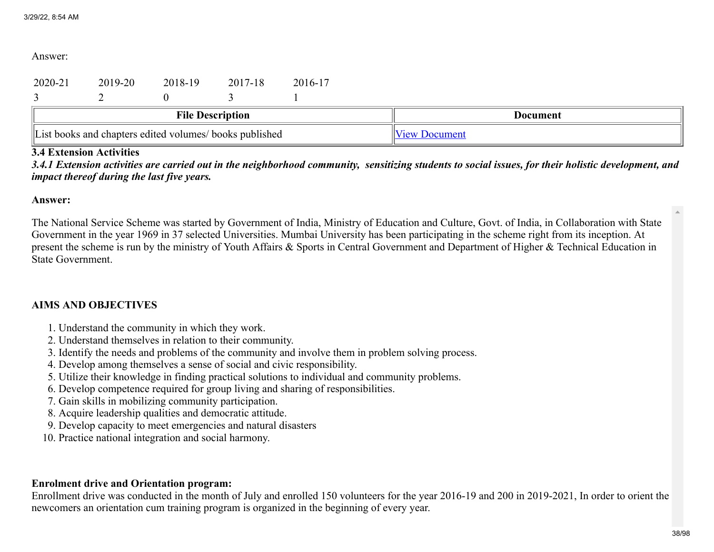Answer:

| 2020-21                                                 | 2019-20 | 2018-19 | 2017-18                 | 2016-17              |          |
|---------------------------------------------------------|---------|---------|-------------------------|----------------------|----------|
|                                                         |         |         |                         |                      |          |
|                                                         |         |         | <b>File Description</b> |                      | Document |
| List books and chapters edited volumes/ books published |         |         |                         | <b>View Document</b> |          |

## 3.4 Extension Activities

*3.4.1 Extension activities are carried out in the neighborhood community, sensitizing students to social issues, for their holistic development, and impact thereof during the last five years.*

#### Answer:

The National Service Scheme was started by Government of India, Ministry of Education and Culture, Govt. of India, in Collaboration with State Government in the year 1969 in 37 selected Universities. Mumbai University has been participating in the scheme right from its inception. At present the scheme is run by the ministry of Youth Affairs & Sports in Central Government and Department of Higher & Technical Education in State Government.

## AIMS AND OBJECTIVES

- 1. Understand the community in which they work.
- 2. Understand themselves in relation to their community.
- 3. Identify the needs and problems of the community and involve them in problem solving process.
- 4. Develop among themselves a sense of social and civic responsibility.
- 5. Utilize their knowledge in finding practical solutions to individual and community problems.
- 6. Develop competence required for group living and sharing of responsibilities.
- 7. Gain skills in mobilizing community participation.
- 8. Acquire leadership qualities and democratic attitude.
- 9. Develop capacity to meet emergencies and natural disasters
- 10. Practice national integration and social harmony.

## Enrolment drive and Orientation program:

Enrollment drive was conducted in the month of July and enrolled 150 volunteers for the year 2016-19 and 200 in 2019-2021, In order to orient the newcomers an orientation cum training program is organized in the beginning of every year.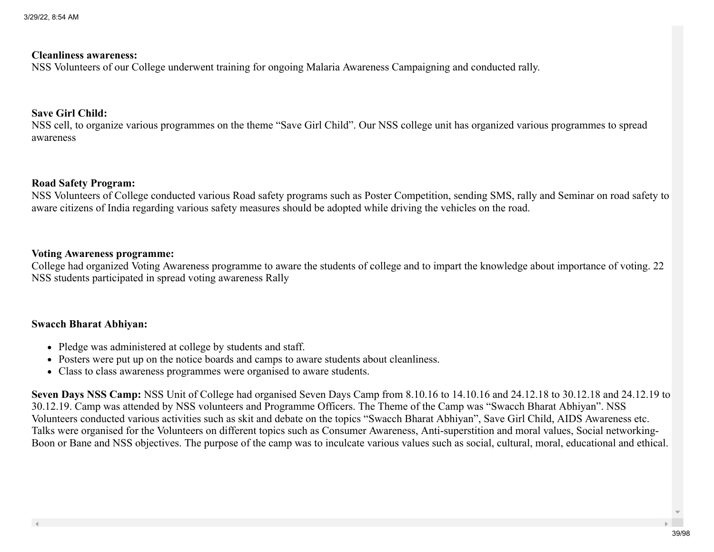#### Cleanliness awareness:

NSS Volunteers of our College underwent training for ongoing Malaria Awareness Campaigning and conducted rally.

#### Save Girl Child:

NSS cell, to organize various programmes on the theme "Save Girl Child". Our NSS college unit has organized various programmes to spread awareness

#### Road Safety Program:

NSS Volunteers of College conducted various Road safety programs such as Poster Competition, sending SMS, rally and Seminar on road safety to aware citizens of India regarding various safety measures should be adopted while driving the vehicles on the road.

#### Voting Awareness programme:

College had organized Voting Awareness programme to aware the students of college and to impart the knowledge about importance of voting. 22 NSS students participated in spread voting awareness Rally

#### Swacch Bharat Abhiyan:

- Pledge was administered at college by students and staff.
- Posters were put up on the notice boards and camps to aware students about cleanliness.
- Class to class awareness programmes were organised to aware students.

Seven Days NSS Camp: NSS Unit of College had organised Seven Days Camp from 8.10.16 to 14.10.16 and 24.12.18 to 30.12.18 and 24.12.19 to 30.12.19. Camp was attended by NSS volunteers and Programme Officers. The Theme of the Camp was "Swacch Bharat Abhiyan". NSS Volunteers conducted various activities such as skit and debate on the topics "Swacch Bharat Abhiyan", Save Girl Child, AIDS Awareness etc. Talks were organised for the Volunteers on different topics such as Consumer Awareness, Anti-superstition and moral values, Social networking-Boon or Bane and NSS objectives. The purpose of the camp was to inculcate various values such as social, cultural, moral, educational and ethical.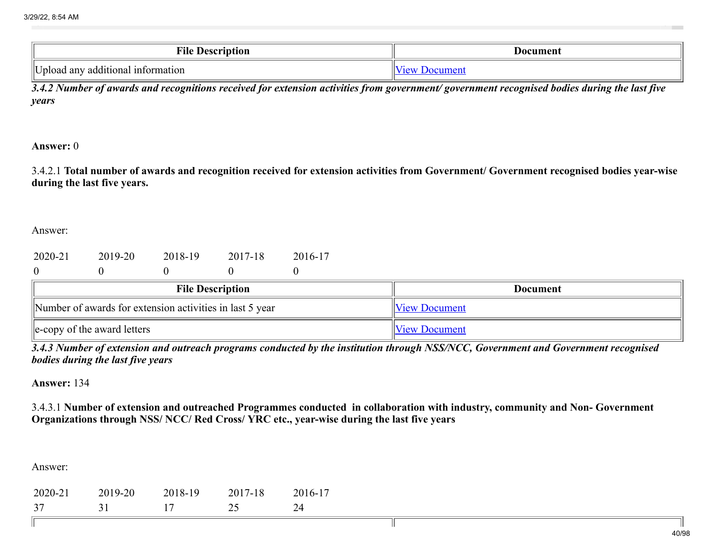| m•ı<br><b>Description</b><br>TIE     | Document |
|--------------------------------------|----------|
| Dpload any<br>additional information |          |

*3.4.2 Number of awards and recognitions received for extension activities from government/ government recognised bodies during the last five years*

Answer: 0

3.4.2.1 Total number of awards and recognition received for extension activities from Government/ Government recognised bodies year-wise during the last five years.

Answer:

| 2020-21 | 2019-20 | 2018-19 | 2017-18 | 2016-17 |
|---------|---------|---------|---------|---------|
|         |         |         |         |         |

| <b>File Description</b>                                  | <b>Document</b>      |
|----------------------------------------------------------|----------------------|
| Number of awards for extension activities in last 5 year | <b>View Document</b> |
| $\ $ e-copy of the award letters                         | <b>View Document</b> |

*3.4.3 Number of extension and outreach programs conducted by the institution through NSS/NCC, Government and Government recognised bodies during the last five years*

Answer: 134

3.4.3.1 Number of extension and outreached Programmes conducted in collaboration with industry, community and Non- Government Organizations through NSS/ NCC/ Red Cross/ YRC etc., year-wise during the last five years

Answer:

Ш

| 2020-21 | 2019-20 | 2018-19 | 2017-18 | 2016-17 |
|---------|---------|---------|---------|---------|
| 27      |         |         |         |         |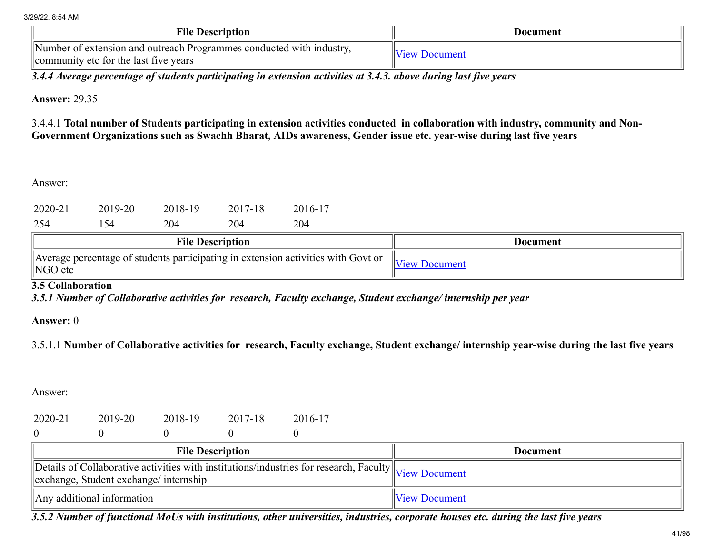| <b>File Description</b>                                                                                       | Document            |
|---------------------------------------------------------------------------------------------------------------|---------------------|
| Number of extension and outreach Programmes conducted with industry,<br>community etc for the last five years | <b>New Document</b> |

*3.4.4 Average percentage of students participating in extension activities at 3.4.3. above during last five years*

Answer: 29.35

3.4.4.1 Total number of Students participating in extension activities conducted in collaboration with industry, community and Non-Government Organizations such as Swachh Bharat, AIDs awareness, Gender issue etc. year-wise during last five years

Answer:

| 254     | ' 54    | 204     | 204     | 204     |  |
|---------|---------|---------|---------|---------|--|
| 2020-21 | 2019-20 | 2018-19 | 2017-18 | 2016-17 |  |

| <b>File Description</b>                                                                                  | Document             |
|----------------------------------------------------------------------------------------------------------|----------------------|
| Average percentage of students participating in extension activities with Govt or<br>$\parallel$ NGO etc | <b>View Document</b> |

# 3.5 Collaboration

*3.5.1 Number of Collaborative activities for research, Faculty exchange, Student exchange/ internship per year*

Answer: 0

3.5.1.1 Number of Collaborative activities for research, Faculty exchange, Student exchange/ internship year-wise during the last five years

Answer:

| 2020-21 | 2019-20 | 2018-19 | 2017-18 | 2016-17 |
|---------|---------|---------|---------|---------|
|         |         |         |         |         |

| <b>File Description</b>                                                                                                                                                      | Document             |
|------------------------------------------------------------------------------------------------------------------------------------------------------------------------------|----------------------|
| $\sqrt{\text{Details of Collaborative activities with institutions/industries}$ for research, Faculty $\sqrt{\text{View Document}}$<br>exchange, Student exchange/internship |                      |
| $\parallel$ Any additional information                                                                                                                                       | <b>View Document</b> |

*3.5.2 Number of functional MoUs with institutions, other universities, industries, corporate houses etc. during the last five years*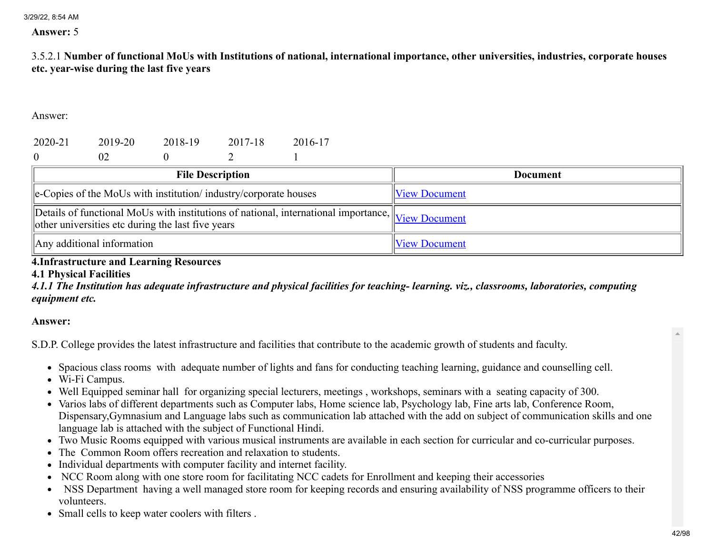#### Answer: 5

3.5.2.1 Number of functional MoUs with Institutions of national, international importance, other universities, industries, corporate houses etc. year-wise during the last five years

Answer:

| 2020-21                                                                                                                                                | 2019-20 | 2018-19 | 2017-18 | 2016-17 |                      |                 |
|--------------------------------------------------------------------------------------------------------------------------------------------------------|---------|---------|---------|---------|----------------------|-----------------|
| $\overline{0}$                                                                                                                                         | 02      |         |         |         |                      |                 |
| <b>File Description</b>                                                                                                                                |         |         |         |         |                      | <b>Document</b> |
| le-Copies of the MoUs with institution/industry/corporate houses                                                                                       |         |         |         |         | <b>View Document</b> |                 |
| Details of functional MoUs with institutions of national, international importance, View Document<br>other universities etc during the last five years |         |         |         |         |                      |                 |
| $\parallel$ Any additional information                                                                                                                 |         |         |         |         | <b>View Document</b> |                 |

### 4.Infrastructure and Learning Resources

### 4.1 Physical Facilities

*4.1.1 The Institution has adequate infrastructure and physical facilities for teaching- learning. viz., classrooms, laboratories, computing equipment etc.*

Answer:

S.D.P. College provides the latest infrastructure and facilities that contribute to the academic growth of students and faculty.

- Spacious class rooms with adequate number of lights and fans for conducting teaching learning, guidance and counselling cell.
- Wi-Fi Campus.
- Well Equipped seminar hall for organizing special lecturers, meetings , workshops, seminars with a seating capacity of 300.
- Varios labs of different departments such as Computer labs, Home science lab, Psychology lab, Fine arts lab, Conference Room, Dispensary,Gymnasium and Language labs such as communication lab attached with the add on subject of communication skills and one language lab is attached with the subject of Functional Hindi.
- Two Music Rooms equipped with various musical instruments are available in each section for curricular and co-curricular purposes.
- The Common Room offers recreation and relaxation to students.
- Individual departments with computer facility and internet facility.
- NCC Room along with one store room for facilitating NCC cadets for Enrollment and keeping their accessories
- NSS Department having a well managed store room for keeping records and ensuring availability of NSS programme officers to their volunteers.
- Small cells to keep water coolers with filters.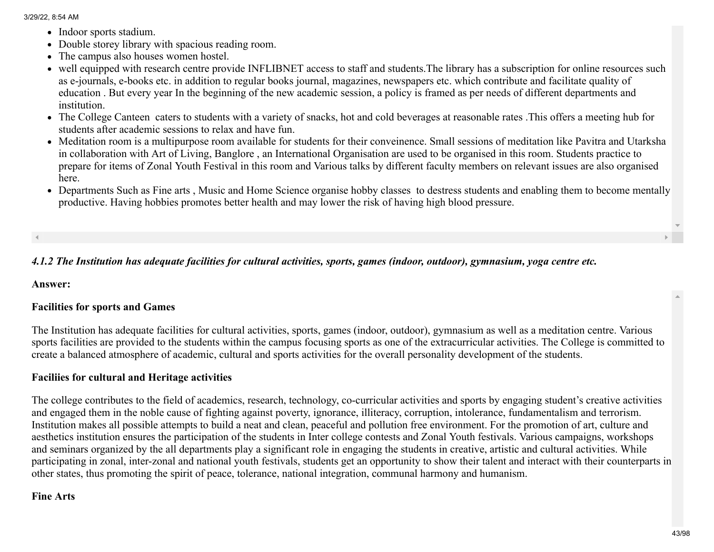- Indoor sports stadium.
- Double storey library with spacious reading room.
- The campus also houses women hostel.
- well equipped with research centre provide INFLIBNET access to staff and students.The library has a subscription for online resources such as e-journals, e-books etc. in addition to regular books journal, magazines, newspapers etc. which contribute and facilitate quality of education . But every year In the beginning of the new academic session, a policy is framed as per needs of different departments and institution.
- The College Canteen caters to students with a variety of snacks, hot and cold beverages at reasonable rates .This offers a meeting hub for students after academic sessions to relax and have fun.
- Meditation room is a multipurpose room available for students for their conveinence. Small sessions of meditation like Pavitra and Utarksha in collaboration with Art of Living, Banglore , an International Organisation are used to be organised in this room. Students practice to prepare for items of Zonal Youth Festival in this room and Various talks by different faculty members on relevant issues are also organised here.
- Departments Such as Fine arts , Music and Home Science organise hobby classes to destress students and enabling them to become mentally productive. Having hobbies promotes better health and may lower the risk of having high blood pressure.

# *4.1.2 The Institution has adequate facilities for cultural activities, sports, games (indoor, outdoor), gymnasium, yoga centre etc.*

Answer:

# Facilities for sports and Games

The Institution has adequate facilities for cultural activities, sports, games (indoor, outdoor), gymnasium as well as a meditation centre. Various sports facilities are provided to the students within the campus focusing sports as one of the extracurricular activities. The College is committed to create a balanced atmosphere of academic, cultural and sports activities for the overall personality development of the students.

# Faciliies for cultural and Heritage activities

The college contributes to the field of academics, research, technology, co-curricular activities and sports by engaging student's creative activities and engaged them in the noble cause of fighting against poverty, ignorance, illiteracy, corruption, intolerance, fundamentalism and terrorism. Institution makes all possible attempts to build a neat and clean, peaceful and pollution free environment. For the promotion of art, culture and aesthetics institution ensures the participation of the students in Inter college contests and Zonal Youth festivals. Various campaigns, workshops and seminars organized by the all departments play a significant role in engaging the students in creative, artistic and cultural activities. While participating in zonal, inter-zonal and national youth festivals, students get an opportunity to show their talent and interact with their counterparts in other states, thus promoting the spirit of peace, tolerance, national integration, communal harmony and humanism.

## Fine Arts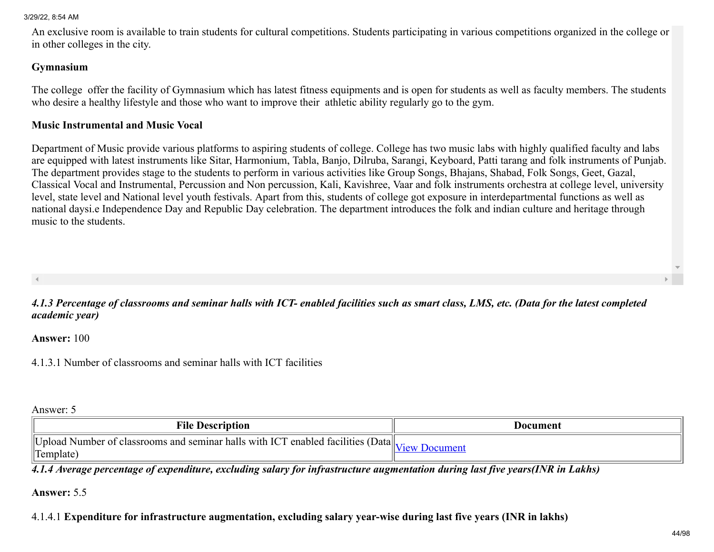An exclusive room is available to train students for cultural competitions. Students participating in various competitions organized in the college or in other colleges in the city.

#### Gymnasium

The college offer the facility of Gymnasium which has latest fitness equipments and is open for students as well as faculty members. The students who desire a healthy lifestyle and those who want to improve their athletic ability regularly go to the gym.

#### Music Instrumental and Music Vocal

Department of Music provide various platforms to aspiring students of college. College has two music labs with highly qualified faculty and labs are equipped with latest instruments like Sitar, Harmonium, Tabla, Banjo, Dilruba, Sarangi, Keyboard, Patti tarang and folk instruments of Punjab. The department provides stage to the students to perform in various activities like Group Songs, Bhajans, Shabad, Folk Songs, Geet, Gazal, Classical Vocal and Instrumental, Percussion and Non percussion, Kali, Kavishree, Vaar and folk instruments orchestra at college level, university level, state level and National level youth festivals. Apart from this, students of college got exposure in interdepartmental functions as well as national daysi.e Independence Day and Republic Day celebration. The department introduces the folk and indian culture and heritage through music to the students.

*4.1.3 Percentage of classrooms and seminar halls with ICT- enabled facilities such as smart class, LMS, etc. (Data for the latest completed academic year)*

Answer: 100

4.1.3.1 Number of classrooms and seminar halls with ICT facilities

Answer: 5

| <b>File Description</b>                                                                           | Document             |
|---------------------------------------------------------------------------------------------------|----------------------|
| Upload Number of classrooms and seminar halls with ICT enabled facilities (Data $\ _{\mathbf{v}}$ | Documen <sup>®</sup> |
| $\Gamma$ <sub>Template</sub>                                                                      | 110Y                 |

*4.1.4 Average percentage of expenditure, excluding salary for infrastructure augmentation during last five years(INR in Lakhs)*

#### Answer: 5.5

4.1.4.1 Expenditure for infrastructure augmentation, excluding salary year-wise during last five years (INR in lakhs)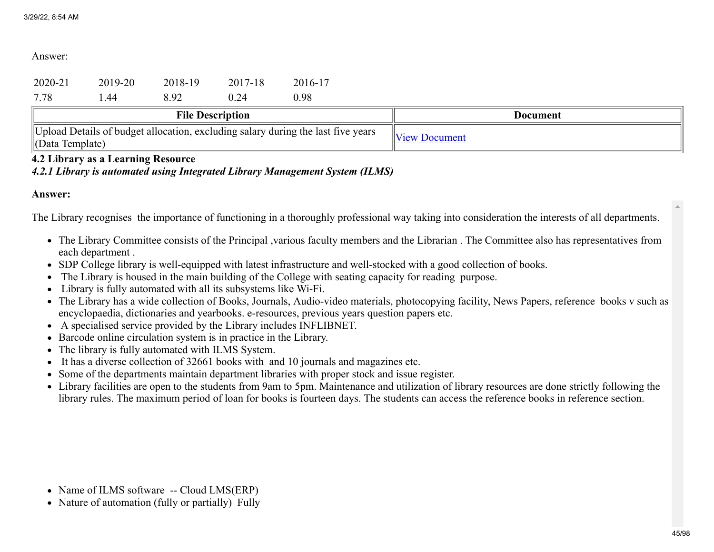Answer:

|         |         | $\mathbf{m} \cdot \mathbf{n}$ |         |         |  |
|---------|---------|-------------------------------|---------|---------|--|
| 7.78    | 44. ،   | 8.92                          | 0.24    | 0.98    |  |
| 2020-21 | 2019-20 | 2018-19                       | 2017-18 | 2016-17 |  |

| <b>File Description</b>                                                                                  | Document             |
|----------------------------------------------------------------------------------------------------------|----------------------|
| Upload Details of budget allocation, excluding salary during the last five years<br>$\ $ (Data Template) | <b>View Document</b> |

## 4.2 Library as a Learning Resource

*4.2.1 Library is automated using Integrated Library Management System (ILMS)*

#### Answer:

The Library recognises the importance of functioning in a thoroughly professional way taking into consideration the interests of all departments.

- The Library Committee consists of the Principal ,various faculty members and the Librarian . The Committee also has representatives from each department .
- SDP College library is well-equipped with latest infrastructure and well-stocked with a good collection of books.
- The Library is housed in the main building of the College with seating capacity for reading purpose.
- Library is fully automated with all its subsystems like Wi-Fi.
- The Library has a wide collection of Books, Journals, Audio-video materials, photocopying facility, News Papers, reference books v such as encyclopaedia, dictionaries and yearbooks. e-resources, previous years question papers etc.
- A specialised service provided by the Library includes INFLIBNET.
- Barcode online circulation system is in practice in the Library.
- The library is fully automated with ILMS System.
- It has a diverse collection of 32661 books with and 10 journals and magazines etc.
- Some of the departments maintain department libraries with proper stock and issue register.
- Library facilities are open to the students from 9am to 5pm. Maintenance and utilization of library resources are done strictly following the library rules. The maximum period of loan for books is fourteen days. The students can access the reference books in reference section.

- Name of ILMS software -- Cloud LMS(ERP)
- Nature of automation (fully or partially) Fully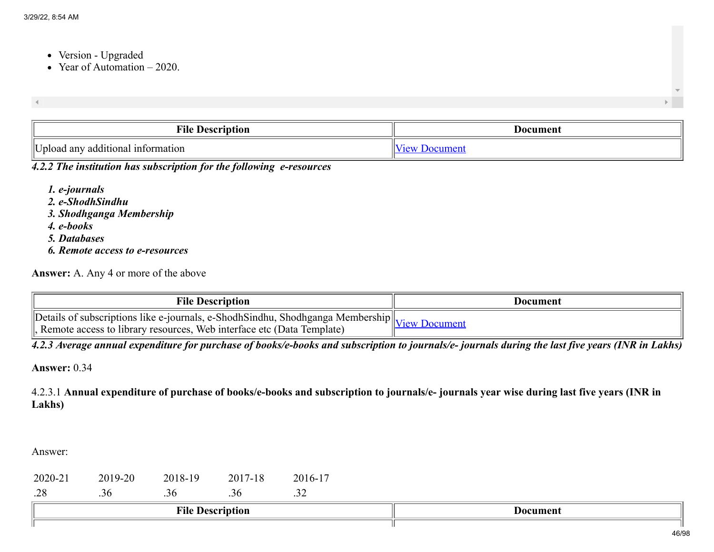- Version Upgraded
- Year of Automation  $-2020$ .

| $\blacktriangleleft$ |  |
|----------------------|--|
|                      |  |

| <b>THE</b><br>ʻıle<br>Vescription              | Document |  |
|------------------------------------------------|----------|--|
| TT<br>7 additional information<br>any<br>pload | $\sim$   |  |

## *4.2.2 The institution has subscription for the following e-resources*

*1. e-journals 2. e-ShodhSindhu 3. Shodhganga Membership 4. e-books 5. Databases 6. Remote access to e-resources*

Answer: A. Any 4 or more of the above

| <b>File Description</b>                                                        | Document |
|--------------------------------------------------------------------------------|----------|
| Details of subscriptions like e-journals, e-ShodhSindhu, Shodhganga Membership | Document |
| Remote access to library resources, Web interface etc (Data Template)          | 10011    |

*4.2.3 Average annual expenditure for purchase of books/e-books and subscription to journals/e- journals during the last five years (INR in Lakhs)*

Answer: 0.34

4.2.3.1 Annual expenditure of purchase of books/e-books and subscription to journals/e- journals year wise during last five years (INR in Lakhs)

| 2020-21 | 2019-20 | 2018-19 | 2017-18                 | 2016-17 |                 |
|---------|---------|---------|-------------------------|---------|-----------------|
| .28     | 0د.     | .36     | .30                     | ے ب     |                 |
|         |         |         | <b>File Description</b> |         | <b>Document</b> |
|         |         |         |                         |         |                 |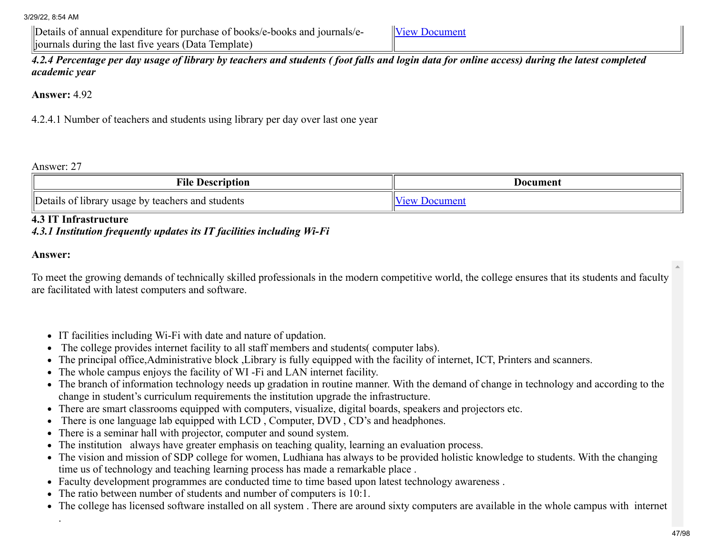Details of annual expenditure for purchase of books/e-books and journals/ejournals during the last five years (Data Template)

[View Document](https://assessmentonline.naac.gov.in/storage/app/hei/SSR/106137/4.2.3_1633679155_7036.xlsx)

*4.2.4 Percentage per day usage of library by teachers and students ( foot falls and login data for online access) during the latest completed academic year*

Answer: 4.92

4.2.4.1 Number of teachers and students using library per day over last one year

Answer: 27

| шч<br>Description<br>'1l6                                                                                | Document              |  |
|----------------------------------------------------------------------------------------------------------|-----------------------|--|
| $"$ Petalls<br>usage<br>. students<br>and<br>library<br>teachers<br>$\mathbf{r}$<br>$\mathbf{N}$<br>- 11 | $\alpha$ <sub>n</sub> |  |

4.3 IT Infrastructure

## *4.3.1 Institution frequently updates its IT facilities including Wi-Fi*

#### Answer:

.

To meet the growing demands of technically skilled professionals in the modern competitive world, the college ensures that its students and faculty are facilitated with latest computers and software.

- IT facilities including Wi-Fi with date and nature of updation.
- The college provides internet facility to all staff members and students( computer labs).
- The principal office,Administrative block ,Library is fully equipped with the facility of internet, ICT, Printers and scanners.
- The whole campus enjoys the facility of WI -Fi and LAN internet facility.
- The branch of information technology needs up gradation in routine manner. With the demand of change in technology and according to the change in student's curriculum requirements the institution upgrade the infrastructure.
- There are smart classrooms equipped with computers, visualize, digital boards, speakers and projectors etc.
- There is one language lab equipped with LCD, Computer, DVD, CD's and headphones.
- There is a seminar hall with projector, computer and sound system.
- The institution always have greater emphasis on teaching quality, learning an evaluation process.
- The vision and mission of SDP college for women, Ludhiana has always to be provided holistic knowledge to students. With the changing time us of technology and teaching learning process has made a remarkable place .
- Faculty development programmes are conducted time to time based upon latest technology awareness .
- The ratio between number of students and number of computers is 10:1.
- The college has licensed software installed on all system . There are around sixty computers are available in the whole campus with internet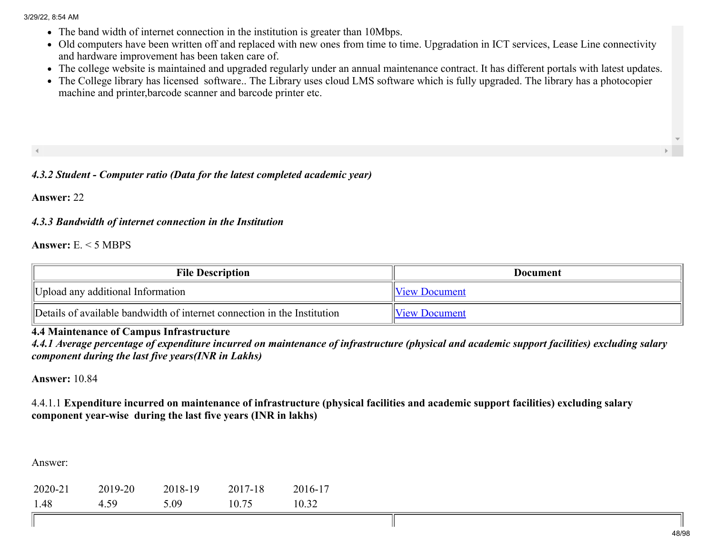- The band width of internet connection in the institution is greater than 10Mbps.
- Old computers have been written off and replaced with new ones from time to time. Upgradation in ICT services, Lease Line connectivity and hardware improvement has been taken care of.
- The college website is maintained and upgraded regularly under an annual maintenance contract. It has different portals with latest updates.
- The College library has licensed software.. The Library uses cloud LMS software which is fully upgraded. The library has a photocopier machine and printer,barcode scanner and barcode printer etc.

## *4.3.2 Student - Computer ratio (Data for the latest completed academic year)*

Answer: 22

## *4.3.3 Bandwidth of internet connection in the Institution*

Answer: E. < 5 MBPS

| <b>File Description</b>                                                  | Document             |
|--------------------------------------------------------------------------|----------------------|
| Upload any additional Information                                        | <b>View Document</b> |
| Details of available bandwidth of internet connection in the Institution | <b>View Document</b> |

# 4.4 Maintenance of Campus Infrastructure

*4.4.1 Average percentage of expenditure incurred on maintenance of infrastructure (physical and academic support facilities) excluding salary component during the last five years(INR in Lakhs)*

Answer: 10.84

4.4.1.1 Expenditure incurred on maintenance of infrastructure (physical facilities and academic support facilities) excluding salary component year-wise during the last five years (INR in lakhs)

| 2020-21 | 2019-20 | 2018-19 | 2017-18 | 2016-17 |
|---------|---------|---------|---------|---------|
| 1.48    | 4.59    | 5.09    | 10.75   | 10.32   |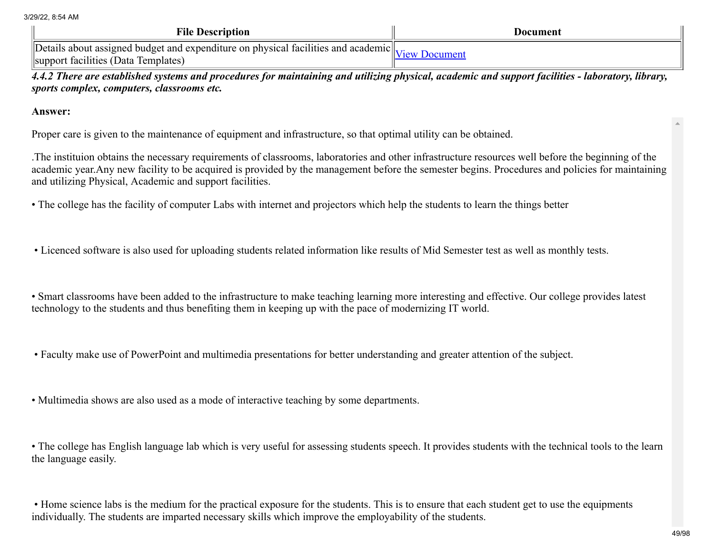| <b>File Description</b>                                                                                                   | Document            |
|---------------------------------------------------------------------------------------------------------------------------|---------------------|
| Details about assigned budget and expenditure on physical facilities and academic.<br>support facilities (Data Templates) | <b>New Document</b> |

*4.4.2 There are established systems and procedures for maintaining and utilizing physical, academic and support facilities - laboratory, library, sports complex, computers, classrooms etc.*

Answer:

Proper care is given to the maintenance of equipment and infrastructure, so that optimal utility can be obtained.

.The instituion obtains the necessary requirements of classrooms, laboratories and other infrastructure resources well before the beginning of the academic year.Any new facility to be acquired is provided by the management before the semester begins. Procedures and policies for maintaining and utilizing Physical, Academic and support facilities.

• The college has the facility of computer Labs with internet and projectors which help the students to learn the things better

• Licenced software is also used for uploading students related information like results of Mid Semester test as well as monthly tests.

• Smart classrooms have been added to the infrastructure to make teaching learning more interesting and effective. Our college provides latest technology to the students and thus benefiting them in keeping up with the pace of modernizing IT world.

• Faculty make use of PowerPoint and multimedia presentations for better understanding and greater attention of the subject.

• Multimedia shows are also used as a mode of interactive teaching by some departments.

• The college has English language lab which is very useful for assessing students speech. It provides students with the technical tools to the learn the language easily.

• Home science labs is the medium for the practical exposure for the students. This is to ensure that each student get to use the equipments individually. The students are imparted necessary skills which improve the employability of the students.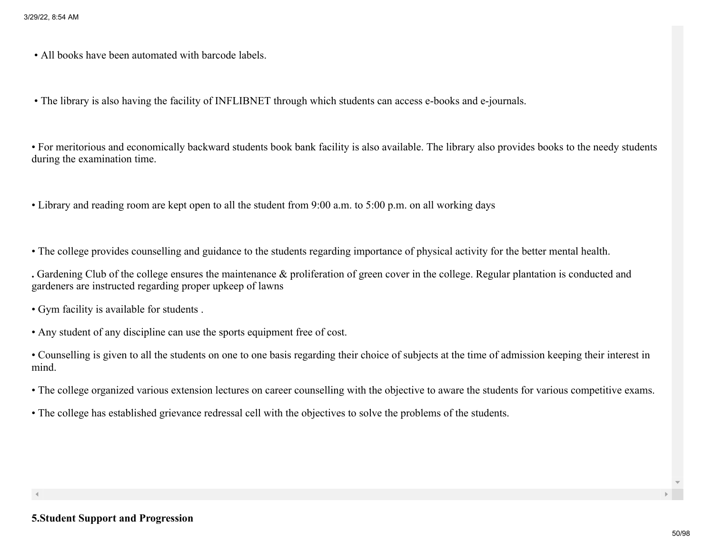• All books have been automated with barcode labels.

• The library is also having the facility of INFLIBNET through which students can access e-books and e-journals.

• For meritorious and economically backward students book bank facility is also available. The library also provides books to the needy students during the examination time.

• Library and reading room are kept open to all the student from 9:00 a.m. to 5:00 p.m. on all working days

• The college provides counselling and guidance to the students regarding importance of physical activity for the better mental health.

. Gardening Club of the college ensures the maintenance & proliferation of green cover in the college. Regular plantation is conducted and gardeners are instructed regarding proper upkeep of lawns

• Gym facility is available for students .

• Any student of any discipline can use the sports equipment free of cost.

• Counselling is given to all the students on one to one basis regarding their choice of subjects at the time of admission keeping their interest in mind.

• The college organized various extension lectures on career counselling with the objective to aware the students for various competitive exams.

• The college has established grievance redressal cell with the objectives to solve the problems of the students.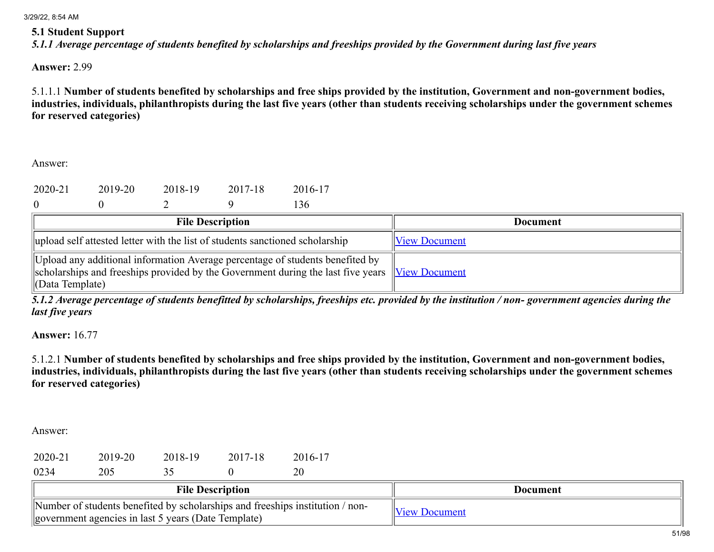#### 5.1 Student Support

*5.1.1 Average percentage of students benefited by scholarships and freeships provided by the Government during last five years*

Answer: 2.99

5.1.1.1 Number of students benefited by scholarships and free ships provided by the institution, Government and non-government bodies, industries, individuals, philanthropists during the last five years (other than students receiving scholarships under the government schemes for reserved categories)

Answer:

| 2020-21 | 2019-20 | 2018-19 | 2017-18 | 2016-17 |
|---------|---------|---------|---------|---------|
|         |         |         |         | 136     |

| 0 |  |  |  |
|---|--|--|--|
|   |  |  |  |

| <b>File Description</b>                                                                                                                                                                            | Document             |
|----------------------------------------------------------------------------------------------------------------------------------------------------------------------------------------------------|----------------------|
| upload self attested letter with the list of students sanctioned scholarship                                                                                                                       | <b>View Document</b> |
| Upload any additional information Average percentage of students benefited by<br>scholarships and freeships provided by the Government during the last five years View Document<br>(Data Template) |                      |

*5.1.2 Average percentage of students benefitted by scholarships, freeships etc. provided by the institution / non- government agencies during the last five years*

Answer: 16.77

5.1.2.1 Number of students benefited by scholarships and free ships provided by the institution, Government and non-government bodies, industries, individuals, philanthropists during the last five years (other than students receiving scholarships under the government schemes for reserved categories)

| 2020-21 | 2019-20 | 2018-19 | 2017-18 | 2016-17 |
|---------|---------|---------|---------|---------|
| 0234    | 205     | 35      |         | 20      |

| <b>File Description</b>                                                                                                                | Document        |
|----------------------------------------------------------------------------------------------------------------------------------------|-----------------|
| Number of students benefited by scholarships and freeships institution / non-<br>  government agencies in last 5 years (Date Template) | $1 \triangle W$ |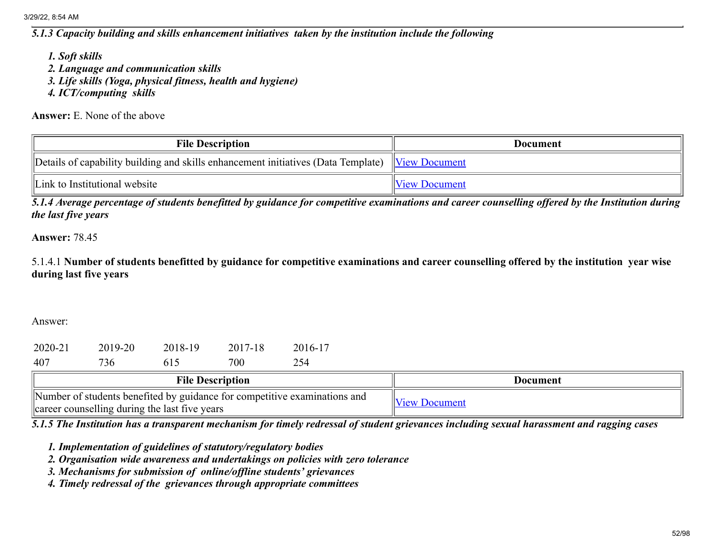*5.1.3 Capacity building and skills enhancement initiatives taken by the institution include the following*

*1. Soft skills*

- *2. Language and communication skills*
- *3. Life skills (Yoga, physical fitness, health and hygiene)*
- *4. ICT/computing skills*

Answer: E. None of the above

| <b>File Description</b>                                                                                   | <b>Document</b>      |
|-----------------------------------------------------------------------------------------------------------|----------------------|
| Details of capability building and skills enhancement initiatives (Data Template) $\forall$ View Document |                      |
| Link to Institutional website                                                                             | <b>View Document</b> |

*5.1.4 Average percentage of students benefitted by guidance for competitive examinations and career counselling offered by the Institution during the last five years*

Answer: 78.45

5.1.4.1 Number of students benefitted by guidance for competitive examinations and career counselling offered by the institution year wise during last five years

Answer:

| 2020-21 | 2019-20 | 2018-19 | 2017-18 | 2016-17 |
|---------|---------|---------|---------|---------|
| 407     | 736     | 615     | 700     | 254     |

| <b>File Description</b>                                                                                                    | Document             |
|----------------------------------------------------------------------------------------------------------------------------|----------------------|
| Number of students benefited by guidance for competitive examinations and<br>career counselling during the last five years | <b>View Document</b> |

*5.1.5 The Institution has a transparent mechanism for timely redressal of student grievances including sexual harassment and ragging cases*

*1. Implementation of guidelines of statutory/regulatory bodies*

*2. Organisation wide awareness and undertakings on policies with zero tolerance*

*3. Mechanisms for submission of online/offline students' grievances*

*4. Timely redressal of the grievances through appropriate committees*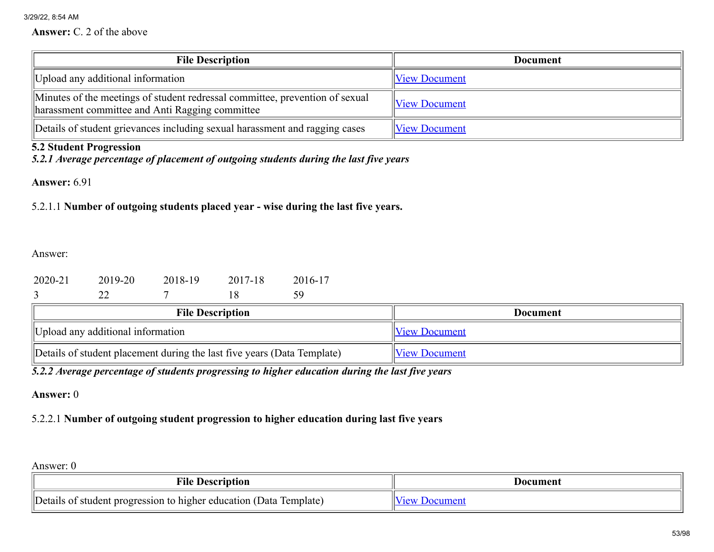Answer: C. 2 of the above

| <b>File Description</b>                                                                                                         | <b>Document</b>      |
|---------------------------------------------------------------------------------------------------------------------------------|----------------------|
| Upload any additional information                                                                                               | <b>View Document</b> |
| Minutes of the meetings of student redressal committee, prevention of sexual<br>harassment committee and Anti Ragging committee | <b>View Document</b> |
| Details of student grievances including sexual harassment and ragging cases                                                     | <b>View Document</b> |

# 5.2 Student Progression

*5.2.1 Average percentage of placement of outgoing students during the last five years*

Answer: 6.91

5.2.1.1 Number of outgoing students placed year - wise during the last five years.

Answer:

| 2020-21 | 2019-20 | 2018-19 | 2017-18 | 2016-17 |
|---------|---------|---------|---------|---------|
|         |         |         |         | 59      |

| <b>File Description</b>                                                 | Document             |
|-------------------------------------------------------------------------|----------------------|
| Upload any additional information                                       | <b>View Document</b> |
| Details of student placement during the last five years (Data Template) | <b>View Document</b> |

*5.2.2 Average percentage of students progressing to higher education during the last five years*

Answer: 0

# 5.2.2.1 Number of outgoing student progression to higher education during last five years

| <b>File Description</b>                                            | Document     |
|--------------------------------------------------------------------|--------------|
| Details of student progression to higher education (Data Template) | Mew Document |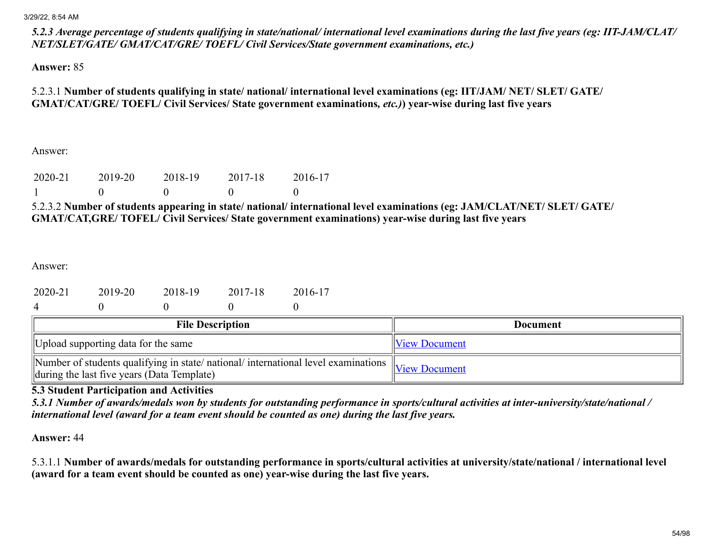*5.2.3 Average percentage of students qualifying in state/national/ international level examinations during the last five years (eg: IIT-JAM/CLAT/ NET/SLET/GATE/ GMAT/CAT/GRE/ TOEFL/ Civil Services/State government examinations, etc.)*

Answer: 85

5.2.3.1 Number of students qualifying in state/ national/ international level examinations (eg: IIT/JAM/ NET/ SLET/ GATE/ GMAT/CAT/GRE/ TOEFL/ Civil Services/ State government examinations*, etc.)*) year-wise during last five years

Answer:

| 2020-21 | 2019-20 | 2018-19 | 2017-18 | 2016-17 |
|---------|---------|---------|---------|---------|
|         |         |         |         |         |

5.2.3.2 Number of students appearing in state/ national/ international level examinations (eg: JAM/CLAT/NET/ SLET/ GATE/ GMAT/CAT,GRE/ TOFEL/ Civil Services/ State government examinations) year-wise during last five years

Answer:

| 2020-21 | 2019-20 | 2018-19 | 2017-18 | 2016-17 |
|---------|---------|---------|---------|---------|
|         |         |         |         |         |

| <b>File Description</b>                                                                                                                                                                                 | <b>Document</b>      |
|---------------------------------------------------------------------------------------------------------------------------------------------------------------------------------------------------------|----------------------|
| Upload supporting data for the same                                                                                                                                                                     | <b>View Document</b> |
| $\sqrt{\frac{1}{\text{Number of students}}$ qualifying in state/national/international level examinations $\sqrt{\frac{1}{\text{New Document}}}$<br>$\Delta$ during the last five years (Data Template) |                      |

5.3 Student Participation and Activities

*5.3.1 Number of awards/medals won by students for outstanding performance in sports/cultural activities at inter-university/state/national / international level (award for a team event should be counted as one) during the last five years.*

Answer: 44

5.3.1.1 Number of awards/medals for outstanding performance in sports/cultural activities at university/state/national / international level (award for a team event should be counted as one) year-wise during the last five years.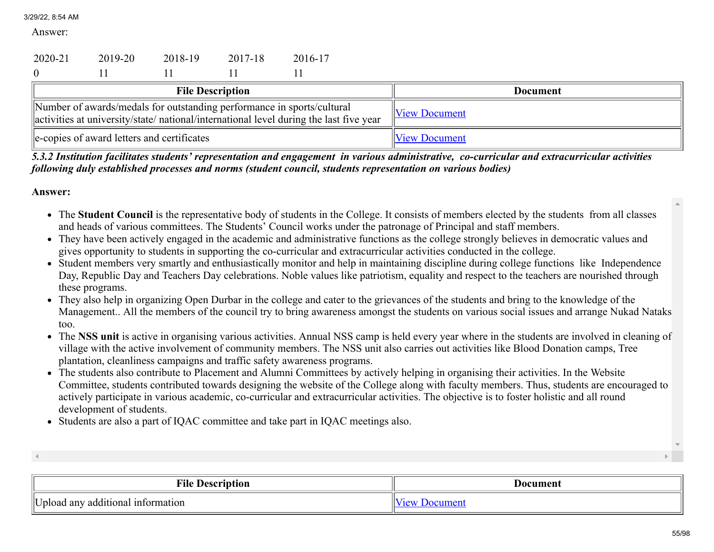Answer:

| 2020-21        | 2019-20                                    | 2018-19 | 2017-18                 | 2016-17                                                                                                                                                         |                      |
|----------------|--------------------------------------------|---------|-------------------------|-----------------------------------------------------------------------------------------------------------------------------------------------------------------|----------------------|
| $\overline{0}$ |                                            |         |                         |                                                                                                                                                                 |                      |
|                |                                            |         | <b>File Description</b> |                                                                                                                                                                 | <b>Document</b>      |
|                |                                            |         |                         | Number of awards/medals for outstanding performance in sports/cultural<br>activities at university/state/national/international level during the last five year | <b>View Document</b> |
|                | e-copies of award letters and certificates |         |                         |                                                                                                                                                                 | <b>View Document</b> |

*5.3.2 Institution facilitates students' representation and engagement in various administrative, co-curricular and extracurricular activities following duly established processes and norms (student council, students representation on various bodies)*

- The Student Council is the representative body of students in the College. It consists of members elected by the students from all classes and heads of various committees. The Students' Council works under the patronage of Principal and staff members.
- They have been actively engaged in the academic and administrative functions as the college strongly believes in democratic values and gives opportunity to students in supporting the co-curricular and extracurricular activities conducted in the college.
- Student members very smartly and enthusiastically monitor and help in maintaining discipline during college functions like Independence Day, Republic Day and Teachers Day celebrations. Noble values like patriotism, equality and respect to the teachers are nourished through these programs.
- They also help in organizing Open Durbar in the college and cater to the grievances of the students and bring to the knowledge of the Management.. All the members of the council try to bring awareness amongst the students on various social issues and arrange Nukad Nataks too.
- The NSS unit is active in organising various activities. Annual NSS camp is held every year where in the students are involved in cleaning of village with the active involvement of community members. The NSS unit also carries out activities like Blood Donation camps, Tree plantation, cleanliness campaigns and traffic safety awareness programs.
- The students also contribute to Placement and Alumni Committees by actively helping in organising their activities. In the Website Committee, students contributed towards designing the website of the College along with faculty members. Thus, students are encouraged to actively participate in various academic, co-curricular and extracurricular activities. The objective is to foster holistic and all round development of students.
- Students are also a part of IQAC committee and take part in IQAC meetings also.

| <b>File Description</b>                    | Document |
|--------------------------------------------|----------|
| IIT T<br>Jpload any additional information |          |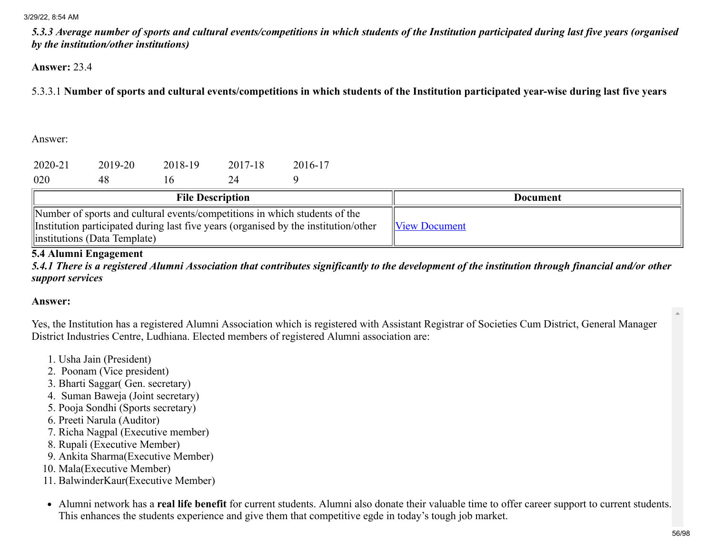*5.3.3 Average number of sports and cultural events/competitions in which students of the Institution participated during last five years (organised by the institution/other institutions)*

#### Answer: 23.4

5.3.3.1 Number of sports and cultural events/competitions in which students of the Institution participated year-wise during last five years

Answer:

| 2020-21 | 2019-20 | 2018-19      | 2017-18 | 2016-17 |  |
|---------|---------|--------------|---------|---------|--|
|         |         |              |         |         |  |
| 020     | 48      | $\mathbf{0}$ |         |         |  |

| <b>File Description</b>                                                                                                                                                                            | Document             |
|----------------------------------------------------------------------------------------------------------------------------------------------------------------------------------------------------|----------------------|
| Number of sports and cultural events/competitions in which students of the<br>Institution participated during last five years (organised by the institution/other<br>linstitutions (Data Template) | <b>View Document</b> |

## 5.4 Alumni Engagement

*5.4.1 There is a registered Alumni Association that contributes significantly to the development of the institution through financial and/or other support services*

#### Answer:

Yes, the Institution has a registered Alumni Association which is registered with Assistant Registrar of Societies Cum District, General Manager District Industries Centre, Ludhiana. Elected members of registered Alumni association are:

- 1. Usha Jain (President)
- 2. Poonam (Vice president)
- 3. Bharti Saggar( Gen. secretary)
- 4. Suman Baweja (Joint secretary)
- 5. Pooja Sondhi (Sports secretary)
- 6. Preeti Narula (Auditor)
- 7. Richa Nagpal (Executive member)
- 8. Rupali (Executive Member)
- 9. Ankita Sharma(Executive Member)
- 10. Mala(Executive Member)
- 11. BalwinderKaur(Executive Member)
- Alumni network has a real life benefit for current students. Alumni also donate their valuable time to offer career support to current students. This enhances the students experience and give them that competitive egde in today's tough job market.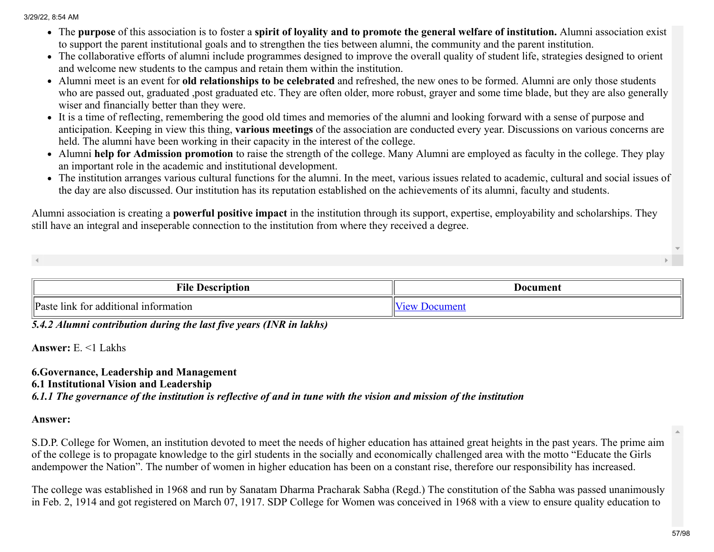- The purpose of this association is to foster a spirit of loyality and to promote the general welfare of institution. Alumni association exist to support the parent institutional goals and to strengthen the ties between alumni, the community and the parent institution.
- The collaborative efforts of alumni include programmes designed to improve the overall quality of student life, strategies designed to orient and welcome new students to the campus and retain them within the institution.
- Alumni meet is an event for **old relationships to be celebrated** and refreshed, the new ones to be formed. Alumni are only those students who are passed out, graduated ,post graduated etc. They are often older, more robust, grayer and some time blade, but they are also generally wiser and financially better than they were.
- It is a time of reflecting, remembering the good old times and memories of the alumni and looking forward with a sense of purpose and anticipation. Keeping in view this thing, various meetings of the association are conducted every year. Discussions on various concerns are held. The alumni have been working in their capacity in the interest of the college.
- Alumni help for Admission promotion to raise the strength of the college. Many Alumni are employed as faculty in the college. They play an important role in the academic and institutional development.
- The institution arranges various cultural functions for the alumni. In the meet, various issues related to academic, cultural and social issues of the day are also discussed. Our institution has its reputation established on the achievements of its alumni, faculty and students.

Alumni association is creating a **powerful positive impact** in the institution through its support, expertise, employability and scholarships. They still have an integral and inseperable connection to the institution from where they received a degree.

| <b>Tile</b><br>locorin1<br>tıor                                 | Document |
|-----------------------------------------------------------------|----------|
| <sup>'</sup> Paste<br>tor additional :<br>information<br>. link |          |

*5.4.2 Alumni contribution during the last five years (INR in lakhs)*

Answer: E. <1 Lakhs

# 6.Governance, Leadership and Management 6.1 Institutional Vision and Leadership *6.1.1 The governance of the institution is reflective of and in tune with the vision and mission of the institution*

## Answer:

S.D.P. College for Women, an institution devoted to meet the needs of higher education has attained great heights in the past years. The prime aim of the college is to propagate knowledge to the girl students in the socially and economically challenged area with the motto "Educate the Girls andempower the Nation". The number of women in higher education has been on a constant rise, therefore our responsibility has increased.

The college was established in 1968 and run by Sanatam Dharma Pracharak Sabha (Regd.) The constitution of the Sabha was passed unanimously in Feb. 2, 1914 and got registered on March 07, 1917. SDP College for Women was conceived in 1968 with a view to ensure quality education to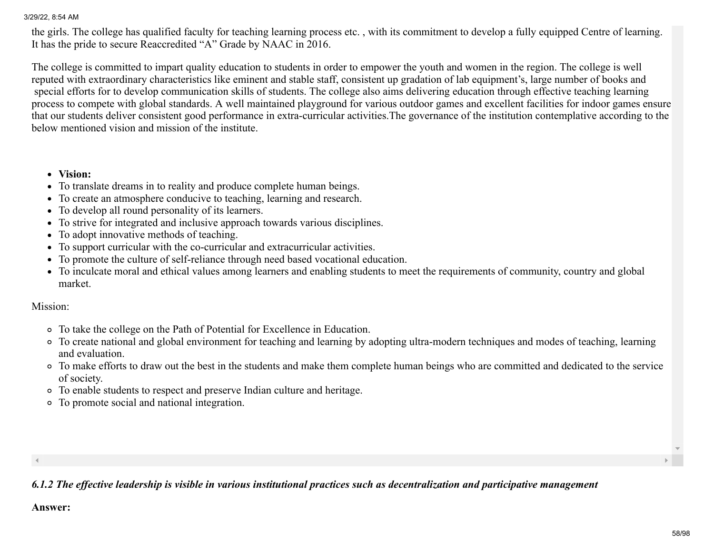the girls. The college has qualified faculty for teaching learning process etc. , with its commitment to develop a fully equipped Centre of learning. It has the pride to secure Reaccredited "A" Grade by NAAC in 2016.

The college is committed to impart quality education to students in order to empower the youth and women in the region. The college is well reputed with extraordinary characteristics like eminent and stable staff, consistent up gradation of lab equipment's, large number of books and special efforts for to develop communication skills of students. The college also aims delivering education through effective teaching learning process to compete with global standards. A well maintained playground for various outdoor games and excellent facilities for indoor games ensure that our students deliver consistent good performance in extra-curricular activities.The governance of the institution contemplative according to the below mentioned vision and mission of the institute.

#### Vision:

- To translate dreams in to reality and produce complete human beings.
- To create an atmosphere conducive to teaching, learning and research.
- To develop all round personality of its learners.
- To strive for integrated and inclusive approach towards various disciplines.
- To adopt innovative methods of teaching.
- To support curricular with the co-curricular and extracurricular activities.
- To promote the culture of self-reliance through need based vocational education.
- To inculcate moral and ethical values among learners and enabling students to meet the requirements of community, country and global market.

## Mission:

- To take the college on the Path of Potential for Excellence in Education.
- To create national and global environment for teaching and learning by adopting ultra-modern techniques and modes of teaching, learning and evaluation.
- To make efforts to draw out the best in the students and make them complete human beings who are committed and dedicated to the service of society.
- To enable students to respect and preserve Indian culture and heritage.
- To promote social and national integration.

#### $\blacktriangleleft$

*6.1.2 The effective leadership is visible in various institutional practices such as decentralization and participative management*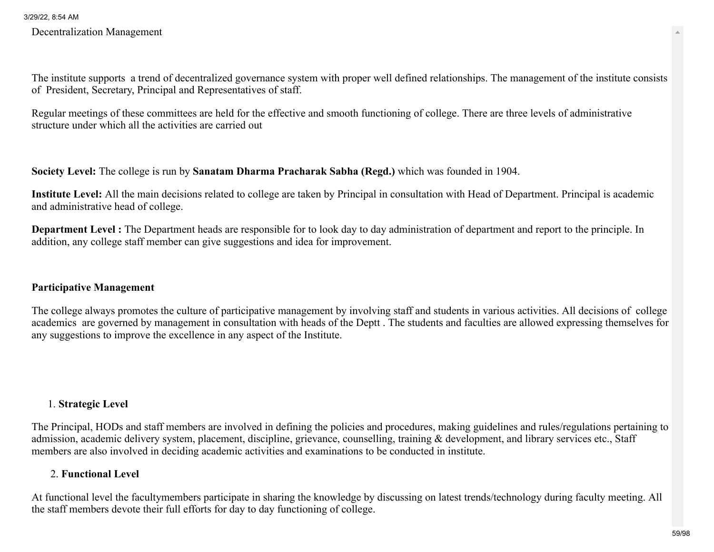Decentralization Management

The institute supports a trend of decentralized governance system with proper well defined relationships. The management of the institute consists of President, Secretary, Principal and Representatives of staff.

Regular meetings of these committees are held for the effective and smooth functioning of college. There are three levels of administrative structure under which all the activities are carried out

Society Level: The college is run by Sanatam Dharma Pracharak Sabha (Regd.) which was founded in 1904.

Institute Level: All the main decisions related to college are taken by Principal in consultation with Head of Department. Principal is academic and administrative head of college.

Department Level : The Department heads are responsible for to look day to day administration of department and report to the principle. In addition, any college staff member can give suggestions and idea for improvement.

## Participative Management

The college always promotes the culture of participative management by involving staff and students in various activities. All decisions of college academics are governed by management in consultation with heads of the Deptt . The students and faculties are allowed expressing themselves for any suggestions to improve the excellence in any aspect of the Institute.

## 1. Strategic Level

The Principal, HODs and staff members are involved in defining the policies and procedures, making guidelines and rules/regulations pertaining to admission, academic delivery system, placement, discipline, grievance, counselling, training & development, and library services etc., Staff members are also involved in deciding academic activities and examinations to be conducted in institute.

# 2. Functional Level

At functional level the facultymembers participate in sharing the knowledge by discussing on latest trends/technology during faculty meeting. All the staff members devote their full efforts for day to day functioning of college.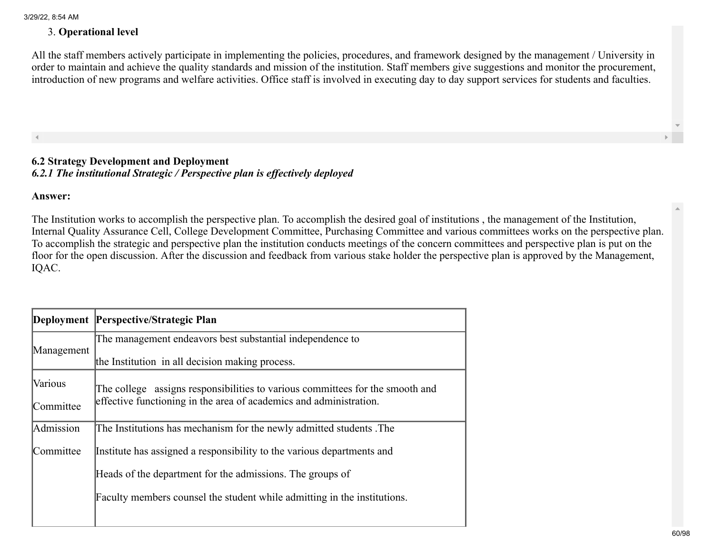## 3. Operational level

All the staff members actively participate in implementing the policies, procedures, and framework designed by the management / University in order to maintain and achieve the quality standards and mission of the institution. Staff members give suggestions and monitor the procurement, introduction of new programs and welfare activities. Office staff is involved in executing day to day support services for students and faculties.

## 6.2 Strategy Development and Deployment *6.2.1 The institutional Strategic / Perspective plan is effectively deployed*

Answer:

The Institution works to accomplish the perspective plan. To accomplish the desired goal of institutions , the management of the Institution, Internal Quality Assurance Cell, College Development Committee, Purchasing Committee and various committees works on the perspective plan. To accomplish the strategic and perspective plan the institution conducts meetings of the concern committees and perspective plan is put on the floor for the open discussion. After the discussion and feedback from various stake holder the perspective plan is approved by the Management, IQAC.

|            | Deployment Perspective/Strategic Plan                                         |
|------------|-------------------------------------------------------------------------------|
|            | The management endeavors best substantial independence to                     |
| Management | the Institution in all decision making process.                               |
| Various    | The college assigns responsibilities to various committees for the smooth and |
| Committee  | effective functioning in the area of academics and administration.            |
| Admission  | The Institutions has mechanism for the newly admitted students. The           |
| Committee  | Institute has assigned a responsibility to the various departments and        |
|            | Heads of the department for the admissions. The groups of                     |
|            | Faculty members counsel the student while admitting in the institutions.      |
|            |                                                                               |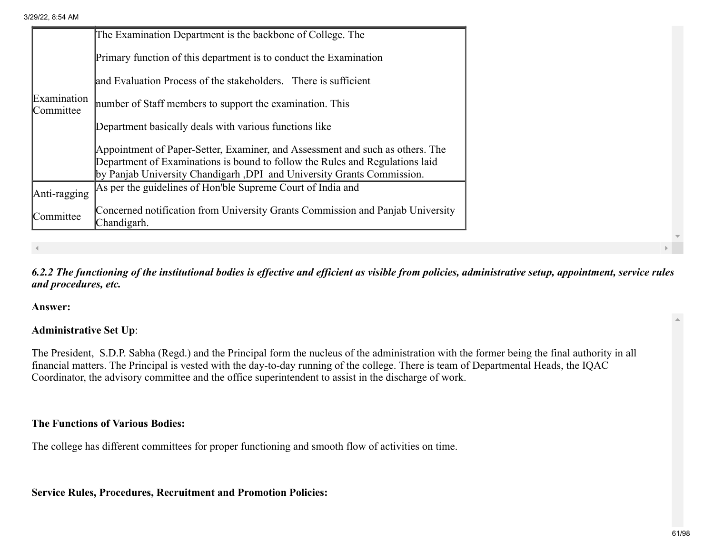|                          | The Examination Department is the backbone of College. The                                                                                                    |
|--------------------------|---------------------------------------------------------------------------------------------------------------------------------------------------------------|
|                          | Primary function of this department is to conduct the Examination                                                                                             |
|                          | and Evaluation Process of the stakeholders. There is sufficient                                                                                               |
| Examination<br>Committee | number of Staff members to support the examination. This                                                                                                      |
|                          | Department basically deals with various functions like                                                                                                        |
|                          | Appointment of Paper-Setter, Examiner, and Assessment and such as others. The<br>Department of Examinations is bound to follow the Rules and Regulations laid |
|                          | by Panjab University Chandigarh, DPI and University Grants Commission.<br>As per the guidelines of Hon'ble Supreme Court of India and                         |
| Anti-ragging             |                                                                                                                                                               |
| Committee                | Concerned notification from University Grants Commission and Panjab University<br>Chandigarh.                                                                 |

## *6.2.2 The functioning of the institutional bodies is effective and efficient as visible from policies, administrative setup, appointment, service rules and procedures, etc.*

#### Answer:

## Administrative Set Up:

The President, S.D.P. Sabha (Regd.) and the Principal form the nucleus of the administration with the former being the final authority in all financial matters. The Principal is vested with the day-to-day running of the college. There is team of Departmental Heads, the IQAC Coordinator, the advisory committee and the office superintendent to assist in the discharge of work.

## The Functions of Various Bodies:

The college has different committees for proper functioning and smooth flow of activities on time.

Service Rules, Procedures, Recruitment and Promotion Policies: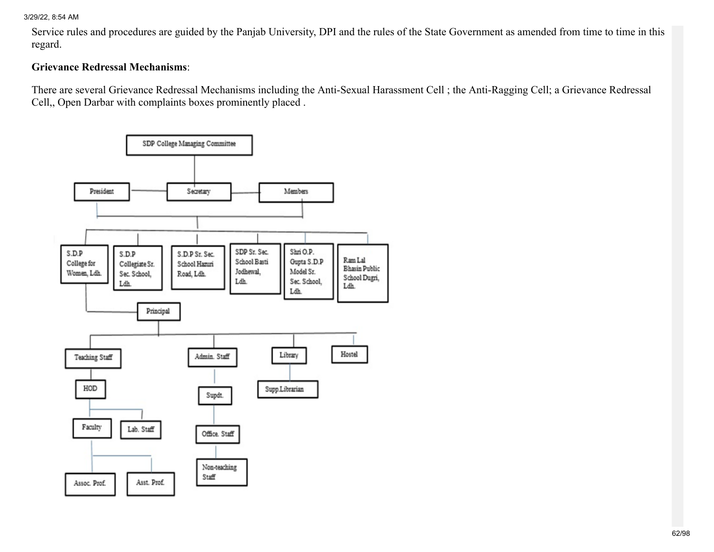Service rules and procedures are guided by the Panjab University, DPI and the rules of the State Government as amended from time to time in this regard.

## Grievance Redressal Mechanisms:

There are several Grievance Redressal Mechanisms including the Anti-Sexual Harassment Cell ; the Anti-Ragging Cell; a Grievance Redressal Cell,, Open Darbar with complaints boxes prominently placed .

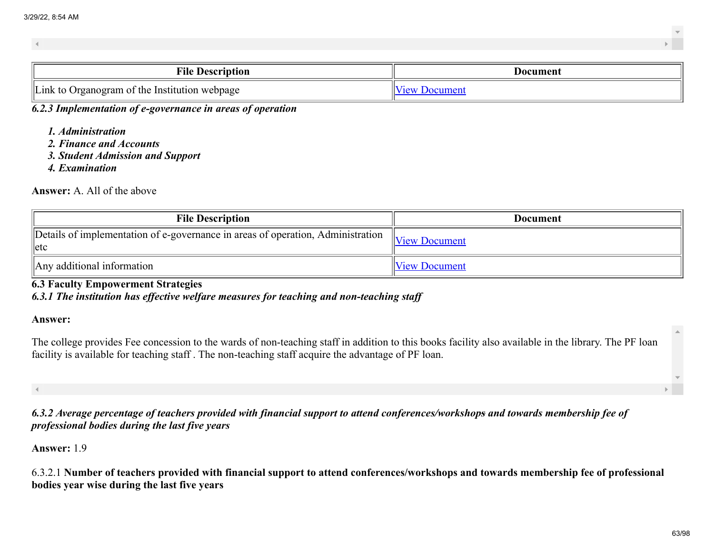| <b>File</b><br><b>Description</b>                  | Jocument |
|----------------------------------------------------|----------|
| Link<br>Organogram of the Institution<br>i webpage |          |

*6.2.3 Implementation of e-governance in areas of operation*

- *1. Administration*
- *2. Finance and Accounts*
- *3. Student Admission and Support*
- *4. Examination*

#### Answer: A. All of the above

| <b>File Description</b>                                                                     | <b>Document</b>      |
|---------------------------------------------------------------------------------------------|----------------------|
| Details of implementation of e-governance in areas of operation, Administration<br>$ $ letc | $\ $ View Document   |
| Any additional information                                                                  | <b>View Document</b> |

6.3 Faculty Empowerment Strategies

*6.3.1 The institution has effective welfare measures for teaching and non-teaching staff*

#### Answer:

The college provides Fee concession to the wards of non-teaching staff in addition to this books facility also available in the library. The PF loan facility is available for teaching staff . The non-teaching staff acquire the advantage of PF loan.

*6.3.2 Average percentage of teachers provided with financial support to attend conferences/workshops and towards membership fee of professional bodies during the last five years*

Answer: 1.9

6.3.2.1 Number of teachers provided with financial support to attend conferences/workshops and towards membership fee of professional bodies year wise during the last five years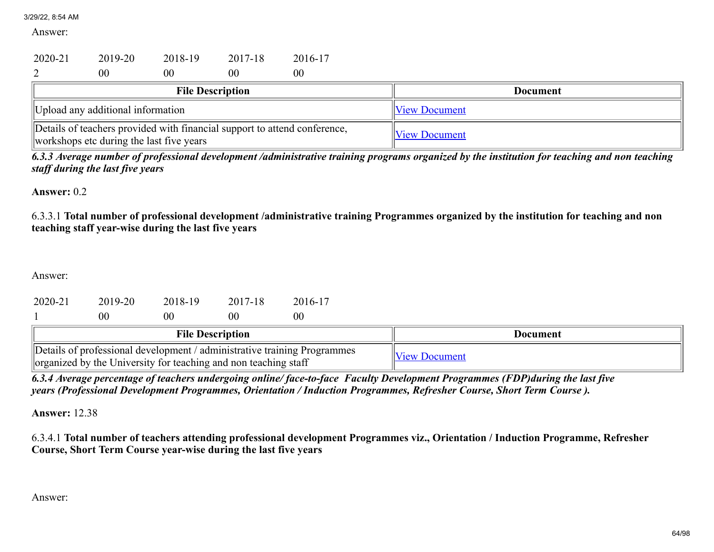Answer:

| 2020-21                                                                                                               | 2019-20 | 2018-19                 | 2017-18              | 2016-17              |  |                 |
|-----------------------------------------------------------------------------------------------------------------------|---------|-------------------------|----------------------|----------------------|--|-----------------|
|                                                                                                                       | 00      | 00                      | 00                   | 00                   |  |                 |
|                                                                                                                       |         | <b>File Description</b> |                      |                      |  | <b>Document</b> |
| Upload any additional information                                                                                     |         |                         |                      | <b>View Document</b> |  |                 |
| Details of teachers provided with financial support to attend conference,<br>workshops etc during the last five years |         |                         | <b>View Document</b> |                      |  |                 |

*6.3.3 Average number of professional development /administrative training programs organized by the institution for teaching and non teaching staff during the last five years*

Answer: 0.2

6.3.3.1 Total number of professional development /administrative training Programmes organized by the institution for teaching and non teaching staff year-wise during the last five years

Answer:

| 2020-21 | 2019-20                                           | 2018-19 | 2017-18                 | 2016-17                                                                  |                      |                 |
|---------|---------------------------------------------------|---------|-------------------------|--------------------------------------------------------------------------|----------------------|-----------------|
|         | 00                                                | 0C      | 00                      | 00                                                                       |                      |                 |
|         |                                                   |         | <b>File Description</b> |                                                                          |                      | <b>Document</b> |
|         | $\cdot$ 11 1 1 1 $\cdot$ . 0 1 1 1 1 1 $\cdot$ 00 |         |                         | Details of professional development / administrative training Programmes | <b>View Document</b> |                 |

*6.3.4 Average percentage of teachers undergoing online/ face-to-face Faculty Development Programmes (FDP)during the last five years (Professional Development Programmes, Orientation / Induction Programmes, Refresher Course, Short Term Course ).*

Answer: 12.38

organized by the University for teaching and non teaching staff

6.3.4.1 Total number of teachers attending professional development Programmes viz., Orientation / Induction Programme, Refresher Course, Short Term Course year-wise during the last five years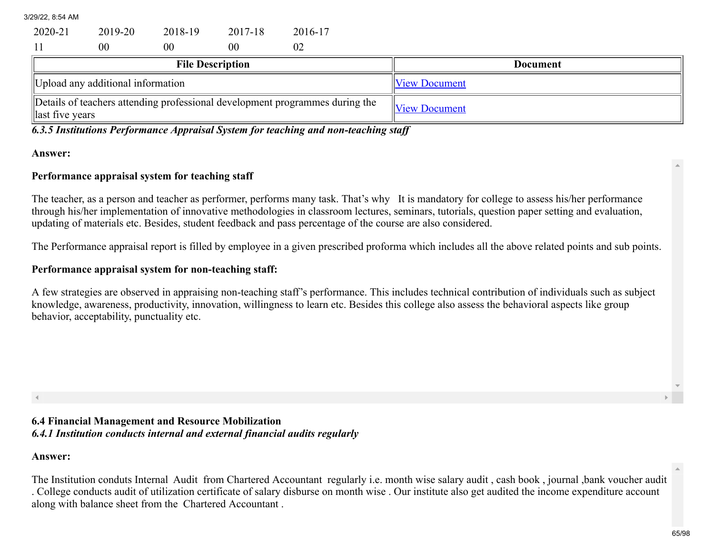| 2020-21 | 2019-20 | 2018-19 | 2017-18 | 2016-17 |
|---------|---------|---------|---------|---------|
|         | 00      | 00      | 00      |         |

| <b>File Description</b>                                                                          | Document             |
|--------------------------------------------------------------------------------------------------|----------------------|
| Upload any additional information                                                                | <b>View Document</b> |
| Details of teachers attending professional development programmes during the<br>llast five years | <b>View Document</b> |

*6.3.5 Institutions Performance Appraisal System for teaching and non-teaching staff*

#### Answer:

#### Performance appraisal system for teaching staff

The teacher, as a person and teacher as performer, performs many task. That's why It is mandatory for college to assess his/her performance through his/her implementation of innovative methodologies in classroom lectures, seminars, tutorials, question paper setting and evaluation, updating of materials etc. Besides, student feedback and pass percentage of the course are also considered.

The Performance appraisal report is filled by employee in a given prescribed proforma which includes all the above related points and sub points.

#### Performance appraisal system for non-teaching staff:

A few strategies are observed in appraising non-teaching staff's performance. This includes technical contribution of individuals such as subject knowledge, awareness, productivity, innovation, willingness to learn etc. Besides this college also assess the behavioral aspects like group behavior, acceptability, punctuality etc.

## 6.4 Financial Management and Resource Mobilization *6.4.1 Institution conducts internal and external financial audits regularly*

#### Answer:

The Institution conduts Internal Audit from Chartered Accountant regularly i.e. month wise salary audit , cash book , journal ,bank voucher audit . College conducts audit of utilization certificate of salary disburse on month wise . Our institute also get audited the income expenditure account along with balance sheet from the Chartered Accountant .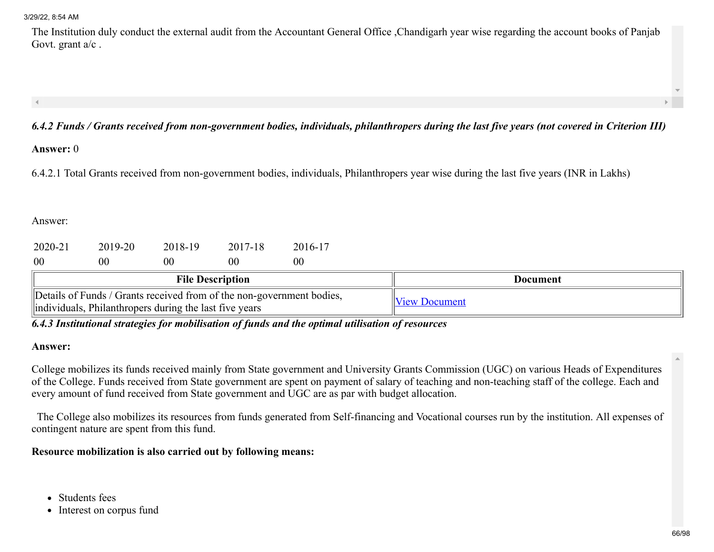The Institution duly conduct the external audit from the Accountant General Office ,Chandigarh year wise regarding the account books of Panjab Govt. grant a/c .

# *6.4.2 Funds / Grants received from non-government bodies, individuals, philanthropers during the last five years (not covered in Criterion III)*

#### Answer: 0

6.4.2.1 Total Grants received from non-government bodies, individuals, Philanthropers year wise during the last five years (INR in Lakhs)

#### Answer:

| 2020-21                                                                                                                          | 2019-20 | 2018-19 | 2017-18 | 2016-17        |                      |  |
|----------------------------------------------------------------------------------------------------------------------------------|---------|---------|---------|----------------|----------------------|--|
| 00                                                                                                                               | 00      | 00      | 00      | 0 <sup>0</sup> |                      |  |
| <b>File Description</b>                                                                                                          |         |         |         |                | Document             |  |
| Details of Funds / Grants received from of the non-government bodies,<br>lindividuals, Philanthropers during the last five years |         |         |         |                | <b>View Document</b> |  |

*6.4.3 Institutional strategies for mobilisation of funds and the optimal utilisation of resources*

#### Answer:

College mobilizes its funds received mainly from State government and University Grants Commission (UGC) on various Heads of Expenditures of the College. Funds received from State government are spent on payment of salary of teaching and non-teaching staff of the college. Each and every amount of fund received from State government and UGC are as par with budget allocation.

 The College also mobilizes its resources from funds generated from Self-financing and Vocational courses run by the institution. All expenses of contingent nature are spent from this fund.

#### Resource mobilization is also carried out by following means:

- Students fees
- Interest on corpus fund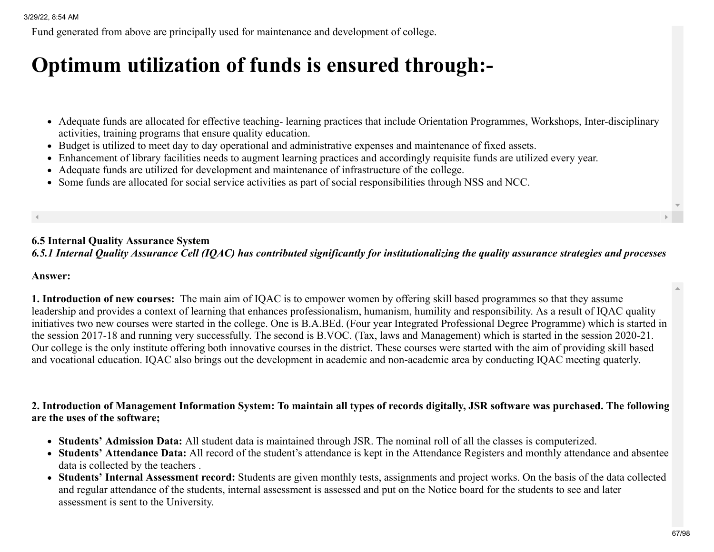Fund generated from above are principally used for maintenance and development of college.

# Optimum utilization of funds is ensured through:-

- Adequate funds are allocated for effective teaching- learning practices that include Orientation Programmes, Workshops, Inter-disciplinary activities, training programs that ensure quality education.
- Budget is utilized to meet day to day operational and administrative expenses and maintenance of fixed assets.
- Enhancement of library facilities needs to augment learning practices and accordingly requisite funds are utilized every year.
- Adequate funds are utilized for development and maintenance of infrastructure of the college.
- Some funds are allocated for social service activities as part of social responsibilities through NSS and NCC.

## 6.5 Internal Quality Assurance System *6.5.1 Internal Quality Assurance Cell (IQAC) has contributed significantly for institutionalizing the quality assurance strategies and processes*

#### Answer:

1. Introduction of new courses: The main aim of IQAC is to empower women by offering skill based programmes so that they assume leadership and provides a context of learning that enhances professionalism, humanism, humility and responsibility. As a result of IQAC quality initiatives two new courses were started in the college. One is B.A.BEd. (Four year Integrated Professional Degree Programme) which is started in the session 2017-18 and running very successfully. The second is B.VOC. (Tax, laws and Management) which is started in the session 2020-21. Our college is the only institute offering both innovative courses in the district. These courses were started with the aim of providing skill based and vocational education. IQAC also brings out the development in academic and non-academic area by conducting IQAC meeting quaterly.

## 2. Introduction of Management Information System: To maintain all types of records digitally, JSR software was purchased. The following are the uses of the software;

- Students' Admission Data: All student data is maintained through JSR. The nominal roll of all the classes is computerized.
- Students' Attendance Data: All record of the student's attendance is kept in the Attendance Registers and monthly attendance and absentee data is collected by the teachers .
- Students' Internal Assessment record: Students are given monthly tests, assignments and project works. On the basis of the data collected and regular attendance of the students, internal assessment is assessed and put on the Notice board for the students to see and later assessment is sent to the University.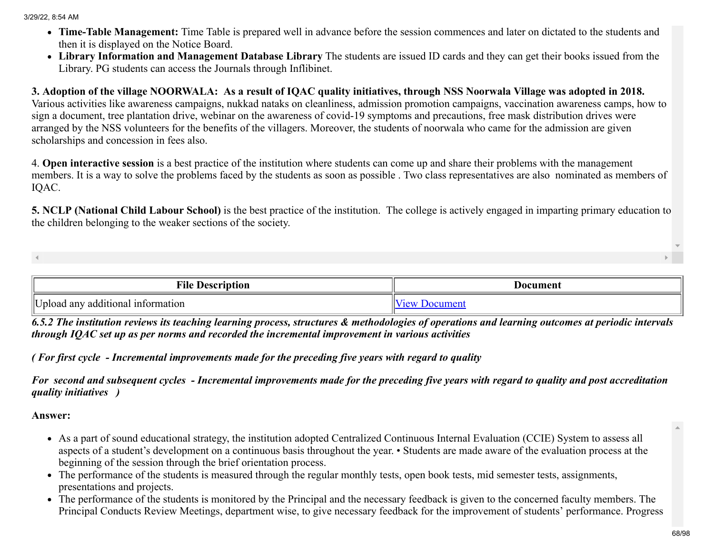- Time-Table Management: Time Table is prepared well in advance before the session commences and later on dictated to the students and then it is displayed on the Notice Board.
- Library Information and Management Database Library The students are issued ID cards and they can get their books issued from the Library. PG students can access the Journals through Inflibinet.

# 3. Adoption of the village NOORWALA: As a result of IQAC quality initiatives, through NSS Noorwala Village was adopted in 2018.

Various activities like awareness campaigns, nukkad nataks on cleanliness, admission promotion campaigns, vaccination awareness camps, how to sign a document, tree plantation drive, webinar on the awareness of covid-19 symptoms and precautions, free mask distribution drives were arranged by the NSS volunteers for the benefits of the villagers. Moreover, the students of noorwala who came for the admission are given scholarships and concession in fees also.

4. Open interactive session is a best practice of the institution where students can come up and share their problems with the management members. It is a way to solve the problems faced by the students as soon as possible . Two class representatives are also nominated as members of IQAC.

5. NCLP (National Child Labour School) is the best practice of the institution. The college is actively engaged in imparting primary education to the children belonging to the weaker sections of the society.

| <b><i><u>File</u></i></b><br>Description              | Document |
|-------------------------------------------------------|----------|
| IIT T.<br>additional<br>information<br>any<br>nioad J |          |

*6.5.2 The institution reviews its teaching learning process, structures & methodologies of operations and learning outcomes at periodic intervals through IQAC set up as per norms and recorded the incremental improvement in various activities*

*( For first cycle - Incremental improvements made for the preceding five years with regard to quality*

*For second and subsequent cycles - Incremental improvements made for the preceding five years with regard to quality and post accreditation quality initiatives )*

- As a part of sound educational strategy, the institution adopted Centralized Continuous Internal Evaluation (CCIE) System to assess all aspects of a student's development on a continuous basis throughout the year. • Students are made aware of the evaluation process at the beginning of the session through the brief orientation process.
- The performance of the students is measured through the regular monthly tests, open book tests, mid semester tests, assignments, presentations and projects.
- The performance of the students is monitored by the Principal and the necessary feedback is given to the concerned faculty members. The Principal Conducts Review Meetings, department wise, to give necessary feedback for the improvement of students' performance. Progress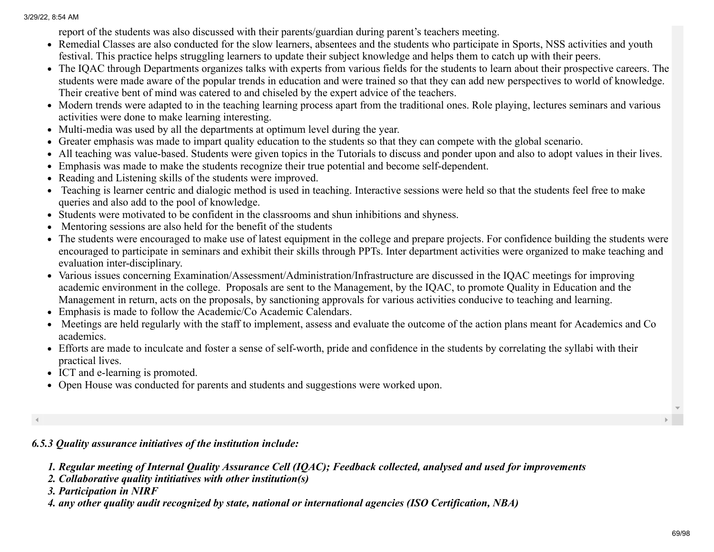report of the students was also discussed with their parents/guardian during parent's teachers meeting.

- Remedial Classes are also conducted for the slow learners, absentees and the students who participate in Sports, NSS activities and youth festival. This practice helps struggling learners to update their subject knowledge and helps them to catch up with their peers.
- The IQAC through Departments organizes talks with experts from various fields for the students to learn about their prospective careers. The students were made aware of the popular trends in education and were trained so that they can add new perspectives to world of knowledge. Their creative bent of mind was catered to and chiseled by the expert advice of the teachers.
- Modern trends were adapted to in the teaching learning process apart from the traditional ones. Role playing, lectures seminars and various activities were done to make learning interesting.
- Multi-media was used by all the departments at optimum level during the year.
- Greater emphasis was made to impart quality education to the students so that they can compete with the global scenario.
- All teaching was value-based. Students were given topics in the Tutorials to discuss and ponder upon and also to adopt values in their lives.
- Emphasis was made to make the students recognize their true potential and become self-dependent.
- Reading and Listening skills of the students were improved.
- Teaching is learner centric and dialogic method is used in teaching. Interactive sessions were held so that the students feel free to make queries and also add to the pool of knowledge.
- Students were motivated to be confident in the classrooms and shun inhibitions and shyness.
- Mentoring sessions are also held for the benefit of the students
- The students were encouraged to make use of latest equipment in the college and prepare projects. For confidence building the students were encouraged to participate in seminars and exhibit their skills through PPTs. Inter department activities were organized to make teaching and evaluation inter-disciplinary.
- Various issues concerning Examination/Assessment/Administration/Infrastructure are discussed in the IQAC meetings for improving academic environment in the college. Proposals are sent to the Management, by the IQAC, to promote Quality in Education and the Management in return, acts on the proposals, by sanctioning approvals for various activities conducive to teaching and learning.
- Emphasis is made to follow the Academic/Co Academic Calendars.
- Meetings are held regularly with the staff to implement, assess and evaluate the outcome of the action plans meant for Academics and Co academics.
- Efforts are made to inculcate and foster a sense of self-worth, pride and confidence in the students by correlating the syllabi with their practical lives.
- ICT and e-learning is promoted.
- Open House was conducted for parents and students and suggestions were worked upon.

*6.5.3 Quality assurance initiatives of the institution include:*

- *1. Regular meeting of Internal Quality Assurance Cell (IQAC); Feedback collected, analysed and used for improvements*
- *2. Collaborative quality intitiatives with other institution(s)*
- *3. Participation in NIRF*
- *4. any other quality audit recognized by state, national or international agencies (ISO Certification, NBA)*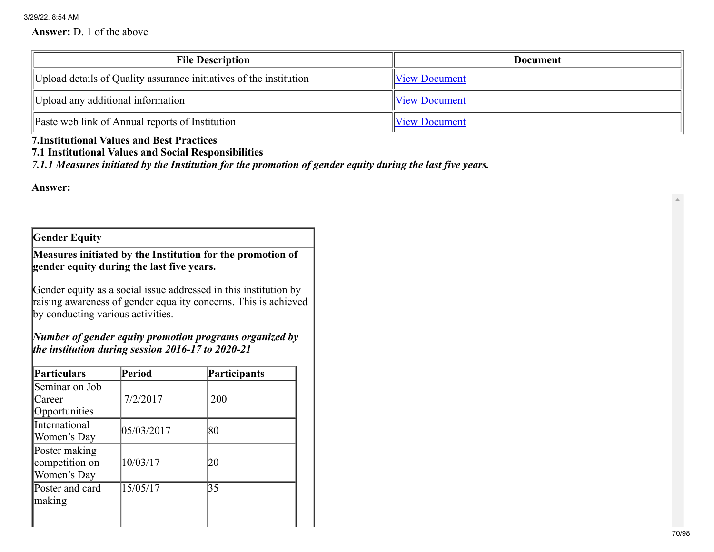#### Answer: D. 1 of the above

| <b>File Description</b>                                            | <b>Document</b>      |
|--------------------------------------------------------------------|----------------------|
| Upload details of Quality assurance initiatives of the institution | <b>View Document</b> |
| Upload any additional information                                  | <b>View Document</b> |
| Paste web link of Annual reports of Institution                    | <b>View Document</b> |

# 7.Institutional Values and Best Practices

# 7.1 Institutional Values and Social Responsibilities

*7.1.1 Measures initiated by the Institution for the promotion of gender equity during the last five years.*

Answer:

Gender Equity

Measures initiated by the Institution for the promotion of gender equity during the last five years.

Gender equity as a social issue addressed in this institution by raising awareness of gender equality concerns. This is achieved by conducting various activities.

*Number of gender equity promotion programs organized by the institution during session 2016-17 to 2020-21*

| Particulars                                    | Period     | Participants |
|------------------------------------------------|------------|--------------|
| Seminar on Job<br>Career<br>Opportunities      | 7/2/2017   | 200          |
| <b>International</b><br>Women's Day            | 05/03/2017 | 80           |
| Poster making<br>competition on<br>Women's Day | 10/03/17   | 20           |
| Poster and card<br>$\parallel$ making          | 15/05/17   | 35           |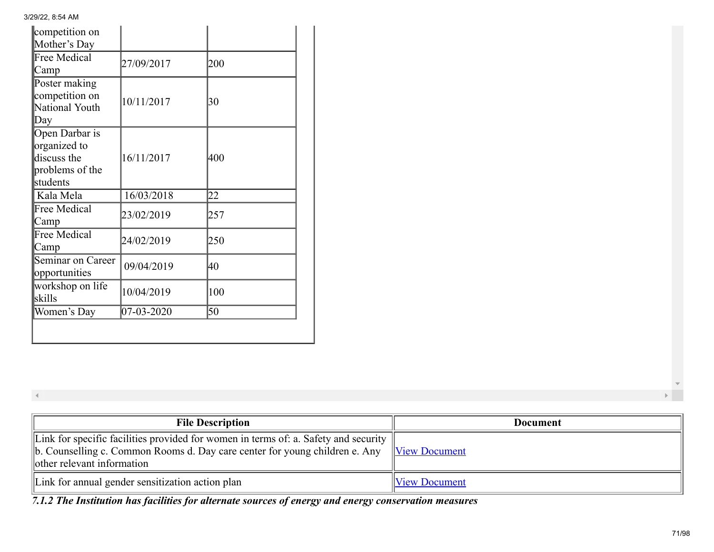| competition on<br>Mother's Day                                               |            |     |
|------------------------------------------------------------------------------|------------|-----|
| Free Medical<br> Camp                                                        | 27/09/2017 | 200 |
| Poster making<br>competition on<br>National Youth<br>$\mathbb{D}$ ay         | 10/11/2017 | 30  |
| Open Darbar is<br>organized to<br>discuss the<br>problems of the<br>students | 16/11/2017 | 400 |
| Kala Mela                                                                    | 16/03/2018 | 22  |
| Free Medical<br> Camp                                                        | 23/02/2019 | 257 |
| Free Medical<br>Camp                                                         | 24/02/2019 | 250 |
| Seminar on Career<br>opportunities                                           | 09/04/2019 | 40  |
| workshop on life<br>skills                                                   | 10/04/2019 | 100 |
| Women's Day                                                                  | 07-03-2020 | 50  |

 $\blacktriangleleft$ 

| <b>File Description</b>                                                                                                                                                                                                  | Document             |
|--------------------------------------------------------------------------------------------------------------------------------------------------------------------------------------------------------------------------|----------------------|
| Link for specific facilities provided for women in terms of: a. Safety and security<br>$\ $ b. Counselling c. Common Rooms d. Day care center for young children e. Any $\ $ View Document<br>other relevant information |                      |
| Link for annual gender sensitization action plan                                                                                                                                                                         | <b>View Document</b> |

*7.1.2 The Institution has facilities for alternate sources of energy and energy conservation measures*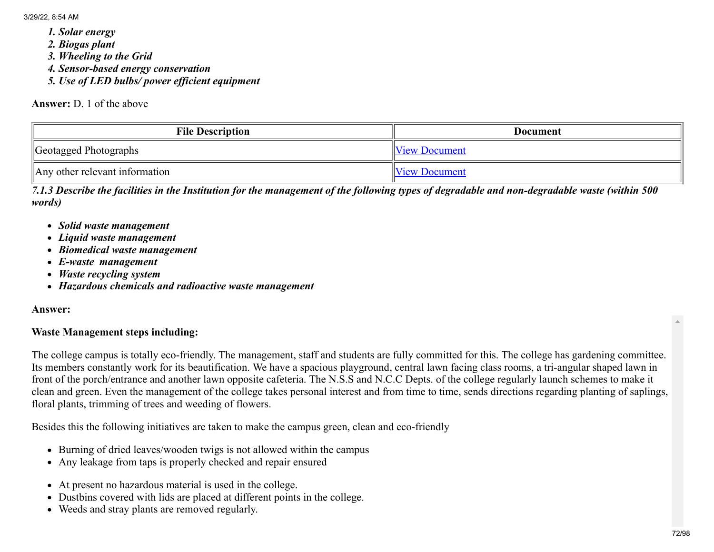- *1. Solar energy*
- *2. Biogas plant*
- *3. Wheeling to the Grid*
- *4. Sensor-based energy conservation*
- *5. Use of LED bulbs/ power efficient equipment*

Answer: D. 1 of the above

| <b>File Description</b>                    | <b>Document</b>      |
|--------------------------------------------|----------------------|
| Geotagged Photographs                      | <b>View Document</b> |
| $\parallel$ Any other relevant information | <b>View Document</b> |

*7.1.3 Describe the facilities in the Institution for the management of the following types of degradable and non-degradable waste (within 500 words)*

- *Solid waste management*
- *Liquid waste management*
- *Biomedical waste management*
- *E-waste management*
- *Waste recycling system*
- *Hazardous chemicals and radioactive waste management*

#### Answer:

#### Waste Management steps including:

The college campus is totally eco-friendly. The management, staff and students are fully committed for this. The college has gardening committee. Its members constantly work for its beautification. We have a spacious playground, central lawn facing class rooms, a tri-angular shaped lawn in front of the porch/entrance and another lawn opposite cafeteria. The N.S.S and N.C.C Depts. of the college regularly launch schemes to make it clean and green. Even the management of the college takes personal interest and from time to time, sends directions regarding planting of saplings, floral plants, trimming of trees and weeding of flowers.

Besides this the following initiatives are taken to make the campus green, clean and eco-friendly

- Burning of dried leaves/wooden twigs is not allowed within the campus
- Any leakage from taps is properly checked and repair ensured
- At present no hazardous material is used in the college.
- Dustbins covered with lids are placed at different points in the college.
- Weeds and stray plants are removed regularly.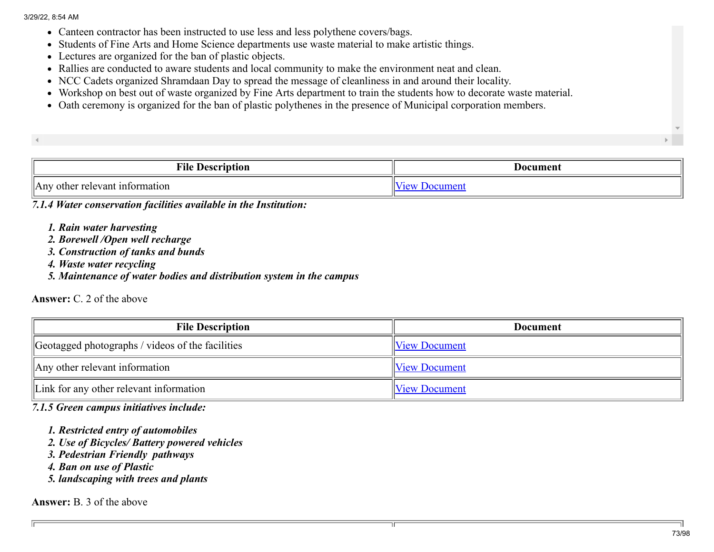- Canteen contractor has been instructed to use less and less polythene covers/bags.
- Students of Fine Arts and Home Science departments use waste material to make artistic things.
- Lectures are organized for the ban of plastic objects.
- Rallies are conducted to aware students and local community to make the environment neat and clean.
- NCC Cadets organized Shramdaan Day to spread the message of cleanliness in and around their locality.
- Workshop on best out of waste organized by Fine Arts department to train the students how to decorate waste material.
- Oath ceremony is organized for the ban of plastic polythenes in the presence of Municipal corporation members.

| <b>TIME</b><br>Fīk<br><b>Description</b><br>$\sim$ | Document |
|----------------------------------------------------|----------|
| AnV<br>other relevant information                  |          |

*7.1.4 Water conservation facilities available in the Institution:*

- *1. Rain water harvesting*
- *2. Borewell /Open well recharge*
- *3. Construction of tanks and bunds*
- *4. Waste water recycling*
- *5. Maintenance of water bodies and distribution system in the campus*

## Answer: C. 2 of the above

| <b>File Description</b>                          | Document             |
|--------------------------------------------------|----------------------|
| Geotagged photographs / videos of the facilities | <b>View Document</b> |
| $\parallel$ Any other relevant information       | <b>View Document</b> |
| $\ $ Link for any other relevant information     | View Document        |

*7.1.5 Green campus initiatives include:*

- *1. Restricted entry of automobiles*
- *2. Use of Bicycles/ Battery powered vehicles*
- *3. Pedestrian Friendly pathways*
- *4. Ban on use of Plastic*

*5. landscaping with trees and plants*

Answer: B. 3 of the above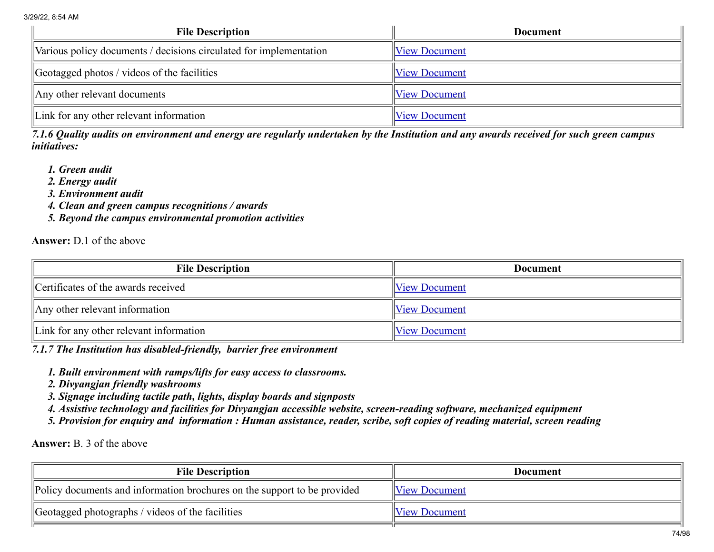| <b>File Description</b>                                            | <b>Document</b>      |
|--------------------------------------------------------------------|----------------------|
| Various policy documents / decisions circulated for implementation | <b>View Document</b> |
| $\theta$ Geotagged photos / videos of the facilities               | <b>View Document</b> |
| $\parallel$ Any other relevant documents                           | <b>View Document</b> |
| Link for any other relevant information                            | <b>View Document</b> |

*7.1.6 Quality audits on environment and energy are regularly undertaken by the Institution and any awards received for such green campus initiatives:*

- *1. Green audit*
- *2. Energy audit*
- *3. Environment audit*
- *4. Clean and green campus recognitions / awards*
- *5. Beyond the campus environmental promotion activities*

Answer: D.1 of the above

| <b>File Description</b>                      | <b>Document</b>      |
|----------------------------------------------|----------------------|
| Certificates of the awards received          | <b>View Document</b> |
| $\parallel$ Any other relevant information   | <b>View Document</b> |
| $\ $ Link for any other relevant information | View Document        |

*7.1.7 The Institution has disabled-friendly, barrier free environment*

- *1. Built environment with ramps/lifts for easy access to classrooms.*
- *2. Divyangjan friendly washrooms*
- *3. Signage including tactile path, lights, display boards and signposts*
- *4. Assistive technology and facilities for Divyangjan accessible website, screen-reading software, mechanized equipment*
- *5. Provision for enquiry and information : Human assistance, reader, scribe, soft copies of reading material, screen reading*

Answer: B. 3 of the above

| <b>File Description</b>                                                  | Document      |
|--------------------------------------------------------------------------|---------------|
| Policy documents and information brochures on the support to be provided | View Document |
| Geotagged photographs / videos of the facilities                         | View Document |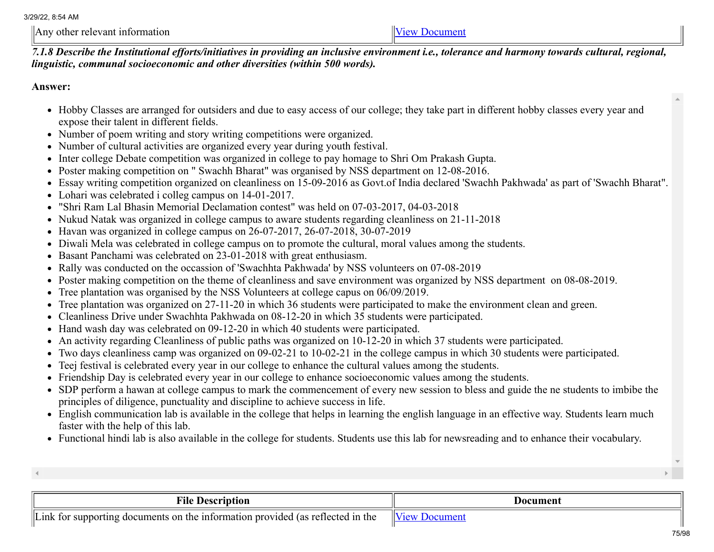$\Delta$ ny other relevant information  $\Delta$ 

*7.1.8 Describe the Institutional efforts/initiatives in providing an inclusive environment i.e., tolerance and harmony towards cultural, regional, linguistic, communal socioeconomic and other diversities (within 500 words).*

Answer:

- Hobby Classes are arranged for outsiders and due to easy access of our college; they take part in different hobby classes every year and expose their talent in different fields.
- Number of poem writing and story writing competitions were organized.
- Number of cultural activities are organized every year during youth festival.
- Inter college Debate competition was organized in college to pay homage to Shri Om Prakash Gupta.
- Poster making competition on " Swachh Bharat" was organised by NSS department on 12-08-2016.
- Essay writing competition organized on cleanliness on 15-09-2016 as Govt.of India declared 'Swachh Pakhwada' as part of 'Swachh Bharat".
- Lohari was celebrated i colleg campus on 14-01-2017.
- "Shri Ram Lal Bhasin Memorial Declamation contest" was held on 07-03-2017, 04-03-2018
- Nukud Natak was organized in college campus to aware students regarding cleanliness on 21-11-2018
- Havan was organized in college campus on 26-07-2017, 26-07-2018, 30-07-2019
- Diwali Mela was celebrated in college campus on to promote the cultural, moral values among the students.
- Basant Panchami was celebrated on 23-01-2018 with great enthusiasm.
- Rally was conducted on the occassion of 'Swachhta Pakhwada' by NSS volunteers on 07-08-2019
- Poster making competition on the theme of cleanliness and save environment was organized by NSS department on 08-08-2019.
- Tree plantation was organised by the NSS Volunteers at college capus on 06/09/2019.
- Tree plantation was organized on 27-11-20 in which 36 students were participated to make the environment clean and green.
- Cleanliness Drive under Swachhta Pakhwada on 08-12-20 in which 35 students were participated.
- Hand wash day was celebrated on 09-12-20 in which 40 students were participated.
- An activity regarding Cleanliness of public paths was organized on 10-12-20 in which 37 students were participated.
- Two days cleanliness camp was organized on 09-02-21 to 10-02-21 in the college campus in which 30 students were participated.
- Teej festival is celebrated every year in our college to enhance the cultural values among the students.
- Friendship Day is celebrated every year in our college to enhance socioeconomic values among the students.
- SDP perform a hawan at college campus to mark the commencement of every new session to bless and guide the ne students to imbibe the principles of diligence, punctuality and discipline to achieve success in life.
- English communication lab is available in the college that helps in learning the english language in an effective way. Students learn much faster with the help of this lab.
- Functional hindi lab is also available in the college for students. Students use this lab for newsreading and to enhance their vocabulary.

| <b>THE</b><br><b>Description</b><br>Fıle                                                                                       | Document |
|--------------------------------------------------------------------------------------------------------------------------------|----------|
| lv +<br>Lınk  <br>the ⊺<br>$\Omega$<br>: information<br>provided (as reflected<br>-1n<br>the<br>documents<br>supporting<br>tor | יים ו    |

75/98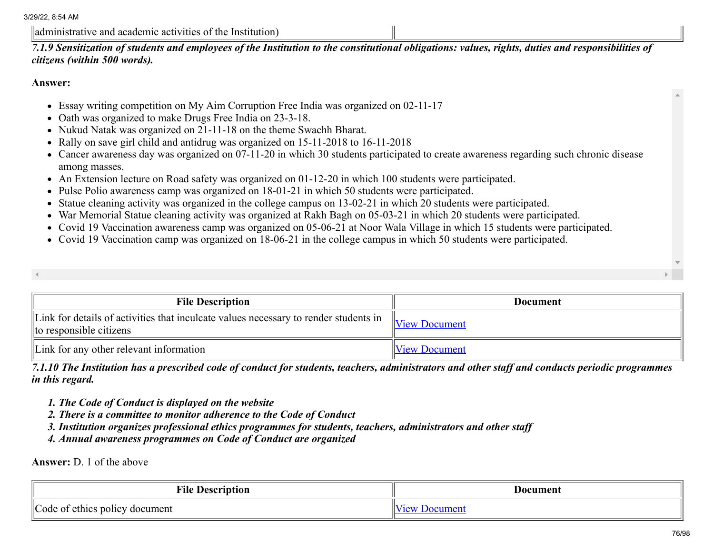administrative and academic activities of the Institution)

*7.1.9 Sensitization of students and employees of the Institution to the constitutional obligations: values, rights, duties and responsibilities of citizens (within 500 words).*

#### Answer:

- Essay writing competition on My Aim Corruption Free India was organized on 02-11-17
- Oath was organized to make Drugs Free India on 23-3-18.
- Nukud Natak was organized on 21-11-18 on the theme Swachh Bharat.
- Rally on save girl child and antidrug was organized on 15-11-2018 to 16-11-2018
- Cancer awareness day was organized on 07-11-20 in which 30 students participated to create awareness regarding such chronic disease among masses.
- An Extension lecture on Road safety was organized on 01-12-20 in which 100 students were participated.
- Pulse Polio awareness camp was organized on 18-01-21 in which 50 students were participated.
- Statue cleaning activity was organized in the college campus on 13-02-21 in which 20 students were participated.
- War Memorial Statue cleaning activity was organized at Rakh Bagh on 05-03-21 in which 20 students were participated.
- Covid 19 Vaccination awareness camp was organized on 05-06-21 at Noor Wala Village in which 15 students were participated.
- Covid 19 Vaccination camp was organized on 18-06-21 in the college campus in which 50 students were participated.

| <b>File Description</b> | Document |
|-------------------------|----------|

| Link for details of activities that inculcate values necessary to render students in<br>$\ $ to responsible citizens | $\mathbb{V}$ iew Document |
|----------------------------------------------------------------------------------------------------------------------|---------------------------|
| Link for any other relevant information                                                                              | <b>View Document</b>      |

*7.1.10 The Institution has a prescribed code of conduct for students, teachers, administrators and other staff and conducts periodic programmes in this regard.*

- *1. The Code of Conduct is displayed on the website*
- *2. There is a committee to monitor adherence to the Code of Conduct*
- *3. Institution organizes professional ethics programmes for students, teachers, administrators and other staff*
- *4. Annual awareness programmes on Code of Conduct are organized*

Answer: D. 1 of the above

| <b>Vile</b><br><b>Description</b>                | Document |
|--------------------------------------------------|----------|
| of ethics policy<br>ode<br><sup>t</sup> document | $\sim$   |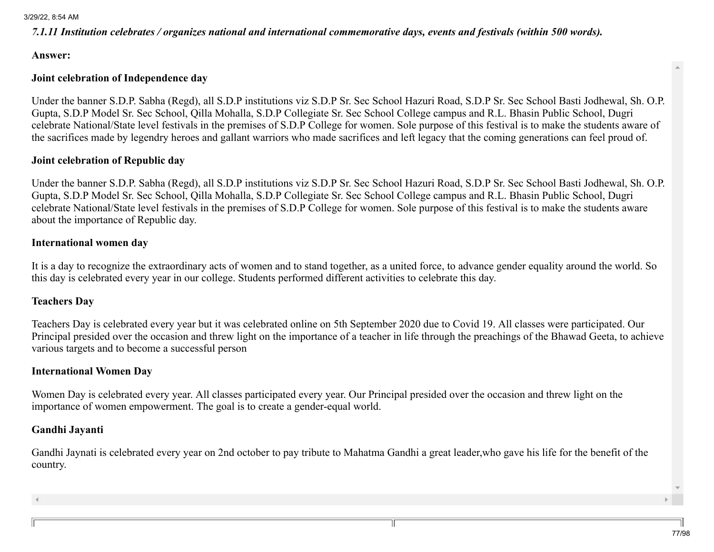## *7.1.11 Institution celebrates / organizes national and international commemorative days, events and festivals (within 500 words).*

#### Answer:

## Joint celebration of Independence day

Under the banner S.D.P. Sabha (Regd), all S.D.P institutions viz S.D.P Sr. Sec School Hazuri Road, S.D.P Sr. Sec School Basti Jodhewal, Sh. O.P. Gupta, S.D.P Model Sr. Sec School, Qilla Mohalla, S.D.P Collegiate Sr. Sec School College campus and R.L. Bhasin Public School, Dugri celebrate National/State level festivals in the premises of S.D.P College for women. Sole purpose of this festival is to make the students aware of the sacrifices made by legendry heroes and gallant warriors who made sacrifices and left legacy that the coming generations can feel proud of.

## Joint celebration of Republic day

Under the banner S.D.P. Sabha (Regd), all S.D.P institutions viz S.D.P Sr. Sec School Hazuri Road, S.D.P Sr. Sec School Basti Jodhewal, Sh. O.P. Gupta, S.D.P Model Sr. Sec School, Qilla Mohalla, S.D.P Collegiate Sr. Sec School College campus and R.L. Bhasin Public School, Dugri celebrate National/State level festivals in the premises of S.D.P College for women. Sole purpose of this festival is to make the students aware about the importance of Republic day.

### International women day

It is a day to recognize the extraordinary acts of women and to stand together, as a united force, to advance gender equality around the world. So this day is celebrated every year in our college. Students performed different activities to celebrate this day.

## Teachers Day

Teachers Day is celebrated every year but it was celebrated online on 5th September 2020 due to Covid 19. All classes were participated. Our Principal presided over the occasion and threw light on the importance of a teacher in life through the preachings of the Bhawad Geeta, to achieve various targets and to become a successful person

## International Women Day

Women Day is celebrated every year. All classes participated every year. Our Principal presided over the occasion and threw light on the importance of women empowerment. The goal is to create a gender-equal world.

#### Gandhi Jayanti

Gandhi Jaynati is celebrated every year on 2nd october to pay tribute to Mahatma Gandhi a great leader,who gave his life for the benefit of the country.

77/98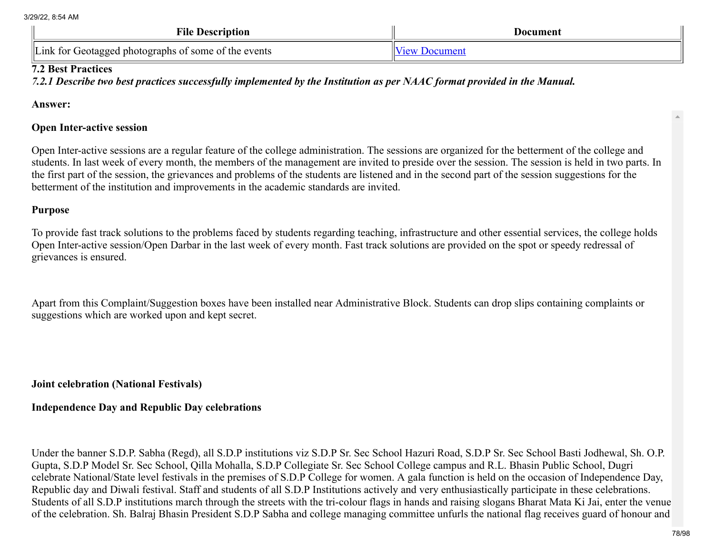| <b>File Description</b>                              | Document                                        |
|------------------------------------------------------|-------------------------------------------------|
| Link for Geotagged photographs of some of the events | $V_i$ <sub><math>\alpha</math></sub><br>Jocumen |

## 7.2 Best Practices

*7.2.1 Describe two best practices successfully implemented by the Institution as per NAAC format provided in the Manual.*

Answer:

## Open Inter-active session

Open Inter-active sessions are a regular feature of the college administration. The sessions are organized for the betterment of the college and students. In last week of every month, the members of the management are invited to preside over the session. The session is held in two parts. In the first part of the session, the grievances and problems of the students are listened and in the second part of the session suggestions for the betterment of the institution and improvements in the academic standards are invited.

## Purpose

To provide fast track solutions to the problems faced by students regarding teaching, infrastructure and other essential services, the college holds Open Inter-active session/Open Darbar in the last week of every month. Fast track solutions are provided on the spot or speedy redressal of grievances is ensured.

Apart from this Complaint/Suggestion boxes have been installed near Administrative Block. Students can drop slips containing complaints or suggestions which are worked upon and kept secret.

## Joint celebration (National Festivals)

# Independence Day and Republic Day celebrations

Under the banner S.D.P. Sabha (Regd), all S.D.P institutions viz S.D.P Sr. Sec School Hazuri Road, S.D.P Sr. Sec School Basti Jodhewal, Sh. O.P. Gupta, S.D.P Model Sr. Sec School, Qilla Mohalla, S.D.P Collegiate Sr. Sec School College campus and R.L. Bhasin Public School, Dugri celebrate National/State level festivals in the premises of S.D.P College for women. A gala function is held on the occasion of Independence Day, Republic day and Diwali festival. Staff and students of all S.D.P Institutions actively and very enthusiastically participate in these celebrations. Students of all S.D.P institutions march through the streets with the tri-colour flags in hands and raising slogans Bharat Mata Ki Jai, enter the venue of the celebration. Sh. Balraj Bhasin President S.D.P Sabha and college managing committee unfurls the national flag receives guard of honour and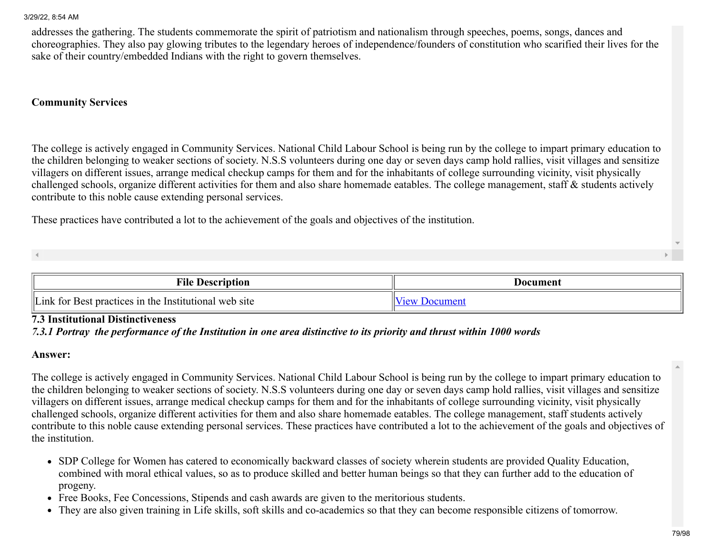addresses the gathering. The students commemorate the spirit of patriotism and nationalism through speeches, poems, songs, dances and choreographies. They also pay glowing tributes to the legendary heroes of independence/founders of constitution who scarified their lives for the sake of their country/embedded Indians with the right to govern themselves.

## Community Services

The college is actively engaged in Community Services. National Child Labour School is being run by the college to impart primary education to the children belonging to weaker sections of society. N.S.S volunteers during one day or seven days camp hold rallies, visit villages and sensitize villagers on different issues, arrange medical checkup camps for them and for the inhabitants of college surrounding vicinity, visit physically challenged schools, organize different activities for them and also share homemade eatables. The college management, staff & students actively contribute to this noble cause extending personal services.

These practices have contributed a lot to the achievement of the goals and objectives of the institution.

| m•n<br>vne<br><b>Description</b>                                                            | Document             |
|---------------------------------------------------------------------------------------------|----------------------|
| $\mathbb{I}$ $\mathbb{I}$ if<br>.1nk<br>t for Best practices in the Institutional web site. | $\alpha$<br>$\cdots$ |

### 7.3 Institutional Distinctiveness

#### *7.3.1 Portray the performance of the Institution in one area distinctive to its priority and thrust within 1000 words*

#### Answer:

The college is actively engaged in Community Services. National Child Labour School is being run by the college to impart primary education to the children belonging to weaker sections of society. N.S.S volunteers during one day or seven days camp hold rallies, visit villages and sensitize villagers on different issues, arrange medical checkup camps for them and for the inhabitants of college surrounding vicinity, visit physically challenged schools, organize different activities for them and also share homemade eatables. The college management, staff students actively contribute to this noble cause extending personal services. These practices have contributed a lot to the achievement of the goals and objectives of the institution.

- SDP College for Women has catered to economically backward classes of society wherein students are provided Quality Education, combined with moral ethical values, so as to produce skilled and better human beings so that they can further add to the education of progeny.
- Free Books, Fee Concessions, Stipends and cash awards are given to the meritorious students.
- They are also given training in Life skills, soft skills and co-academics so that they can become responsible citizens of tomorrow.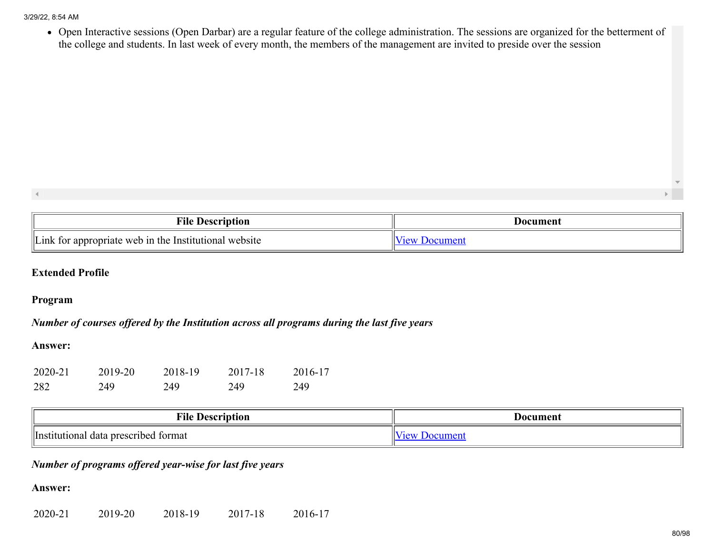Open Interactive sessions (Open Darbar) are a regular feature of the college administration. The sessions are organized for the betterment of the college and students. In last week of every month, the members of the management are invited to preside over the session

| $\mathbf{L}$<br>±⊓e<br>10I<br>' leserint                                             | Document |
|--------------------------------------------------------------------------------------|----------|
| $\parallel$ III :<br>$\mathbf{W}$<br>Institutiona<br>onriate<br>website<br>าท<br>the | $\sim$   |

## Extended Profile

### Program

## *Number of courses offered by the Institution across all programs during the last five years*

### Answer:

| 2020-21 | 2019-20 | 2018-19 | 2017-18 | 2016-17 |
|---------|---------|---------|---------|---------|
| 282     | 249     | 249     | 249     | 249     |

| <b>File</b><br>Vescription                             | Document    |
|--------------------------------------------------------|-------------|
| <b>I</b> ns<br>l data prescribed<br>tormat<br>tutional | I ATT<br>л. |

## *Number of programs offered year-wise for last five years*

## Answer:

2020-21 2019-20 2018-19 2017-18 2016-17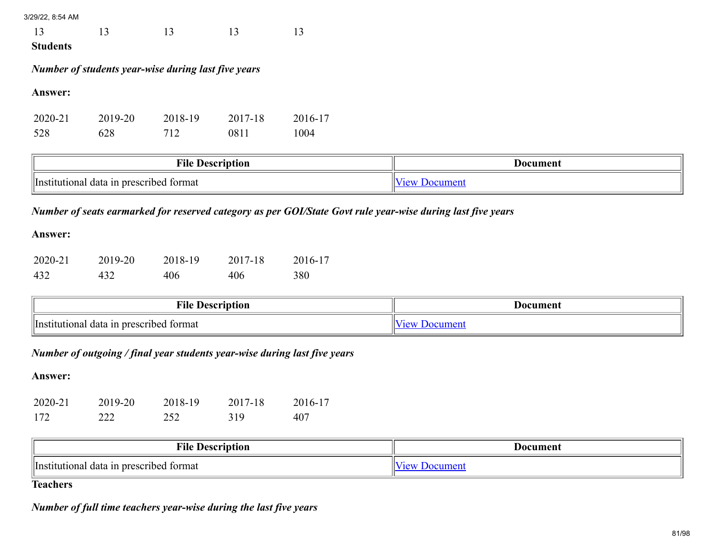13 13 13 13

Students

## *Number of students year-wise during last five years*

Answer:

| 2020-21 | 2019-20 | 2018-19 | 2017-18 | 2016-17 |
|---------|---------|---------|---------|---------|
| 528     | 628     | 712     | 0811    | 1004    |

| <b>File</b><br>Description                                | Document |
|-----------------------------------------------------------|----------|
| 'lInsti<br>prescrib<br>bed format<br>utional<br>. data in | $\sim$   |

# *Number of seats earmarked for reserved category as per GOI/State Govt rule year-wise during last five years*

### Answer:

| 2020-21 | 2019-20 | 2018-19 | 2017-18 | 2016-17 |
|---------|---------|---------|---------|---------|
| 432     | 432     | 406     | 406     | 380     |

| $\mathbf{r}$<br>$\cdots$ i iacowing<br>±ue<br>.<br>IUI         | Document |
|----------------------------------------------------------------|----------|
| l v<br>۱In<br>tormat<br>prescribed<br>tutional .<br>1n<br>data | ~        |

## *Number of outgoing / final year students year-wise during last five years*

## Answer:

| 2020-21 | 2019-20 | 2018-19 | 2017-18 | 2016-17 |
|---------|---------|---------|---------|---------|
| 172     | 222     | 252     | 319     | 407     |

| .<br>тне<br>Description                                  | Vocument |
|----------------------------------------------------------|----------|
| 'lInstit<br>tormat<br>tutional<br>l data in prescribed i |          |

# **Teachers**

## *Number of full time teachers year-wise during the last five years*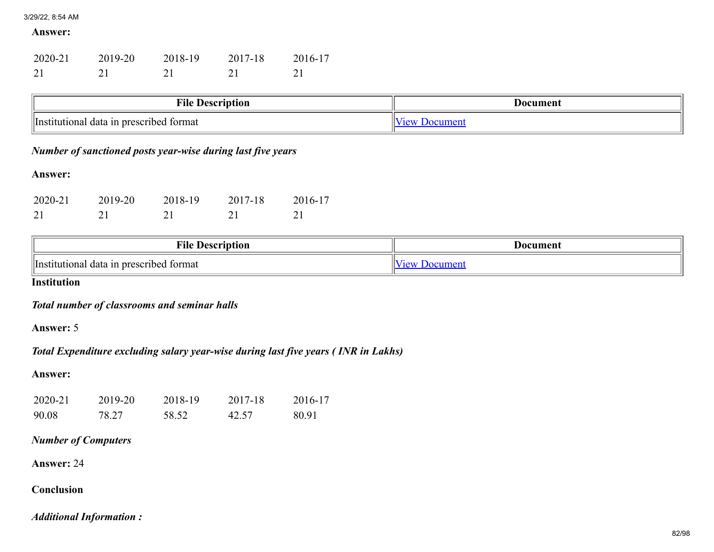#### Answer:

| 2020-21 | 2019-20 | 2018-19 | 2017-18 | 2016-17 |
|---------|---------|---------|---------|---------|
| 21      |         |         |         |         |

| File<br>e Description                               | Jocument |
|-----------------------------------------------------|----------|
| <i>Institutional</i><br>I data in prescribed format |          |

## *Number of sanctioned posts year-wise during last five years*

## Answer:

| 2020-21 | 2019-20 | 2018-19 | 2017-18 | 2016-17 |
|---------|---------|---------|---------|---------|
|         |         |         |         |         |

| <b>THE</b><br>∗nle<br>$-10002$<br>10 I                                   | Document |  |
|--------------------------------------------------------------------------|----------|--|
| tormat<br>n prescribed * '<br>ntutional<br>data<br>illnetit <sup>.</sup> |          |  |

**Institution** 

*Total number of classrooms and seminar halls*

Answer: 5

*Total Expenditure excluding salary year-wise during last five years ( INR in Lakhs)*

## Answer:

| 2020-21 | 2019-20 | 2018-19 | 2017-18 | 2016-17 |
|---------|---------|---------|---------|---------|
| 90.08   | 78.27   | 58.52   | 42.57   | 80.91   |

## *Number of Computers*

Answer: 24

## Conclusion

*Additional Information :*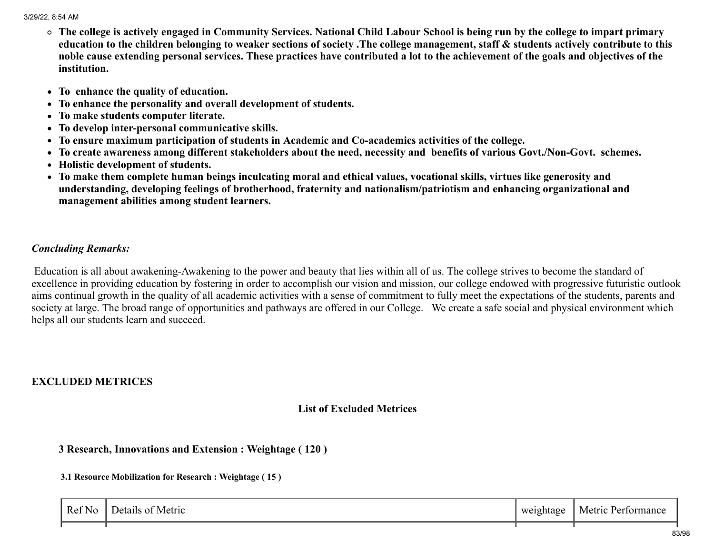- The college is actively engaged in Community Services. National Child Labour School is being run by the college to impart primary education to the children belonging to weaker sections of society .The college management, staff & students actively contribute to this noble cause extending personal services. These practices have contributed a lot to the achievement of the goals and objectives of the institution.
- To enhance the quality of education.
- To enhance the personality and overall development of students.
- To make students computer literate.
- To develop inter-personal communicative skills.
- To ensure maximum participation of students in Academic and Co-academics activities of the college.
- To create awareness among different stakeholders about the need, necessity and benefits of various Govt./Non-Govt. schemes.
- Holistic development of students.
- To make them complete human beings inculcating moral and ethical values, vocational skills, virtues like generosity and understanding, developing feelings of brotherhood, fraternity and nationalism/patriotism and enhancing organizational and management abilities among student learners.

## *Concluding Remarks:*

Education is all about awakening-Awakening to the power and beauty that lies within all of us. The college strives to become the standard of excellence in providing education by fostering in order to accomplish our vision and mission, our college endowed with progressive futuristic outlook aims continual growth in the quality of all academic activities with a sense of commitment to fully meet the expectations of the students, parents and society at large. The broad range of opportunities and pathways are offered in our College. We create a safe social and physical environment which helps all our students learn and succeed.

## EXCLUDED METRICES

## List of Excluded Metrices

## 3 Research, Innovations and Extension : Weightage ( 120 )

#### 3.1 Resource Mobilization for Research : Weightage ( 15 )

| $\mathbf{r}$<br>$\sim$ $\sim$ $\sim$<br>Ref No | Metric<br>Jetai<br>. I C | weightage<br>ັ<br>. . | Metric<br>Performance |
|------------------------------------------------|--------------------------|-----------------------|-----------------------|
|                                                |                          |                       |                       |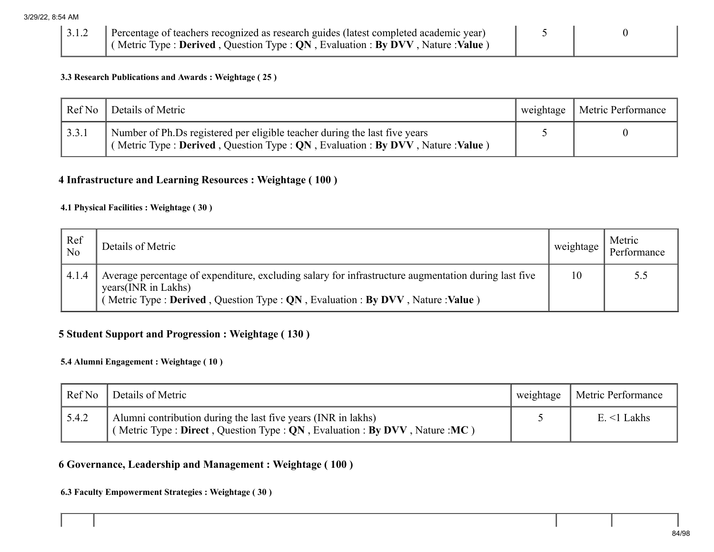|  | 3.1.2 Percentage of teachers recognized as research guides (latest completed academic year)                              |  |
|--|--------------------------------------------------------------------------------------------------------------------------|--|
|  | $\vert$ (Metric Type : <b>Derived</b> , Question Type : <b>QN</b> , Evaluation : <b>By DVV</b> , Nature : <b>Value</b> ) |  |

#### 3.3 Research Publications and Awards : Weightage ( 25 )

| Ref No | Details of Metric                                                                                                                                          | weightage | <b>Metric Performance</b> |
|--------|------------------------------------------------------------------------------------------------------------------------------------------------------------|-----------|---------------------------|
| 3.3.1  | Number of Ph.Ds registered per eligible teacher during the last five years<br>(Metric Type: Derived, Question Type: QN, Evaluation: By DVV, Nature: Value) |           |                           |

## 4 Infrastructure and Learning Resources : Weightage ( 100 )

#### 4.1 Physical Facilities : Weightage ( 30 )

| Ref<br>N <sub>o</sub> | Details of Metric                                                                                                                                                                                              | weightage | Metric<br>Performance |
|-----------------------|----------------------------------------------------------------------------------------------------------------------------------------------------------------------------------------------------------------|-----------|-----------------------|
| 4.1.4                 | Average percentage of expenditure, excluding salary for infrastructure augmentation during last five<br>years(INR in Lakhs)<br>Metric Type : Derived, Question Type : QN, Evaluation : By DVV, Nature : Value) | 10        | 5.5                   |

## 5 Student Support and Progression : Weightage ( 130 )

### 5.4 Alumni Engagement : Weightage ( 10 )

| Ref No | Details of Metric                                                                                                                            | weightage | Metric Performance |
|--------|----------------------------------------------------------------------------------------------------------------------------------------------|-----------|--------------------|
| 5.4.2  | Alumni contribution during the last five years (INR in lakhs)<br>(Metric Type: Direct, Question Type: $QN$ , Evaluation: By DVV, Nature: MC) |           | $E \leq 1$ Lakhs   |

## 6 Governance, Leadership and Management : Weightage ( 100 )

## 6.3 Faculty Empowerment Strategies : Weightage ( 30 )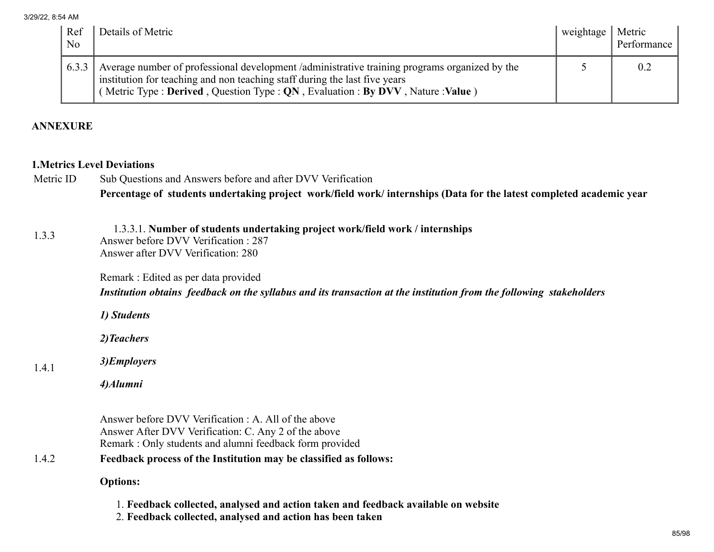| Ref<br>No | Details of Metric                                                                                                                                                                                                                                           | weightage   Metric | Performance |
|-----------|-------------------------------------------------------------------------------------------------------------------------------------------------------------------------------------------------------------------------------------------------------------|--------------------|-------------|
| 6.3.3     | Average number of professional development /administrative training programs organized by the<br>institution for teaching and non teaching staff during the last five years<br>(Metric Type: Derived, Question Type: QN, Evaluation: By DVV, Nature: Value) |                    | -0.2        |

## ANNEXURE

## 1.Metrics Level Deviations

|           | Percentage of students undertaking project work/field work/ internships (Data for the latest completed academic year |
|-----------|----------------------------------------------------------------------------------------------------------------------|
| Metric ID | Sub Questions and Answers before and after DVV Verification                                                          |

#### 1.3.3 1.3.3.1. Number of students undertaking project work/field work / internships Answer before DVV Verification : 287 Answer after DVV Verification: 280

Remark : Edited as per data provided

*Institution obtains feedback on the syllabus and its transaction at the institution from the following stakeholders*

*1) Students*

*2)Teachers*

#### 1.4.1 *3)Employers*

*4)Alumni*

Answer before DVV Verification : A. All of the above Answer After DVV Verification: C. Any 2 of the above Remark : Only students and alumni feedback form provided

## 1.4.2 Feedback process of the Institution may be classified as follows:

## Options:

- 1. Feedback collected, analysed and action taken and feedback available on website
- 2. Feedback collected, analysed and action has been taken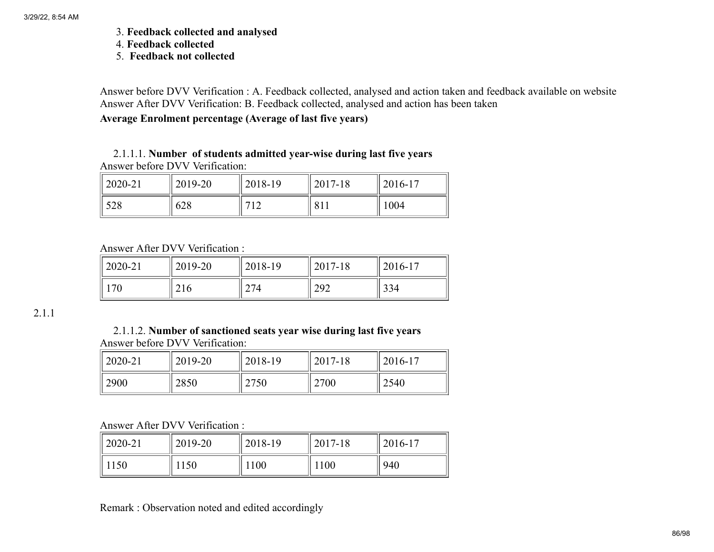- 3. Feedback collected and analysed
- 4. Feedback collected
- 5. Feedback not collected

Answer before DVV Verification : A. Feedback collected, analysed and action taken and feedback available on website Answer After DVV Verification: B. Feedback collected, analysed and action has been taken

## Average Enrolment percentage (Average of last five years)

## 2.1.1.1. Number of students admitted year-wise during last five years Answer before DVV Verification:

| $\parallel$ 2020-21 | 2019-20 | 2018-19               | 2017-18 | $12016 - 17$ |
|---------------------|---------|-----------------------|---------|--------------|
| 528                 | 628     | 710<br>$\overline{1}$ | 811     | 1004         |

Answer After DVV Verification :

| $\parallel$ 2020-21 | 2019-20 | 2018-19 | 2017-18 | $12016 - 17$ |
|---------------------|---------|---------|---------|--------------|
| 70                  | 216     | 274     | 292     | 334          |

2.1.1

## 2.1.1.2. Number of sanctioned seats year wise during last five years Answer before DVV Verification:

| $12020 - 21$ | 2019-20 | 2018-19 | 2017-18 | $12016 - 17$ |
|--------------|---------|---------|---------|--------------|
| 2900         | 2850    | 2750    | 2700    | 2540         |

## Answer After DVV Verification :

| $2020 - 21$ | 2019-20 | 2018-19 | 2017-18 | $2016-17$ |
|-------------|---------|---------|---------|-----------|
| 1150        | .150    | 1100    | !100    | 940       |

Remark : Observation noted and edited accordingly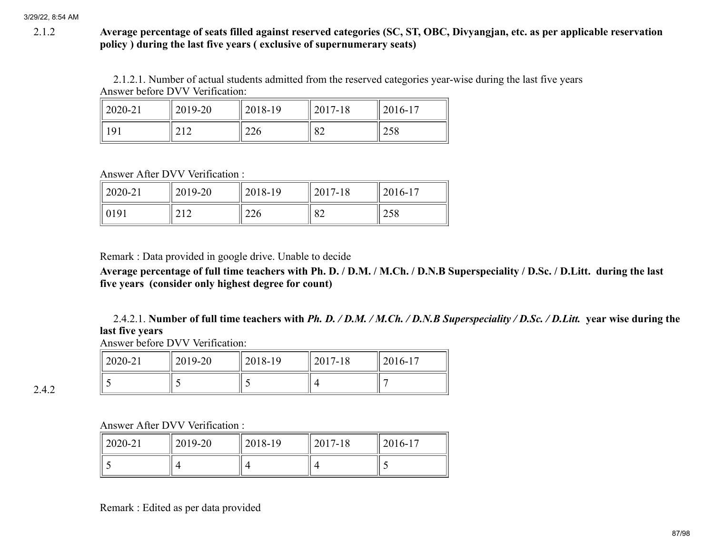## 2.1.2 Average percentage of seats filled against reserved categories (SC, ST, OBC, Divyangjan, etc. as per applicable reservation policy ) during the last five years ( exclusive of supernumerary seats)

2.1.2.1. Number of actual students admitted from the reserved categories year-wise during the last five years Answer before DVV Verification:

| $\parallel$ 2020-21 | 2019-20          | 2018-19 | 2017-18 | 2016-17 |
|---------------------|------------------|---------|---------|---------|
| 191                 | <b></b><br>4 T 4 | 226     | 82      | 258     |

Answer After DVV Verification :

| $2020 - 21$ | 2019-20                  | 2018-19 | 2017-18                    | 2016-17            |
|-------------|--------------------------|---------|----------------------------|--------------------|
| 0191        | $\sim$ 1 $\sim$<br>2 I Z | 226     | $\Omega$<br>$\circ \angle$ | nro<br>$\angle 20$ |

Remark : Data provided in google drive. Unable to decide

Average percentage of full time teachers with Ph. D. / D.M. / M.Ch. / D.N.B Superspeciality / D.Sc. / D.Litt. during the last five years (consider only highest degree for count)

2.4.2.1. Number of full time teachers with *Ph. D. / D.M. / M.Ch. / D.N.B Superspeciality / D.Sc. / D.Litt.* year wise during the last five years

Answer before DVV Verification:

| 2020-21 | 2019-20 | 2018-19 | 2017-18 | 2016-17 |
|---------|---------|---------|---------|---------|
|         |         |         |         |         |

2.4.2

Answer After DVV Verification :

| $\parallel$ 2020-21 | 2019-20 | 2018-19 | 2017-18 | $12016 - 17$ |
|---------------------|---------|---------|---------|--------------|
|                     |         |         |         |              |

Remark : Edited as per data provided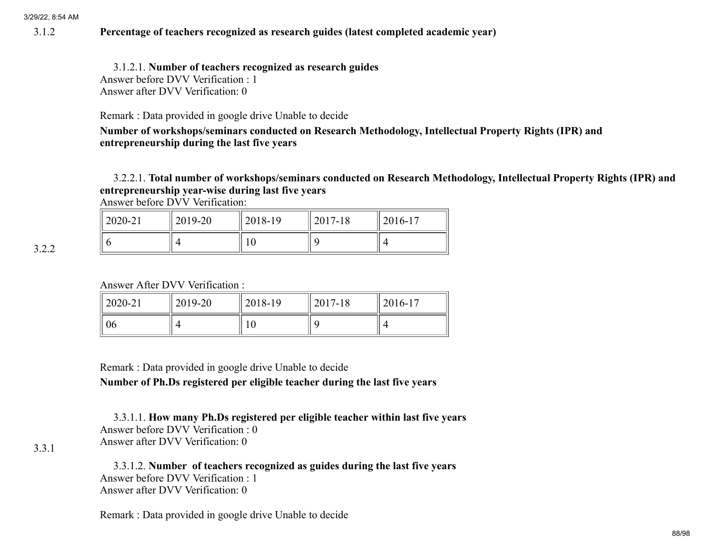## 3.1.2 Percentage of teachers recognized as research guides (latest completed academic year)

3.1.2.1. Number of teachers recognized as research guides Answer before DVV Verification : 1 Answer after DVV Verification: 0

Remark : Data provided in google drive Unable to decide

Number of workshops/seminars conducted on Research Methodology, Intellectual Property Rights (IPR) and entrepreneurship during the last five years

3.2.2.1. Total number of workshops/seminars conducted on Research Methodology, Intellectual Property Rights (IPR) and entrepreneurship year-wise during last five years

Answer before DVV Verification:

| $12020 - 21$ | 2019-20 | 2018-19  | 2017-18 | 2016-17 |
|--------------|---------|----------|---------|---------|
|              |         | ۱Λ<br>ΙV |         |         |

Answer After DVV Verification :

| $12020 - 21$ | 2019-20 | 2018-19 | 2017-18 | $12016 - 17$ |
|--------------|---------|---------|---------|--------------|
| 06           | ΖΙ      | 10      | Q       |              |

Remark : Data provided in google drive Unable to decide

Number of Ph.Ds registered per eligible teacher during the last five years

3.3.1.1. How many Ph.Ds registered per eligible teacher within last five years Answer before DVV Verification : 0 Answer after DVV Verification: 0

3.3.1

3.2.2

3.3.1.2. Number of teachers recognized as guides during the last five years Answer before DVV Verification : 1 Answer after DVV Verification: 0

Remark : Data provided in google drive Unable to decide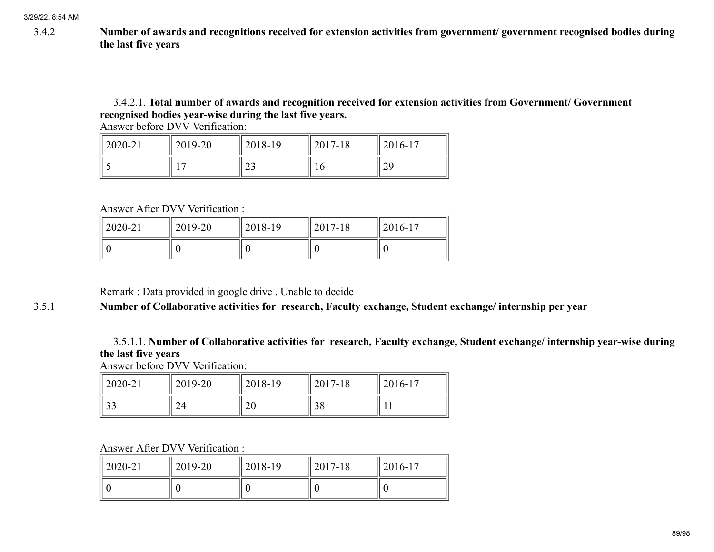3.4.2 Number of awards and recognitions received for extension activities from government/ government recognised bodies during the last five years

## 3.4.2.1. Total number of awards and recognition received for extension activities from Government/ Government recognised bodies year-wise during the last five years.

Answer before DVV Verification:

| $\parallel$ 2020-21 | 2019-20 | 2018-19                 | 2017-18 | $12016 - 17$ |
|---------------------|---------|-------------------------|---------|--------------|
|                     |         | $\mathbf{\Omega}$<br>ر∠ | ιν      | 29           |

Answer After DVV Verification :

| $\parallel$ 2020-21 | 2019-20 | 2018-19 | 2017-18 | $2016 - 17$ |
|---------------------|---------|---------|---------|-------------|
|                     |         |         |         |             |

Remark : Data provided in google drive . Unable to decide

## 3.5.1 Number of Collaborative activities for research, Faculty exchange, Student exchange/ internship per year

3.5.1.1. Number of Collaborative activities for research, Faculty exchange, Student exchange/ internship year-wise during the last five years

Answer before DVV Verification:

| $12020 - 21$ | 2019-20 | 2018-19 | 2017-18         | $2016-17$ |
|--------------|---------|---------|-----------------|-----------|
| າາ<br>ر ر    |         | 20      | <u>ാറ</u><br>20 |           |

Answer After DVV Verification :

| $'2020-21$ | 2019-20 | 2018-19 | 2017-18 | $12016 - 17$ |
|------------|---------|---------|---------|--------------|
|            |         |         |         |              |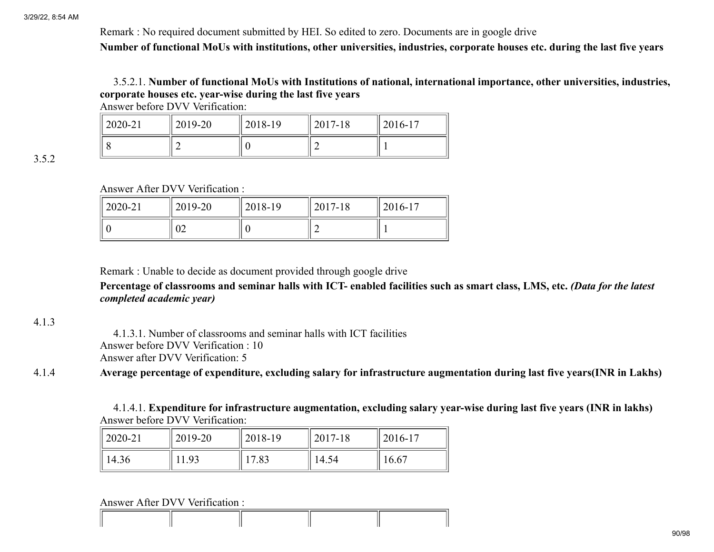Remark : No required document submitted by HEI. So edited to zero. Documents are in google drive Number of functional MoUs with institutions, other universities, industries, corporate houses etc. during the last five years

## 3.5.2.1. Number of functional MoUs with Institutions of national, international importance, other universities, industries, corporate houses etc. year-wise during the last five years

Answer before DVV Verification:

| $12020 - 21$ | 2019-20 | 2018-19 | 2017-18 | 2016-17 |
|--------------|---------|---------|---------|---------|
|              |         |         | ∸       |         |

3.5.2

Answer After DVV Verification :

| $'2020-21$ | 2019-20 | 2018-19 | 2017-18 | 2016-17 |
|------------|---------|---------|---------|---------|
|            | ◡∠      |         |         |         |

Remark : Unable to decide as document provided through google drive

Percentage of classrooms and seminar halls with ICT- enabled facilities such as smart class, LMS, etc. *(Data for the latest completed academic year)*

## 4.1.3

4.1.3.1. Number of classrooms and seminar halls with ICT facilities Answer before DVV Verification : 10 Answer after DVV Verification: 5

## 4.1.4 Average percentage of expenditure, excluding salary for infrastructure augmentation during last five years(INR in Lakhs)

4.1.4.1. Expenditure for infrastructure augmentation, excluding salary year-wise during last five years (INR in lakhs) Answer before DVV Verification:

| $12020 - 21$ | 2019-20 | 2018-19 | 2017-18 | $2016 - 17$ |
|--------------|---------|---------|---------|-------------|
| 14.36        | 1.93    | 7.83    | 14.54   | 16.67       |

Answer After DVV Verification :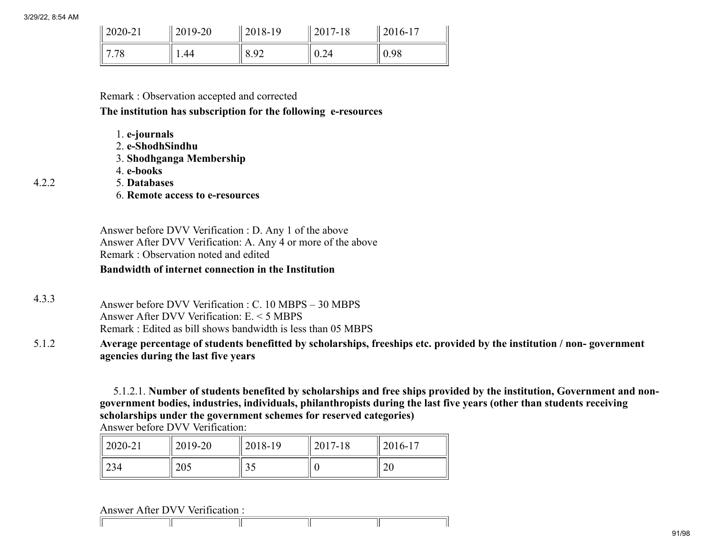4.2.2

| $\parallel$ 2020-21 | $2019 - 20$ | $ 2018-19\rangle$ | 2017-18 | $2016 - 17$ |
|---------------------|-------------|-------------------|---------|-------------|
| 7.78                | 1.44        | 8.92              | 0.24    | 0.98        |

### Remark : Observation accepted and corrected

#### The institution has subscription for the following e-resources

- 1. e-journals
- 2. e-ShodhSindhu
- 3. Shodhganga Membership
- 4. e-books
- 5. Databases
- 6. Remote access to e-resources

Answer before DVV Verification : D. Any 1 of the above Answer After DVV Verification: A. Any 4 or more of the above Remark : Observation noted and edited

### Bandwidth of internet connection in the Institution

4.3.3 Answer before DVV Verification : C. 10 MBPS – 30 MBPS Answer After DVV Verification: E. < 5 MBPS Remark : Edited as bill shows bandwidth is less than 05 MBPS

5.1.2 Average percentage of students benefitted by scholarships, freeships etc. provided by the institution / non- government agencies during the last five years

> 5.1.2.1. Number of students benefited by scholarships and free ships provided by the institution, Government and nongovernment bodies, industries, individuals, philanthropists during the last five years (other than students receiving scholarships under the government schemes for reserved categories)

| <b>Answer before DVV Verification:</b> |  |
|----------------------------------------|--|
|----------------------------------------|--|

| $\parallel$ 2020-21 | 2019-20 | 2018-19                    | 2017-18 | $2016 - 17$ |
|---------------------|---------|----------------------------|---------|-------------|
| 234                 | 205     | $\gamma$ $\epsilon$<br>ں ر |         | റ<br>∠∪     |

Answer After DVV Verification :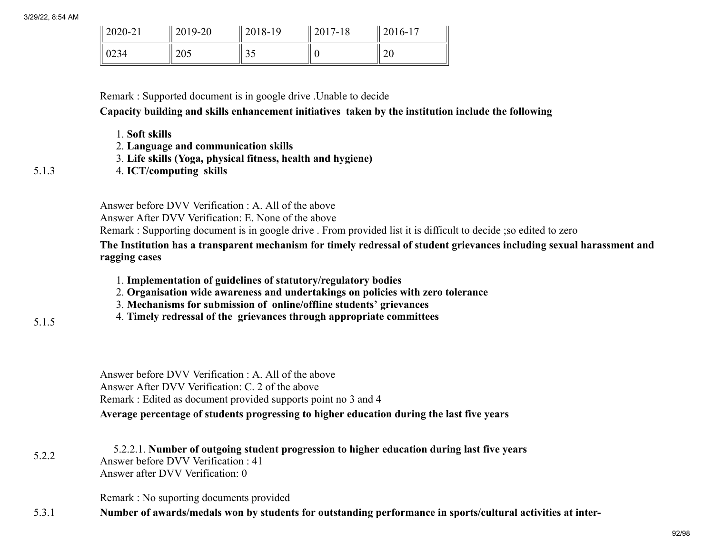| $\frac{12020-21}{ }$ | 2019-20 | $12018-19$             | 2017-18 | $ 2016-17$ |
|----------------------|---------|------------------------|---------|------------|
| 10234                | 205     | $\cap$ $\Gamma$<br>ر ر |         | 20         |

Remark : Supported document is in google drive .Unable to decide

Capacity building and skills enhancement initiatives taken by the institution include the following

- 1. Soft skills
- 2. Language and communication skills
- 3. Life skills (Yoga, physical fitness, health and hygiene)
- 4. ICT/computing skills

Answer before DVV Verification : A. All of the above

Answer After DVV Verification: E. None of the above

Remark : Supporting document is in google drive . From provided list it is difficult to decide ;so edited to zero

The Institution has a transparent mechanism for timely redressal of student grievances including sexual harassment and ragging cases

- 1. Implementation of guidelines of statutory/regulatory bodies
- 2. Organisation wide awareness and undertakings on policies with zero tolerance
- 3. Mechanisms for submission of online/offline students' grievances
- 4. Timely redressal of the grievances through appropriate committees
- 5.1.5

5.1.3

Answer before DVV Verification : A. All of the above Answer After DVV Verification: C. 2 of the above Remark : Edited as document provided supports point no 3 and 4 Average percentage of students progressing to higher education during the last five years

5.2.2 5.2.2.1. Number of outgoing student progression to higher education during last five years Answer before DVV Verification : 41 Answer after DVV Verification: 0

Remark : No suporting documents provided

5.3.1 Number of awards/medals won by students for outstanding performance in sports/cultural activities at inter-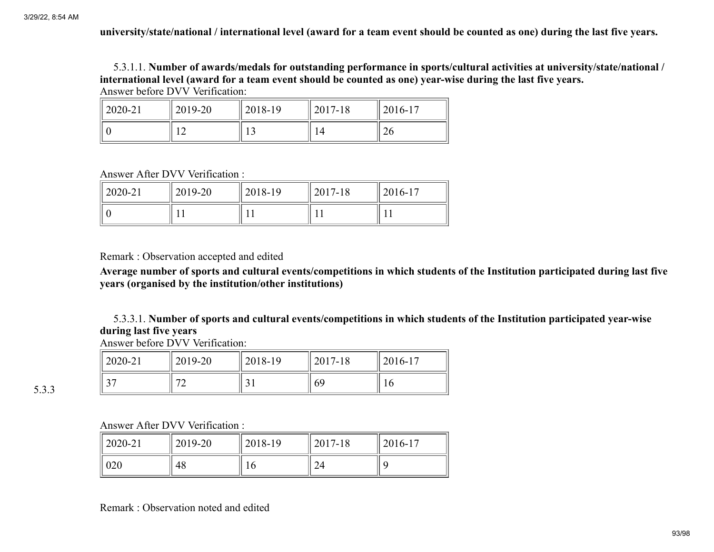university/state/national / international level (award for a team event should be counted as one) during the last five years.

5.3.1.1. Number of awards/medals for outstanding performance in sports/cultural activities at university/state/national / international level (award for a team event should be counted as one) year-wise during the last five years.

Answer before DVV Verification:

| $12020 - 21$ | 2019-20 | 2018-19 | 2017-18 | 2016-17 |
|--------------|---------|---------|---------|---------|
|              | _       |         |         | 26      |

Answer After DVV Verification :

| $12020 - 21$ | 2019-20 | 2018-19 | $2017 - 18$ | $12016 - 17$ |
|--------------|---------|---------|-------------|--------------|
|              |         |         |             |              |

Remark : Observation accepted and edited

Average number of sports and cultural events/competitions in which students of the Institution participated during last five years (organised by the institution/other institutions)

5.3.3.1. Number of sports and cultural events/competitions in which students of the Institution participated year-wise during last five years

Answer before DVV Verification:

| 2020-21 | 2019-20                  | 2018-19 | 2017-18 | $2016 - 17$ |
|---------|--------------------------|---------|---------|-------------|
|         | $\overline{\phantom{a}}$ | ◡       | 69      | ιv          |

5.3.3

Answer After DVV Verification :

| $12020 - 21$ | 2019-20 | 2018-19 | $2017 - 18$  | $12016 - 17$ |
|--------------|---------|---------|--------------|--------------|
| 020          | 48      | 10      | $\sim$<br>44 |              |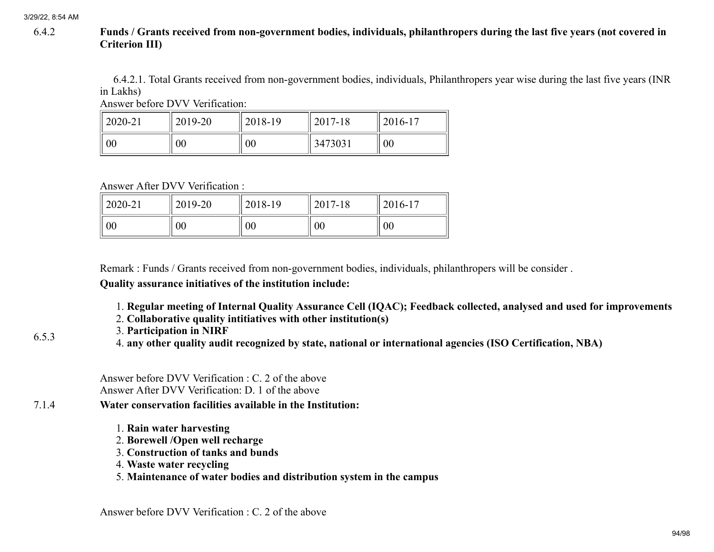## 6.4.2 Funds / Grants received from non-government bodies, individuals, philanthropers during the last five years (not covered in Criterion III)

6.4.2.1. Total Grants received from non-government bodies, individuals, Philanthropers year wise during the last five years (INR in Lakhs)

Answer before DVV Verification:

| $\parallel$ 2020-21 | 2019-20 | 2018-19 | $2017 - 18$ | $12016 - 17$ |
|---------------------|---------|---------|-------------|--------------|
| $\parallel 00$      | 00      | 00      | 3473031     | 00           |

Answer After DVV Verification :

| $\parallel$ 2020-21 | 2019-20 | 2018-19 | 2017-18 | $2016 - 17$ |
|---------------------|---------|---------|---------|-------------|
| 00                  | 00      | $00\,$  | 00      | 00          |

Remark : Funds / Grants received from non-government bodies, individuals, philanthropers will be consider .

Quality assurance initiatives of the institution include:

- 1. Regular meeting of Internal Quality Assurance Cell (IQAC); Feedback collected, analysed and used for improvements
- 2. Collaborative quality intitiatives with other institution(s)
- 3. Participation in NIRF
- 4. any other quality audit recognized by state, national or international agencies (ISO Certification, NBA)

Answer before DVV Verification : C. 2 of the above Answer After DVV Verification: D. 1 of the above

- 7.1.4 Water conservation facilities available in the Institution:
	- 1. Rain water harvesting
	- 2. Borewell /Open well recharge
	- 3. Construction of tanks and bunds
	- 4. Waste water recycling
	- 5. Maintenance of water bodies and distribution system in the campus

6.5.3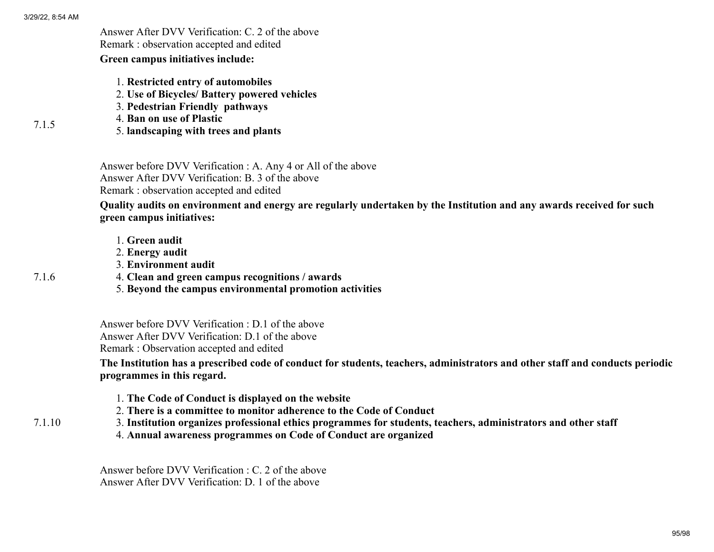7.1.5

Answer After DVV Verification: C. 2 of the above Remark : observation accepted and edited

Green campus initiatives include:

- 1. Restricted entry of automobiles
- 2. Use of Bicycles/ Battery powered vehicles
- 3. Pedestrian Friendly pathways
- 4. Ban on use of Plastic
	- 5. landscaping with trees and plants

Answer before DVV Verification : A. Any 4 or All of the above Answer After DVV Verification: B. 3 of the above Remark : observation accepted and edited

Quality audits on environment and energy are regularly undertaken by the Institution and any awards received for such green campus initiatives:

- 1. Green audit
- 2. Energy audit
- 3. Environment audit
- 4. Clean and green campus recognitions / awards
- 5. Beyond the campus environmental promotion activities

Answer before DVV Verification : D.1 of the above Answer After DVV Verification: D.1 of the above Remark : Observation accepted and edited

The Institution has a prescribed code of conduct for students, teachers, administrators and other staff and conducts periodic programmes in this regard.

- 1. The Code of Conduct is displayed on the website
- 2. There is a committee to monitor adherence to the Code of Conduct
- 3. Institution organizes professional ethics programmes for students, teachers, administrators and other staff
	- 4. Annual awareness programmes on Code of Conduct are organized

Answer before DVV Verification : C. 2 of the above Answer After DVV Verification: D. 1 of the above

7.1.10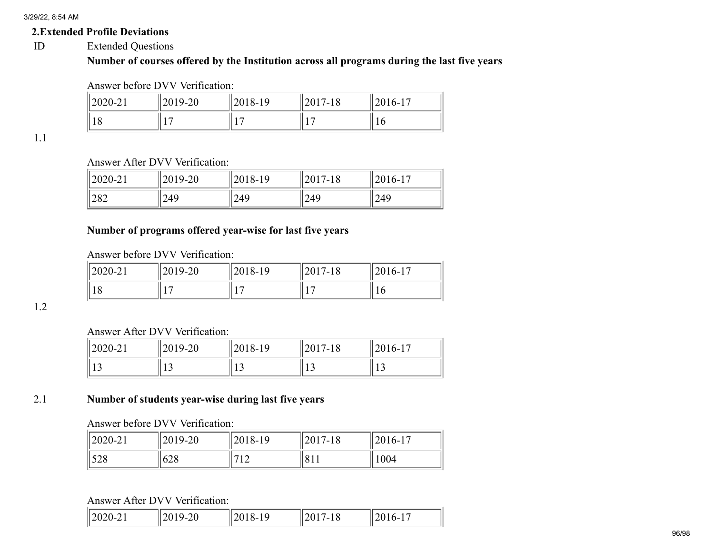## 2.Extended Profile Deviations

ID Extended Questions

# Number of courses offered by the Institution across all programs during the last five years

Answer before DVV Verification:

| 2020-21  | 2019-20 | 2018-19 | $12017 - 18$ | $2016 - 1'$ |
|----------|---------|---------|--------------|-------------|
| ıο<br>10 |         | $1 -$   |              | 10          |

1.1

# Answer After DVV Verification:

| $\frac{12020-21}{20}$ | 2019-20 | 2018-19 | $ 2017 -$<br>10 | $\parallel$ 2016-1.<br>1 m |
|-----------------------|---------|---------|-----------------|----------------------------|
| 282                   | 249     | 249     | 249             | 249                        |

## Number of programs offered year-wise for last five years

Answer before DVV Verification:

| $ 2020-21$ | 2019-20                  | 2018-19 | 2017-18        | $12016-1$ |
|------------|--------------------------|---------|----------------|-----------|
| 18         | $\overline{\phantom{0}}$ | Ō       | $\overline{ }$ | 1 O       |

1.2

## Answer After DVV Verification:

| $\frac{12020 - 21}{20}$ | 2019-20 | 2018-19 | 2017-18 | $2016 - 17$<br>1 <sub>7</sub> |
|-------------------------|---------|---------|---------|-------------------------------|
|                         | $\sim$  | י י     |         | יי<br>. L J                   |

## 2.1 Number of students year-wise during last five years

## Answer before DVV Verification:

| $12020 - 21$ | 2019-20   | 2018-19               | $12017 - 18$ | $2016 - 1$ |
|--------------|-----------|-----------------------|--------------|------------|
| 528          | ۷0<br>628 | 710<br>$\overline{1}$ | 1811         | 1004       |

Answer After DVV Verification:

| $\parallel$ 2020-2<br>$\sim$ 1 | $-9 - 7 + 1$<br>້<br>້ | 2018-<br>$\lambda$ - | 10<br>$\overline{u}$ | h-<br>$\sim$ 0 $\sim$ |
|--------------------------------|------------------------|----------------------|----------------------|-----------------------|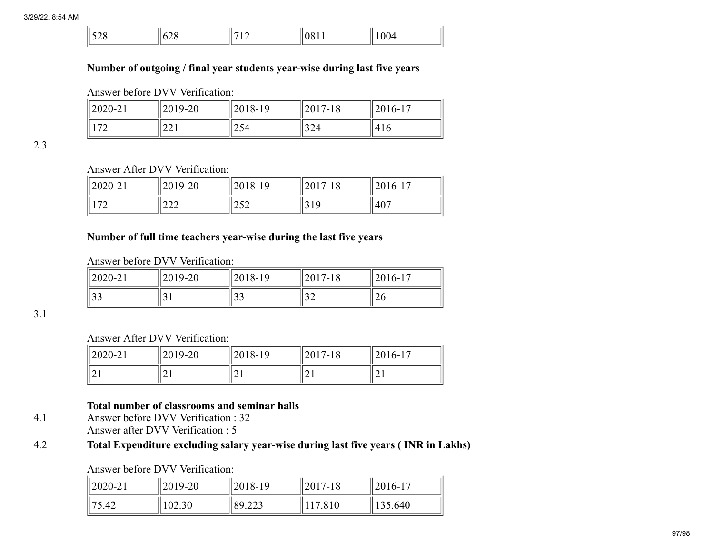| $v \sim v$ |
|------------|
|------------|

## Number of outgoing / final year students year-wise during last five years

Answer before DVV Verification:

| $ 2020 - 21 $      | 2019-20                     | 2018-19 | $2017 - 18$ | $2016 - 1'$<br>$1 -$ |
|--------------------|-----------------------------|---------|-------------|----------------------|
| 1.72<br>$\sqrt{2}$ | $\sim$ $\sim$ $\sim$<br>221 | 254     | 324         | 416                  |

2.3

# Answer After DVV Verification:

| 2020-21                  | $12019 - 20$   | 2018-19     | $\bigcap$ 1 $\bigcap$<br>2017-18 | $2016 - 17$<br>1 <sub>7</sub> |
|--------------------------|----------------|-------------|----------------------------------|-------------------------------|
| $\overline{\phantom{a}}$ | $\sim$<br>44 L | າເາ<br>ے بے | 10.<br>J 17                      | 407                           |

## Number of full time teachers year-wise during the last five years

Answer before DVV Verification:

| 2020-21   | 2019-20 | 2018-19 | $\bigcap_{n=1}^{\infty}$<br>2017-18 | $2016 - 1'$<br>17 |
|-----------|---------|---------|-------------------------------------|-------------------|
| $\bigcap$ | ັ້      | $\sim$  | $\sim$                              | $\sim$            |
| JJ        |         | ر ر     | ے ر                                 | 120               |

3.1

Answer After DVV Verification:

| 2020-21    | 2019-20 | 2018-19  | 2017<br>2017-18 | 2016-17 |
|------------|---------|----------|-----------------|---------|
| <u>_ .</u> | ◢       | $\sim$ 1 | $\sim$ 1        | ◢       |

## Total number of classrooms and seminar halls

4.1 Answer before DVV Verification : 32 Answer after DVV Verification : 5

# 4.2 Total Expenditure excluding salary year-wise during last five years ( INR in Lakhs)

## Answer before DVV Verification:

| $\parallel$ 2020-21 | 2019-20 | 2018-19 | $ 2017-18$ | $ 2016-17$ |
|---------------------|---------|---------|------------|------------|
| $\parallel$ 75.42   | 102.30  | 89.223  | 17.810     | 135.640    |